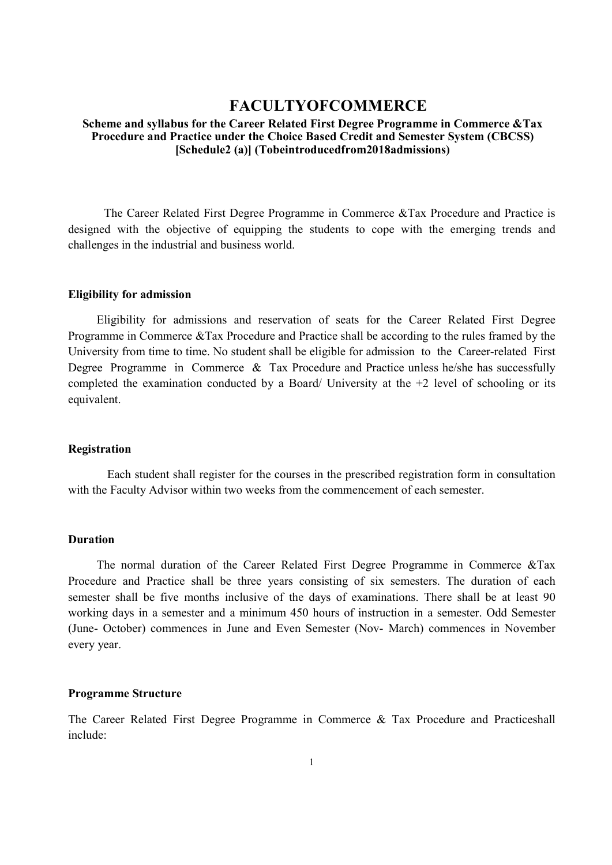# FACULTYOFCOMMERCE

#### Scheme and syllabus for the Career Related First Degree Programme in Commerce &Tax Procedure and Practice under the Choice Based Credit and Semester System (CBCSS) [Schedule2 (a)] (Tobeintroducedfrom2018admissions)

 The Career Related First Degree Programme in Commerce &Tax Procedure and Practice is designed with the objective of equipping the students to cope with the emerging trends and challenges in the industrial and business world.

#### Eligibility for admission

Eligibility for admissions and reservation of seats for the Career Related First Degree Programme in Commerce &Tax Procedure and Practice shall be according to the rules framed by the University from time to time. No student shall be eligible for admission to the Career-related First Degree Programme in Commerce & Tax Procedure and Practice unless he/she has successfully completed the examination conducted by a Board/ University at the  $+2$  level of schooling or its equivalent.

#### Registration

Each student shall register for the courses in the prescribed registration form in consultation with the Faculty Advisor within two weeks from the commencement of each semester.

#### Duration

The normal duration of the Career Related First Degree Programme in Commerce &Tax Procedure and Practice shall be three years consisting of six semesters. The duration of each semester shall be five months inclusive of the days of examinations. There shall be at least 90 working days in a semester and a minimum 450 hours of instruction in a semester. Odd Semester (June- October) commences in June and Even Semester (Nov- March) commences in November every year.

#### Programme Structure

The Career Related First Degree Programme in Commerce & Tax Procedure and Practiceshall include: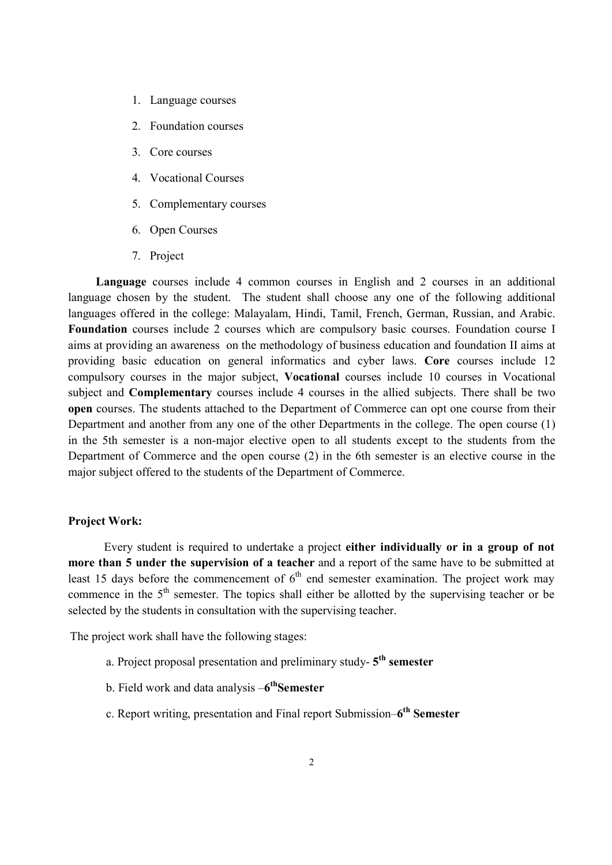- 1. Language courses
- 2. Foundation courses
- 3. Core courses
- 4. Vocational Courses
- 5. Complementary courses
- 6. Open Courses
- 7. Project

Language courses include 4 common courses in English and 2 courses in an additional language chosen by the student. The student shall choose any one of the following additional languages offered in the college: Malayalam, Hindi, Tamil, French, German, Russian, and Arabic. Foundation courses include 2 courses which are compulsory basic courses. Foundation course I aims at providing an awareness on the methodology of business education and foundation II aims at providing basic education on general informatics and cyber laws. Core courses include 12 compulsory courses in the major subject, Vocational courses include 10 courses in Vocational subject and Complementary courses include 4 courses in the allied subjects. There shall be two open courses. The students attached to the Department of Commerce can opt one course from their Department and another from any one of the other Departments in the college. The open course (1) in the 5th semester is a non-major elective open to all students except to the students from the Department of Commerce and the open course (2) in the 6th semester is an elective course in the major subject offered to the students of the Department of Commerce.

#### Project Work:

 Every student is required to undertake a project either individually or in a group of not more than 5 under the supervision of a teacher and a report of the same have to be submitted at least 15 days before the commencement of  $6<sup>th</sup>$  end semester examination. The project work may commence in the  $5<sup>th</sup>$  semester. The topics shall either be allotted by the supervising teacher or be selected by the students in consultation with the supervising teacher.

The project work shall have the following stages:

- a. Project proposal presentation and preliminary study- $5<sup>th</sup>$  semester
- b. Field work and data analysis -6<sup>th</sup>Semester
- c. Report writing, presentation and Final report Submission–6<sup>th</sup> Semester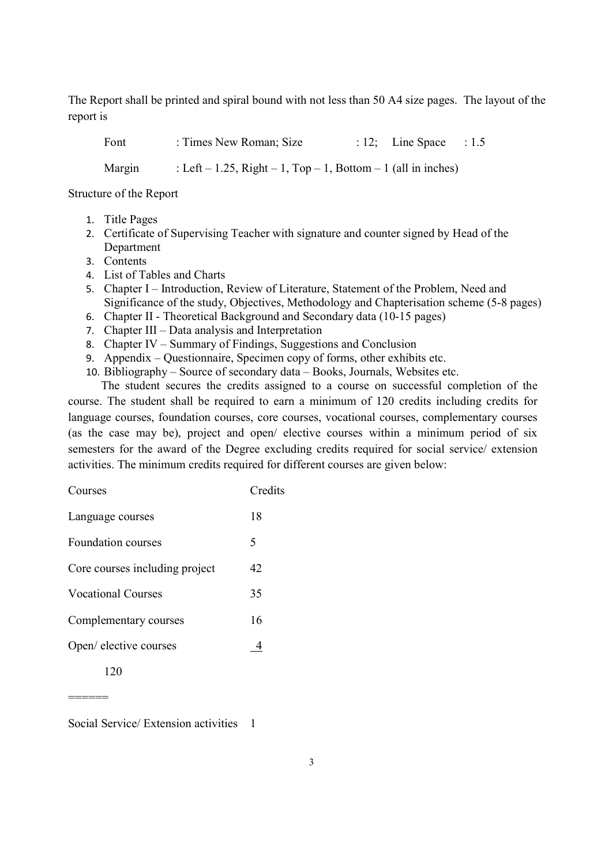The Report shall be printed and spiral bound with not less than 50 A4 size pages. The layout of the report is

Font : Times New Roman; Size : 12; Line Space : 1.5

Margin : Left – 1.25, Right – 1, Top – 1, Bottom – 1 (all in inches)

Structure of the Report

- 1. Title Pages
- 2. Certificate of Supervising Teacher with signature and counter signed by Head of the Department
- 3. Contents
- 4. List of Tables and Charts
- 5. Chapter I Introduction, Review of Literature, Statement of the Problem, Need and Significance of the study, Objectives, Methodology and Chapterisation scheme (5-8 pages)
- 6. Chapter II Theoretical Background and Secondary data (10-15 pages)
- 7. Chapter III Data analysis and Interpretation
- 8. Chapter IV Summary of Findings, Suggestions and Conclusion
- 9. Appendix Questionnaire, Specimen copy of forms, other exhibits etc.
- 10. Bibliography Source of secondary data Books, Journals, Websites etc.

The student secures the credits assigned to a course on successful completion of the course. The student shall be required to earn a minimum of 120 credits including credits for language courses, foundation courses, core courses, vocational courses, complementary courses (as the case may be), project and open/ elective courses within a minimum period of six semesters for the award of the Degree excluding credits required for social service/ extension activities. The minimum credits required for different courses are given below:

| Courses                        | Credits |
|--------------------------------|---------|
| Language courses               | 18      |
| <b>Foundation courses</b>      | 5       |
| Core courses including project | 42      |
| <b>Vocational Courses</b>      | 35      |
| Complementary courses          | 16      |
| Open/ elective courses         |         |
|                                |         |

Social Service/ Extension activities 1

======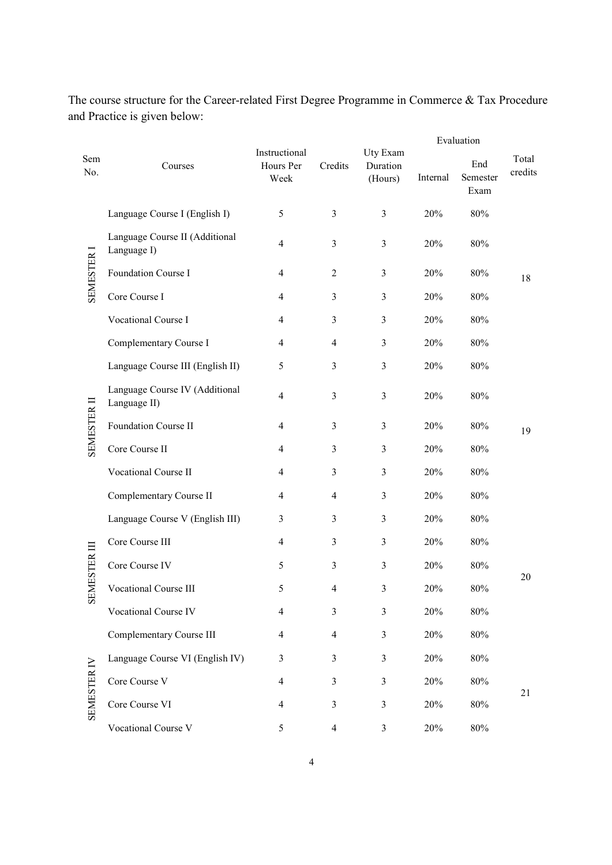|                   |                                                |                                    |                |                                 | Evaluation |                         |                  |  |
|-------------------|------------------------------------------------|------------------------------------|----------------|---------------------------------|------------|-------------------------|------------------|--|
| Sem<br>No.        | Courses                                        | Instructional<br>Hours Per<br>Week | Credits        | Uty Exam<br>Duration<br>(Hours) | Internal   | End<br>Semester<br>Exam | Total<br>credits |  |
|                   | Language Course I (English I)                  | 5                                  | $\overline{3}$ | $\overline{3}$                  | 20%        | $80\%$                  |                  |  |
|                   | Language Course II (Additional<br>Language I)  | $\overline{4}$                     | $\overline{3}$ | $\overline{3}$                  | 20%        | 80%                     |                  |  |
| SEMESTER I        | Foundation Course I                            | 4                                  | 2              | 3                               | 20%        | 80%                     | 18               |  |
|                   | Core Course I                                  | 4                                  | 3              | 3                               | 20%        | 80%                     |                  |  |
|                   | Vocational Course I                            | 4                                  | $\overline{3}$ | $\mathfrak{Z}$                  | 20%        | 80%                     |                  |  |
|                   | Complementary Course I                         | 4                                  | $\overline{4}$ | $\overline{3}$                  | 20%        | $80\%$                  |                  |  |
|                   | Language Course III (English II)               | 5                                  | 3              | $\overline{3}$                  | 20%        | $80\%$                  |                  |  |
|                   | Language Course IV (Additional<br>Language II) | 4                                  | $\overline{3}$ | $\overline{3}$                  | 20%        | 80%                     |                  |  |
| SEMESTER II       | Foundation Course II                           | 4                                  | $\overline{3}$ | $\mathfrak{Z}$                  | 20%        | 80%                     | 19               |  |
|                   | Core Course II                                 | 4                                  | 3              | 3                               | 20%        | 80%                     |                  |  |
|                   | Vocational Course II                           | 4                                  | 3              | 3                               | 20%        | 80%                     |                  |  |
|                   | Complementary Course II                        | 4                                  | $\overline{4}$ | 3                               | 20%        | 80%                     |                  |  |
|                   | Language Course V (English III)                | 3                                  | 3              | 3                               | 20%        | 80%                     |                  |  |
|                   | Core Course III                                | 4                                  | 3              | 3                               | 20%        | $80\%$                  |                  |  |
| <b>MESTER III</b> | Core Course IV                                 | 5                                  | $\overline{3}$ | $\overline{3}$                  | 20%        | 80%                     |                  |  |
|                   | <b>Vocational Course III</b>                   | 5                                  | $\overline{4}$ | 3                               | 20%        | 80%                     | 20               |  |
| 55                | Vocational Course IV                           | 4                                  | 3              | 3                               | 20%        | $80\%$                  |                  |  |
|                   | Complementary Course III                       | 4                                  | $\overline{4}$ | 3                               | 20%        | $80\%$                  |                  |  |
|                   | Language Course VI (English IV)                | 3                                  | 3              | 3                               | 20%        | $80\%$                  |                  |  |
|                   | Core Course V                                  | $\overline{4}$                     | $\mathfrak{Z}$ | $\mathfrak{Z}$                  | 20%        | $80\%$                  |                  |  |
| SEMESTER IV       | Core Course VI                                 | 4                                  | $\overline{3}$ | 3                               | 20%        | $80\%$                  | 21               |  |
|                   | Vocational Course V                            | 5                                  | $\overline{4}$ | $\mathfrak{Z}$                  | 20%        | $80\%$                  |                  |  |

The course structure for the Career-related First Degree Programme in Commerce & Tax Procedure and Practice is given below: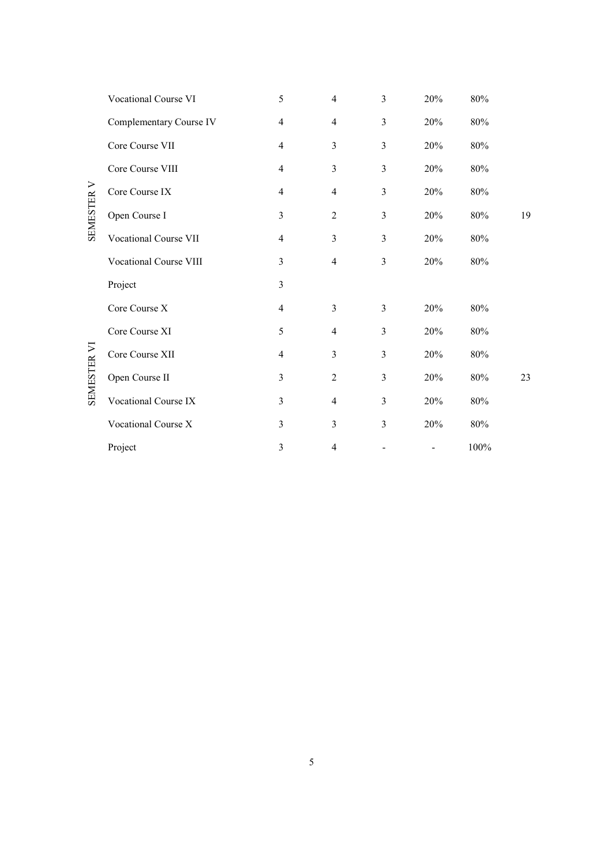|             | Vocational Course VI    | 5                        | $\overline{\mathcal{A}}$ | $\overline{3}$ | 20% | $80\%$  |    |
|-------------|-------------------------|--------------------------|--------------------------|----------------|-----|---------|----|
|             | Complementary Course IV | 4                        | $\overline{4}$           | 3              | 20% | 80%     |    |
|             | Core Course VII         | 4                        | 3                        | 3              | 20% | 80%     |    |
|             | Core Course VIII        | $\overline{4}$           | $\overline{3}$           | $\overline{3}$ | 20% | 80%     |    |
|             | Core Course IX          | $\overline{4}$           | $\overline{4}$           | $\overline{3}$ | 20% | 80%     |    |
| SEMESTER V  | Open Course I           | $\mathfrak{Z}$           | $\overline{2}$           | $\overline{3}$ | 20% | 80%     | 19 |
|             | Vocational Course VII   | $\overline{4}$           | $\overline{3}$           | 3              | 20% | 80%     |    |
|             | Vocational Course VIII  | 3                        | $\overline{4}$           | $\overline{3}$ | 20% | 80%     |    |
|             | Project                 | $\overline{3}$           |                          |                |     |         |    |
|             | Core Course X           | $\overline{\mathcal{A}}$ | $\overline{3}$           | 3              | 20% | 80%     |    |
|             | Core Course XI          | 5                        | $\overline{4}$           | 3              | 20% | 80%     |    |
|             | Core Course XII         | 4                        | 3                        | 3              | 20% | 80%     |    |
| SEMESTER VI | Open Course II          | $\overline{3}$           | $\overline{2}$           | 3              | 20% | 80%     | 23 |
|             | Vocational Course IX    | $\overline{3}$           | $\overline{\mathbf{4}}$  | $\overline{3}$ | 20% | $80\%$  |    |
|             | Vocational Course X     | 3                        | 3                        | 3              | 20% | 80%     |    |
|             | Project                 | $\mathfrak{Z}$           | 4                        |                |     | $100\%$ |    |

5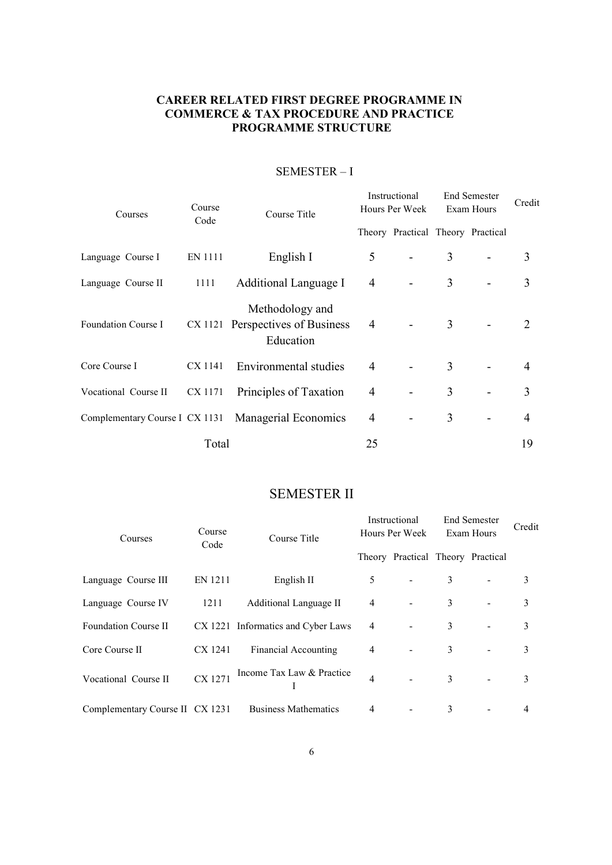# CAREER RELATED FIRST DEGREE PROGRAMME IN COMMERCE & TAX PROCEDURE AND PRACTICE PROGRAMME STRUCTURE

| Courses              | Course<br>Code | Course Title                                                     |                | Instructional<br>Hours Per Week   |   | <b>End Semester</b><br>Exam Hours | Credit                      |
|----------------------|----------------|------------------------------------------------------------------|----------------|-----------------------------------|---|-----------------------------------|-----------------------------|
|                      |                |                                                                  |                | Theory Practical Theory Practical |   |                                   |                             |
| Language Course I    | EN 1111        | English I                                                        | 5              |                                   | 3 |                                   | 3                           |
| Language Course II   | 1111           | Additional Language I                                            | $\overline{4}$ |                                   | 3 |                                   | 3                           |
| Foundation Course I  |                | Methodology and<br>CX 1121 Perspectives of Business<br>Education | $\overline{4}$ |                                   | 3 |                                   | $\mathcal{D}_{\mathcal{L}}$ |
| Core Course I        |                | CX 1141 Environmental studies                                    | $\overline{4}$ |                                   | 3 |                                   | 4                           |
| Vocational Course II | CX 1171        | Principles of Taxation                                           | 4              |                                   | 3 |                                   | 3                           |
|                      |                | Complementary Course I CX 1131 Managerial Economics              | $\overline{4}$ |                                   | 3 |                                   | 4                           |
|                      | Total          |                                                                  | 25             |                                   |   |                                   | 19                          |

# SEMESTER – I

# SEMESTER II

| Courses                         | Course<br>Code | Course Title                       | Instructional<br>Hours Per Week |                                   | <b>End Semester</b><br>Exam Hours |                | Credit |
|---------------------------------|----------------|------------------------------------|---------------------------------|-----------------------------------|-----------------------------------|----------------|--------|
|                                 |                |                                    |                                 | Theory Practical Theory Practical |                                   |                |        |
| Language Course III             | EN 1211        | English II                         | 5                               |                                   | 3                                 |                | 3      |
| Language Course IV              | 1211           | Additional Language II             | $\overline{4}$                  |                                   | 3                                 |                | 3      |
| Foundation Course II            |                | CX 1221 Informatics and Cyber Laws | 4                               |                                   | 3                                 |                | 3      |
| Core Course II                  | CX 1241        | Financial Accounting               | $\overline{4}$                  |                                   | 3                                 | $\blacksquare$ | 3      |
| Vocational Course II            | CX 1271        | Income Tax Law & Practice          | $\overline{4}$                  |                                   | 3                                 |                | 3      |
| Complementary Course II CX 1231 |                | <b>Business Mathematics</b>        | 4                               |                                   | 3                                 |                | 4      |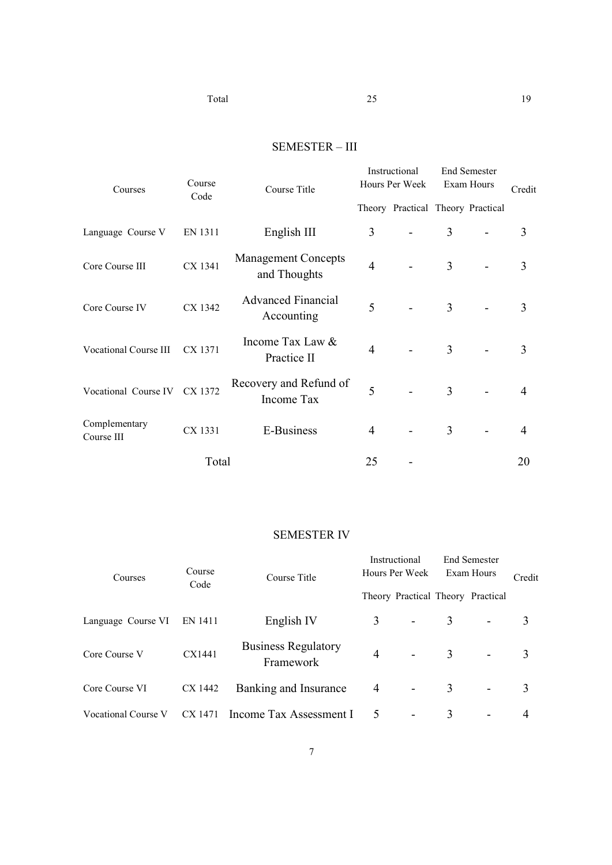# SEMESTER – III

| Courses                      | Course<br>Code | Course Title                               | Instructional<br>Hours Per Week |                                   | <b>End Semester</b><br>Exam Hours |  | Credit |  |
|------------------------------|----------------|--------------------------------------------|---------------------------------|-----------------------------------|-----------------------------------|--|--------|--|
|                              |                |                                            |                                 | Theory Practical Theory Practical |                                   |  |        |  |
| Language Course V            | EN 1311        | English III                                | 3                               |                                   | 3                                 |  | 3      |  |
| Core Course III              | CX 1341        | <b>Management Concepts</b><br>and Thoughts | $\overline{4}$                  |                                   | 3                                 |  | 3      |  |
| Core Course IV               | CX 1342        | <b>Advanced Financial</b><br>Accounting    | 5                               |                                   | 3                                 |  | 3      |  |
| <b>Vocational Course III</b> | CX 1371        | Income Tax Law &<br>Practice II            | 4                               |                                   | 3                                 |  | 3      |  |
| Vocational Course IV CX 1372 |                | Recovery and Refund of<br>Income Tax       | 5                               |                                   | 3                                 |  | 4      |  |
| Complementary<br>Course III  | CX 1331        | E-Business                                 | 4                               |                                   | 3                                 |  | 4      |  |
|                              | Total          |                                            | 25                              |                                   |                                   |  | 20     |  |

# SEMESTER IV

| Courses             | Course<br>Course Title<br>Code |                                         | Instructional<br>Hours Per Week |  | <b>End Semester</b><br>Exam Hours |                                   | Credit |
|---------------------|--------------------------------|-----------------------------------------|---------------------------------|--|-----------------------------------|-----------------------------------|--------|
|                     |                                |                                         |                                 |  |                                   | Theory Practical Theory Practical |        |
| Language Course VI  | EN 1411                        | English IV                              | 3                               |  | 3                                 |                                   |        |
| Core Course V       | CX1441                         | <b>Business Regulatory</b><br>Framework | $\overline{4}$                  |  | 3                                 |                                   |        |
| Core Course VI      | CX 1442                        | Banking and Insurance                   | 4                               |  | 3                                 | $\overline{\phantom{a}}$          |        |
| Vocational Course V | CX 1471                        | Income Tax Assessment I                 | 5                               |  | 3                                 |                                   |        |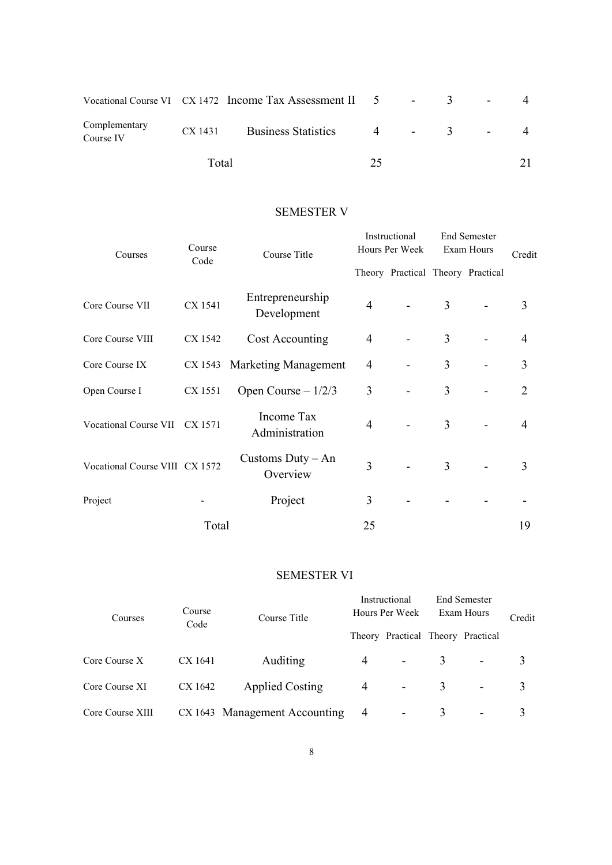|                            |       | Vocational Course VI $\alpha$ CX 1472 Income Tax Assessment II $\beta$ $\beta$ $\beta$ $\beta$ |    |           | $\overline{\phantom{a}}$ |  |
|----------------------------|-------|------------------------------------------------------------------------------------------------|----|-----------|--------------------------|--|
| Complementary<br>Course IV |       | CX 1431 Business Statistics                                                                    |    | $4 - 3 -$ |                          |  |
|                            | Total |                                                                                                | つく |           |                          |  |

# SEMESTER V

| Courses                        | Course<br>Code | Course Title                    | Instructional<br>Hours Per Week |                                   | <b>End Semester</b><br>Exam Hours |  | Credit         |
|--------------------------------|----------------|---------------------------------|---------------------------------|-----------------------------------|-----------------------------------|--|----------------|
|                                |                |                                 |                                 | Theory Practical Theory Practical |                                   |  |                |
| Core Course VII                | CX 1541        | Entrepreneurship<br>Development | $\overline{4}$                  |                                   | 3                                 |  | 3              |
| Core Course VIII               | CX 1542        | Cost Accounting                 | 4                               |                                   | 3                                 |  | $\overline{4}$ |
| Core Course IX                 |                | CX 1543 Marketing Management    | 4                               |                                   | 3                                 |  | 3              |
| Open Course I                  | CX 1551        | Open Course $-1/2/3$            | 3                               |                                   | 3                                 |  | 2              |
| Vocational Course VII CX 1571  |                | Income Tax<br>Administration    | 4                               |                                   | 3                                 |  | 4              |
| Vocational Course VIII CX 1572 |                | Customs $Duty - An$<br>Overview | 3                               |                                   | 3                                 |  | 3              |
| Project                        |                | Project                         | 3                               |                                   |                                   |  |                |
|                                | Total          |                                 | 25                              |                                   |                                   |  | 19             |

# SEMESTER VI

| Courses          | Instructional<br>Course<br>Hours Per Week<br>Course Title<br>Code<br>Theory Practical Theory Practical |                               | <b>End Semester</b><br>Exam Hours | Credit                   |  |                          |   |
|------------------|--------------------------------------------------------------------------------------------------------|-------------------------------|-----------------------------------|--------------------------|--|--------------------------|---|
|                  |                                                                                                        |                               |                                   |                          |  |                          |   |
| Core Course X    | CX 1641                                                                                                | Auditing                      | 4                                 |                          |  | $\overline{\phantom{a}}$ | 3 |
| Core Course XI   | CX 1642                                                                                                | <b>Applied Costing</b>        | 4                                 | $\blacksquare$           |  |                          |   |
| Core Course XIII |                                                                                                        | CX 1643 Management Accounting | 4                                 | $\overline{\phantom{a}}$ |  | $\overline{\phantom{0}}$ |   |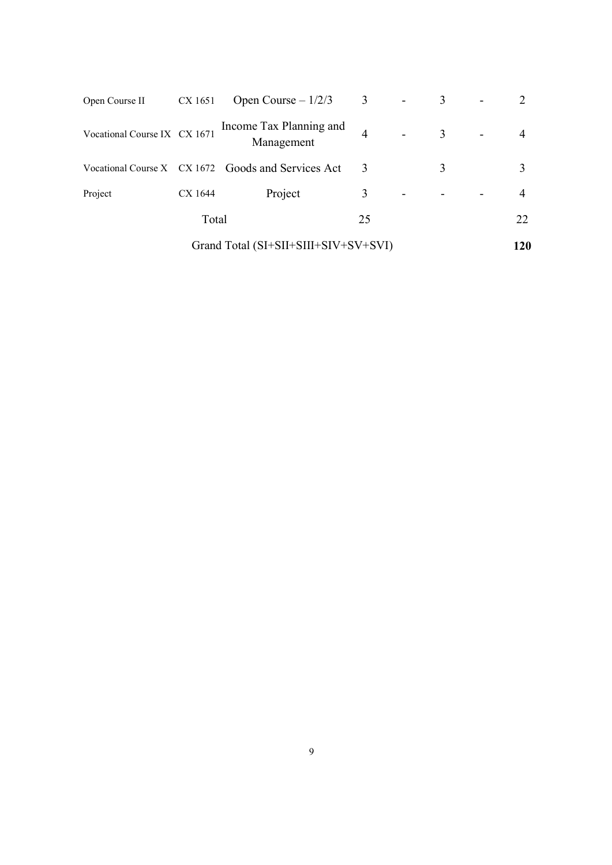| Open Course II               | CX 1651 | Open Course $-1/2/3$                               | 3  | 3 |     |
|------------------------------|---------|----------------------------------------------------|----|---|-----|
| Vocational Course IX CX 1671 |         | Income Tax Planning and<br>Management              |    | 3 |     |
|                              |         | Vocational Course X CX 1672 Goods and Services Act | 3  | 3 |     |
| Project                      | CX 1644 | Project                                            | 3  |   |     |
|                              | Total   |                                                    | 25 |   | 22  |
|                              |         | Grand Total (SI+SII+SIII+SIV+SV+SVI)               |    |   | 120 |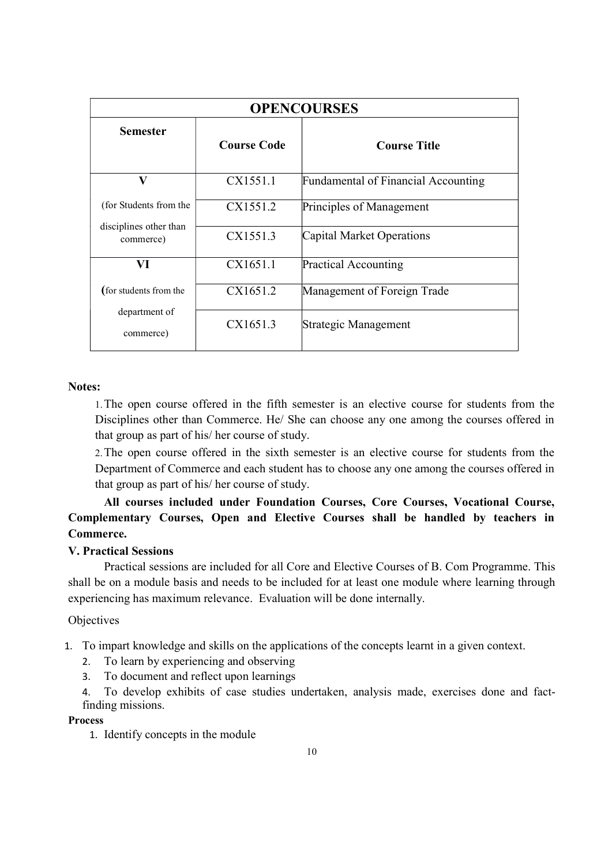| <b>OPENCOURSES</b>                  |                    |                                            |  |  |  |  |
|-------------------------------------|--------------------|--------------------------------------------|--|--|--|--|
| <b>Semester</b>                     | <b>Course Code</b> | <b>Course Title</b>                        |  |  |  |  |
| V                                   | CX1551.1           | <b>Fundamental of Financial Accounting</b> |  |  |  |  |
| (for Students from the              | CX1551.2           | Principles of Management                   |  |  |  |  |
| disciplines other than<br>commerce) | CX1551.3           | Capital Market Operations                  |  |  |  |  |
| VI                                  | CX1651.1           | <b>Practical Accounting</b>                |  |  |  |  |
| (for students from the              | CX1651.2           | Management of Foreign Trade                |  |  |  |  |
| department of<br>commerce)          | CX1651.3           | Strategic Management                       |  |  |  |  |

#### Notes:

1.The open course offered in the fifth semester is an elective course for students from the Disciplines other than Commerce. He/ She can choose any one among the courses offered in that group as part of his/ her course of study.

2.The open course offered in the sixth semester is an elective course for students from the Department of Commerce and each student has to choose any one among the courses offered in that group as part of his/ her course of study.

All courses included under Foundation Courses, Core Courses, Vocational Course, Complementary Courses, Open and Elective Courses shall be handled by teachers in Commerce.

## V. Practical Sessions

 Practical sessions are included for all Core and Elective Courses of B. Com Programme. This shall be on a module basis and needs to be included for at least one module where learning through experiencing has maximum relevance. Evaluation will be done internally.

### **Objectives**

1. To impart knowledge and skills on the applications of the concepts learnt in a given context.

- 2. To learn by experiencing and observing
- 3. To document and reflect upon learnings

4. To develop exhibits of case studies undertaken, analysis made, exercises done and factfinding missions.

#### Process

1. Identify concepts in the module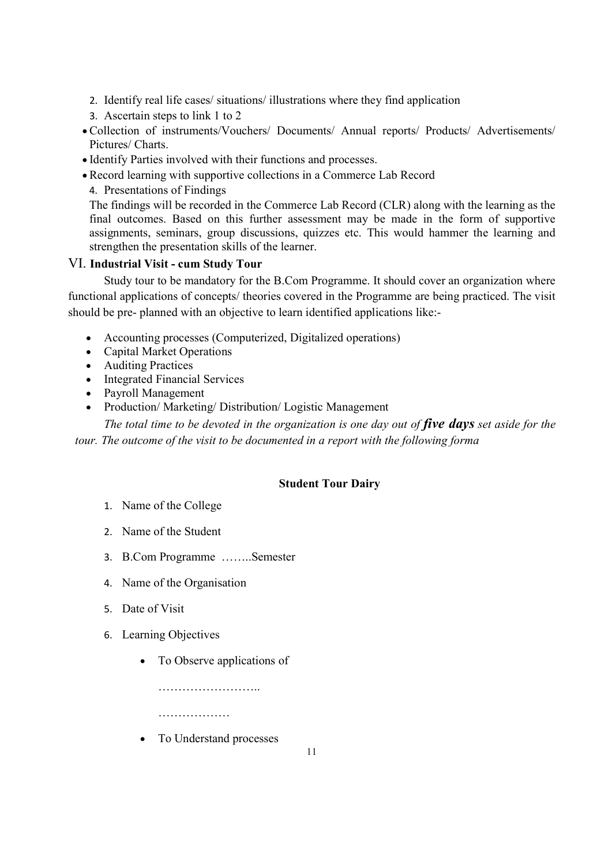- 2. Identify real life cases/ situations/ illustrations where they find application
- 3. Ascertain steps to link 1 to 2
- Collection of instruments/Vouchers/ Documents/ Annual reports/ Products/ Advertisements/ Pictures/ Charts.
- Identify Parties involved with their functions and processes.
- Record learning with supportive collections in a Commerce Lab Record
- 4. Presentations of Findings

The findings will be recorded in the Commerce Lab Record (CLR) along with the learning as the final outcomes. Based on this further assessment may be made in the form of supportive assignments, seminars, group discussions, quizzes etc. This would hammer the learning and strengthen the presentation skills of the learner.

### VI. Industrial Visit - cum Study Tour

 Study tour to be mandatory for the B.Com Programme. It should cover an organization where functional applications of concepts/ theories covered in the Programme are being practiced. The visit should be pre- planned with an objective to learn identified applications like:-

- Accounting processes (Computerized, Digitalized operations)
- Capital Market Operations
- Auditing Practices
- Integrated Financial Services
- Payroll Management
- Production/ Marketing/ Distribution/ Logistic Management

The total time to be devoted in the organization is one day out of five days set aside for the tour. The outcome of the visit to be documented in a report with the following forma

# Student Tour Dairy

- 1. Name of the College
- 2. Name of the Student
- 3. B.Com Programme ……..Semester
- 4. Name of the Organisation
- 5. Date of Visit
- 6. Learning Objectives
	- To Observe applications of

……………………..

………………

To Understand processes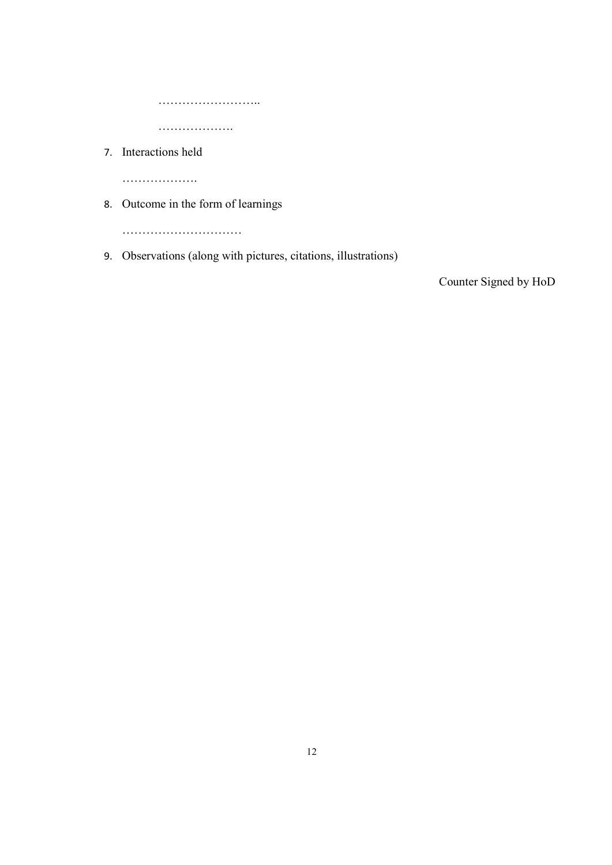……………………..

……………….

7. Interactions held

…………………

8. Outcome in the form of learnings

……………………………

9. Observations (along with pictures, citations, illustrations)

Counter Signed by HoD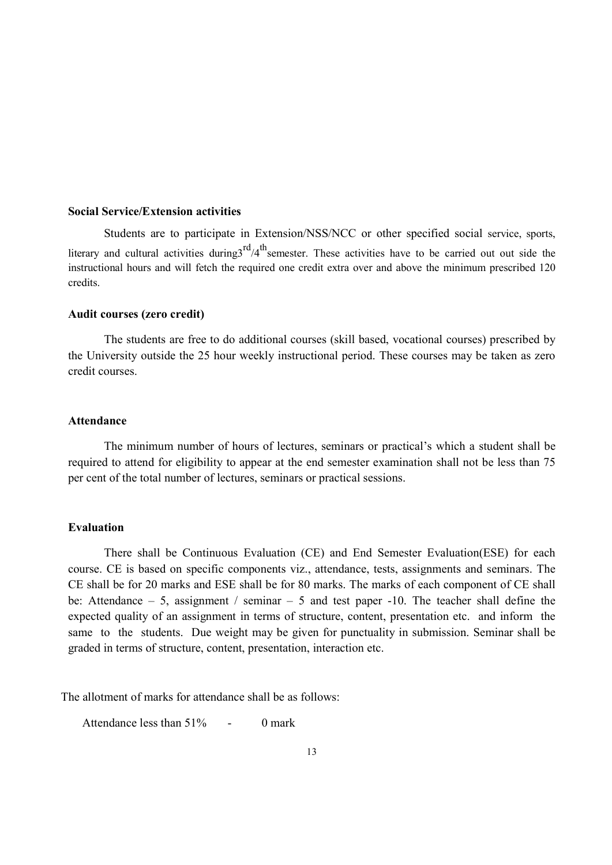#### Social Service/Extension activities

 Students are to participate in Extension/NSS/NCC or other specified social service, sports, literary and cultural activities during  $3^{rd}/4^{th}$  semester. These activities have to be carried out out side the instructional hours and will fetch the required one credit extra over and above the minimum prescribed 120 credits.

#### Audit courses (zero credit)

 The students are free to do additional courses (skill based, vocational courses) prescribed by the University outside the 25 hour weekly instructional period. These courses may be taken as zero credit courses.

#### Attendance

The minimum number of hours of lectures, seminars or practical's which a student shall be required to attend for eligibility to appear at the end semester examination shall not be less than 75 per cent of the total number of lectures, seminars or practical sessions.

#### Evaluation

 There shall be Continuous Evaluation (CE) and End Semester Evaluation(ESE) for each course. CE is based on specific components viz., attendance, tests, assignments and seminars. The CE shall be for 20 marks and ESE shall be for 80 marks. The marks of each component of CE shall be: Attendance – 5, assignment / seminar – 5 and test paper -10. The teacher shall define the expected quality of an assignment in terms of structure, content, presentation etc. and inform the same to the students. Due weight may be given for punctuality in submission. Seminar shall be graded in terms of structure, content, presentation, interaction etc.

The allotment of marks for attendance shall be as follows:

Attendance less than 51% - 0 mark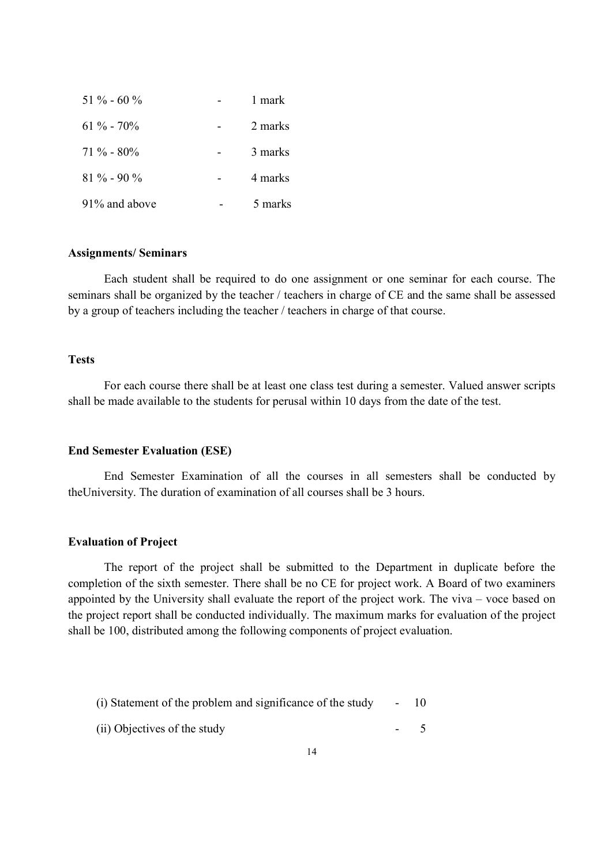| $51\% - 60\%$    | 1 mark  |
|------------------|---------|
| $61\% - 70\%$    | 2 marks |
| $71\% - 80\%$    | 3 marks |
| $81\% - 90\%$    | 4 marks |
| $91\%$ and above | 5 marks |

#### Assignments/ Seminars

 Each student shall be required to do one assignment or one seminar for each course. The seminars shall be organized by the teacher / teachers in charge of CE and the same shall be assessed by a group of teachers including the teacher / teachers in charge of that course.

# **Tests**

 For each course there shall be at least one class test during a semester. Valued answer scripts shall be made available to the students for perusal within 10 days from the date of the test.

#### End Semester Evaluation (ESE)

 End Semester Examination of all the courses in all semesters shall be conducted by theUniversity. The duration of examination of all courses shall be 3 hours.

#### Evaluation of Project

 The report of the project shall be submitted to the Department in duplicate before the completion of the sixth semester. There shall be no CE for project work. A Board of two examiners appointed by the University shall evaluate the report of the project work. The viva – voce based on the project report shall be conducted individually. The maximum marks for evaluation of the project shall be 100, distributed among the following components of project evaluation.

|  | (i) Statement of the problem and significance of the study |  | 10 |
|--|------------------------------------------------------------|--|----|
|--|------------------------------------------------------------|--|----|

(ii) Objectives of the study - 5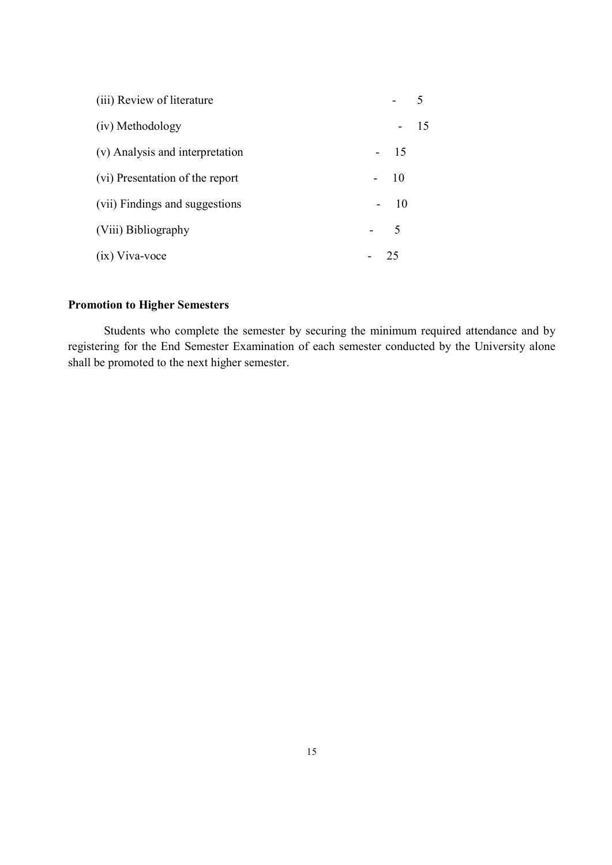| (iii) Review of literature      |       |    |
|---------------------------------|-------|----|
| (iv) Methodology                |       | 15 |
| (v) Analysis and interpretation | $-15$ |    |
| (vi) Presentation of the report | $-10$ |    |
| (vii) Findings and suggestions  | $-10$ |    |
| (Viii) Bibliography             | $-5$  |    |
| $(ix)$ Viva-voce                | 25    |    |

# Promotion to Higher Semesters

Students who complete the semester by securing the minimum required attendance and by registering for the End Semester Examination of each semester conducted by the University alone shall be promoted to the next higher semester.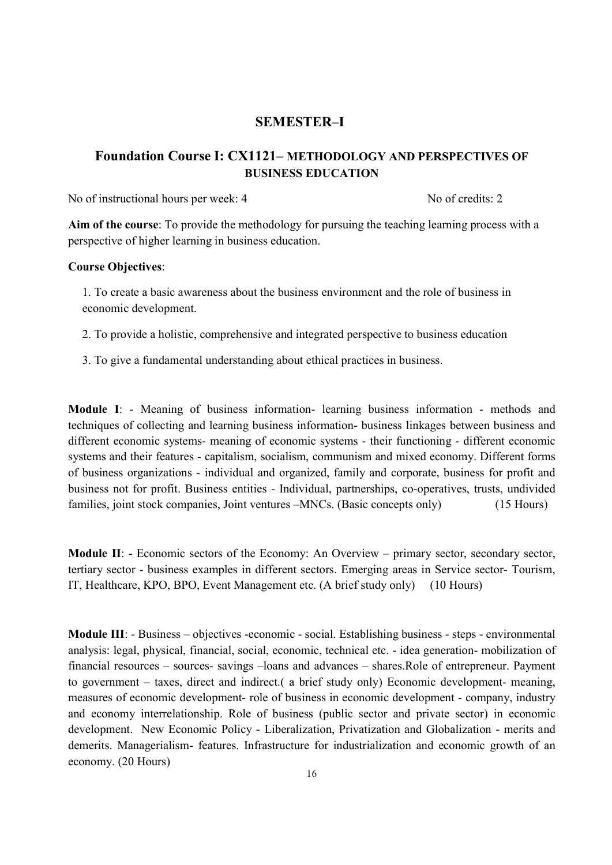# SEMESTER–I

# Foundation Course I: CX1121– METHODOLOGY AND PERSPECTIVES OF BUSINESS EDUCATION

No of instructional hours per week: 4 No of credits: 2

Aim of the course: To provide the methodology for pursuing the teaching learning process with a perspective of higher learning in business education.

#### Course Objectives:

1. To create a basic awareness about the business environment and the role of business in economic development.

2. To provide a holistic, comprehensive and integrated perspective to business education

3. To give a fundamental understanding about ethical practices in business.

Module I: - Meaning of business information- learning business information - methods and techniques of collecting and learning business information- business linkages between business and different economic systems- meaning of economic systems - their functioning - different economic systems and their features - capitalism, socialism, communism and mixed economy. Different forms of business organizations - individual and organized, family and corporate, business for profit and business not for profit. Business entities - Individual, partnerships, co-operatives, trusts, undivided families, joint stock companies, Joint ventures –MNCs. (Basic concepts only) (15 Hours)

Module II: - Economic sectors of the Economy: An Overview – primary sector, secondary sector, tertiary sector - business examples in different sectors. Emerging areas in Service sector- Tourism, IT, Healthcare, KPO, BPO, Event Management etc. (A brief study only) (10 Hours)

Module III: - Business – objectives -economic - social. Establishing business - steps - environmental analysis: legal, physical, financial, social, economic, technical etc. - idea generation- mobilization of financial resources – sources- savings –loans and advances – shares.Role of entrepreneur. Payment to government – taxes, direct and indirect.( a brief study only) Economic development- meaning, measures of economic development- role of business in economic development - company, industry and economy interrelationship. Role of business (public sector and private sector) in economic development. New Economic Policy - Liberalization, Privatization and Globalization - merits and demerits. Managerialism- features. Infrastructure for industrialization and economic growth of an economy. (20 Hours)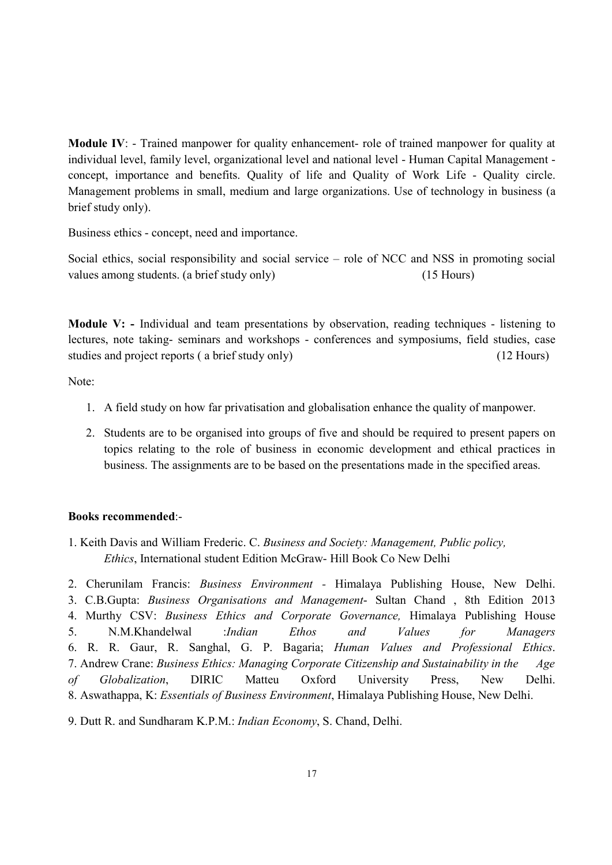Module IV: - Trained manpower for quality enhancement- role of trained manpower for quality at individual level, family level, organizational level and national level - Human Capital Management concept, importance and benefits. Quality of life and Quality of Work Life - Quality circle. Management problems in small, medium and large organizations. Use of technology in business (a brief study only).

Business ethics - concept, need and importance.

Social ethics, social responsibility and social service – role of NCC and NSS in promoting social values among students. (a brief study only) (15 Hours)

Module V: - Individual and team presentations by observation, reading techniques - listening to lectures, note taking- seminars and workshops - conferences and symposiums, field studies, case studies and project reports ( a brief study only) (12 Hours)

Note:

- 1. A field study on how far privatisation and globalisation enhance the quality of manpower.
- 2. Students are to be organised into groups of five and should be required to present papers on topics relating to the role of business in economic development and ethical practices in business. The assignments are to be based on the presentations made in the specified areas.

#### Books recommended:-

1. Keith Davis and William Frederic. C. Business and Society: Management, Public policy, Ethics, International student Edition McGraw- Hill Book Co New Delhi

2. Cherunilam Francis: Business Environment - Himalaya Publishing House, New Delhi. 3. C.B.Gupta: Business Organisations and Management- Sultan Chand , 8th Edition 2013 4. Murthy CSV: Business Ethics and Corporate Governance, Himalaya Publishing House 5. N.M.Khandelwal :Indian Ethos and Values for Managers 6. R. R. Gaur, R. Sanghal, G. P. Bagaria; Human Values and Professional Ethics. 7. Andrew Crane: Business Ethics: Managing Corporate Citizenship and Sustainability in the Age of Globalization, DIRIC Matteu Oxford University Press, New Delhi. 8. Aswathappa, K: Essentials of Business Environment, Himalaya Publishing House, New Delhi.

9. Dutt R. and Sundharam K.P.M.: Indian Economy, S. Chand, Delhi.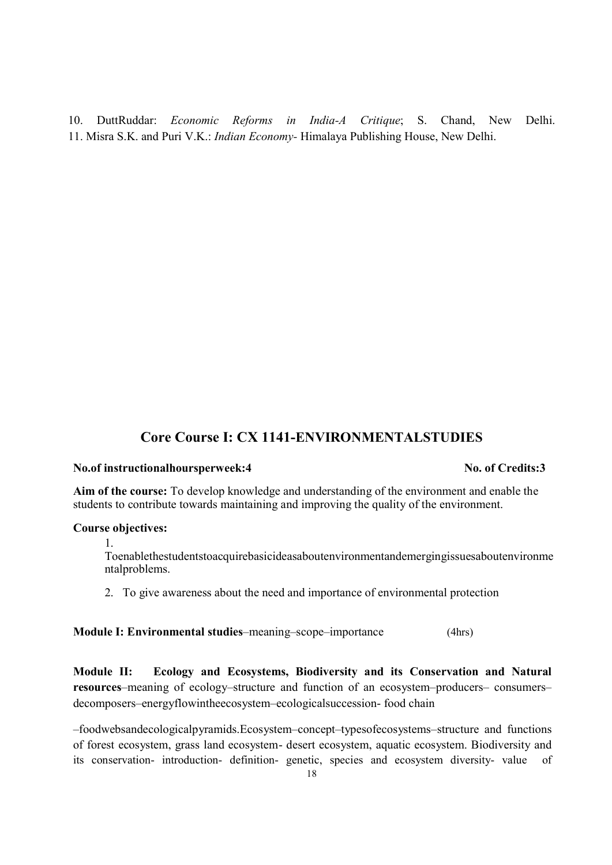10. DuttRuddar: Economic Reforms in India-A Critique; S. Chand, New Delhi. 11. Misra S.K. and Puri V.K.: Indian Economy- Himalaya Publishing House, New Delhi.

# Core Course I: CX 1141-ENVIRONMENTALSTUDIES

#### No.of instructionalhoursperweek:4 No.of Credits:3

# Aim of the course: To develop knowledge and understanding of the environment and enable the students to contribute towards maintaining and improving the quality of the environment.

#### Course objectives:

1.

Toenablethestudentstoacquirebasicideasaboutenvironmentandemergingissuesaboutenvironme ntalproblems.

2. To give awareness about the need and importance of environmental protection

Module I: Environmental studies–meaning–scope–importance (4hrs)

Module II: Ecology and Ecosystems, Biodiversity and its Conservation and Natural resources–meaning of ecology–structure and function of an ecosystem–producers– consumers– decomposers–energyflowintheecosystem–ecologicalsuccession- food chain

–foodwebsandecologicalpyramids.Ecosystem–concept–typesofecosystems–structure and functions of forest ecosystem, grass land ecosystem- desert ecosystem, aquatic ecosystem. Biodiversity and its conservation- introduction- definition- genetic, species and ecosystem diversity- value of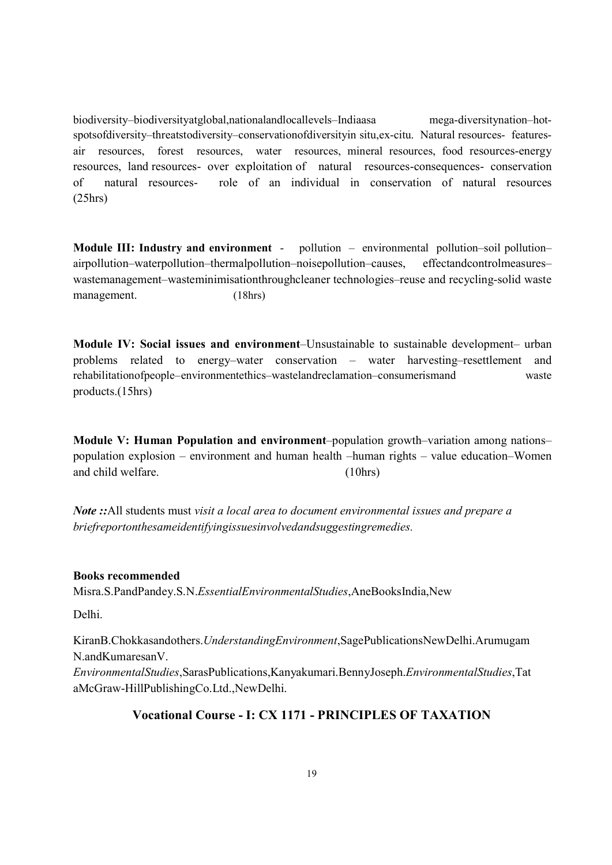biodiversity–biodiversityatglobal,nationalandlocallevels–Indiaasa mega-diversitynation–hotspotsofdiversity–threatstodiversity–conservationofdiversityin situ,ex-citu. Natural resources- featuresair resources, forest resources, water resources, mineral resources, food resources-energy resources, land resources- over exploitation of natural resources-consequences- conservation of natural resources- role of an individual in conservation of natural resources (25hrs)

Module III: Industry and environment - pollution - environmental pollution-soil pollutionairpollution–waterpollution–thermalpollution–noisepollution–causes, effectandcontrolmeasures– wastemanagement–wasteminimisationthroughcleaner technologies–reuse and recycling-solid waste management. (18hrs)

Module IV: Social issues and environment–Unsustainable to sustainable development– urban problems related to energy–water conservation – water harvesting–resettlement and rehabilitationofpeople–environmentethics–wastelandreclamation–consumerismand waste products.(15hrs)

Module V: Human Population and environment–population growth–variation among nations– population explosion – environment and human health –human rights – value education–Women and child welfare. (10hrs)

Note :: All students must visit a local area to document environmental issues and prepare a briefreportonthesameidentifyingissuesinvolvedandsuggestingremedies.

Books recommended Misra.S.PandPandey.S.N.EssentialEnvironmentalStudies,AneBooksIndia,New

Delhi.

KiranB.Chokkasandothers.UnderstandingEnvironment,SagePublicationsNewDelhi.Arumugam N.andKumaresanV.

EnvironmentalStudies,SarasPublications,Kanyakumari.BennyJoseph.EnvironmentalStudies,Tat aMcGraw-HillPublishingCo.Ltd.,NewDelhi.

# Vocational Course - I: CX 1171 - PRINCIPLES OF TAXATION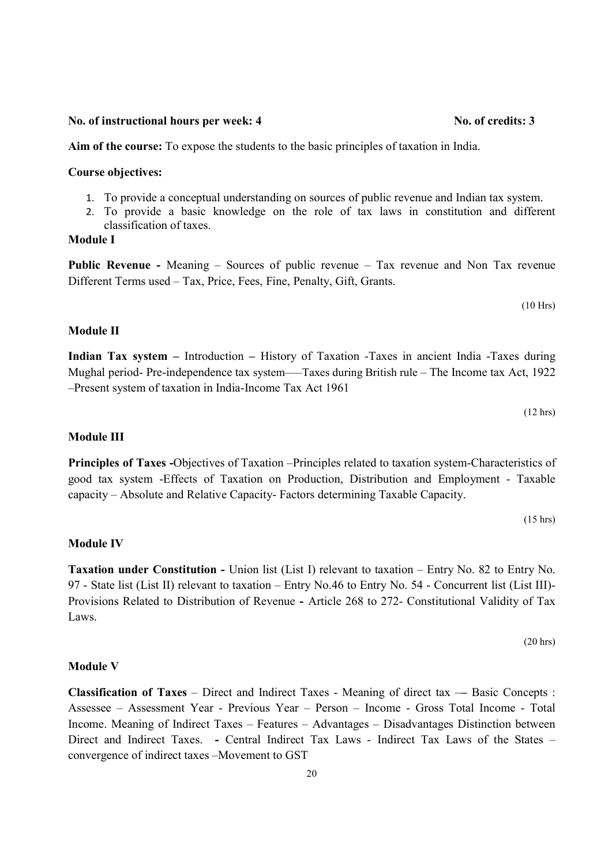#### No. of instructional hours per week: 4 No. of credits: 3

–Present system of taxation in India-Income Tax Act 1961

Aim of the course: To expose the students to the basic principles of taxation in India.

#### Course objectives:

- 1. To provide a conceptual understanding on sources of public revenue and Indian tax system.
- 2. To provide a basic knowledge on the role of tax laws in constitution and different classification of taxes.

#### Module I

Module II

Public Revenue - Meaning – Sources of public revenue – Tax revenue and Non Tax revenue Different Terms used – Tax, Price, Fees, Fine, Penalty, Gift, Grants.

Indian Tax system – Introduction – History of Taxation -Taxes in ancient India -Taxes during Mughal period- Pre-independence tax system——Taxes during British rule – The Income tax Act, 1922

(10 Hrs)

# (12 hrs)

### Module III

Principles of Taxes -Objectives of Taxation –Principles related to taxation system-Characteristics of good tax system -Effects of Taxation on Production, Distribution and Employment - Taxable capacity – Absolute and Relative Capacity- Factors determining Taxable Capacity.

(15 hrs)

### Module IV

Taxation under Constitution - Union list (List I) relevant to taxation – Entry No. 82 to Entry No. 97 - State list (List II) relevant to taxation – Entry No.46 to Entry No. 54 - Concurrent list (List III)- Provisions Related to Distribution of Revenue - Article 268 to 272- Constitutional Validity of Tax Laws.

(20 hrs)

#### Module V

Classification of Taxes – Direct and Indirect Taxes - Meaning of direct tax –– Basic Concepts : Assessee – Assessment Year - Previous Year – Person – Income - Gross Total Income - Total Income. Meaning of Indirect Taxes – Features – Advantages – Disadvantages Distinction between Direct and Indirect Taxes. - Central Indirect Tax Laws - Indirect Tax Laws of the States – convergence of indirect taxes –Movement to GST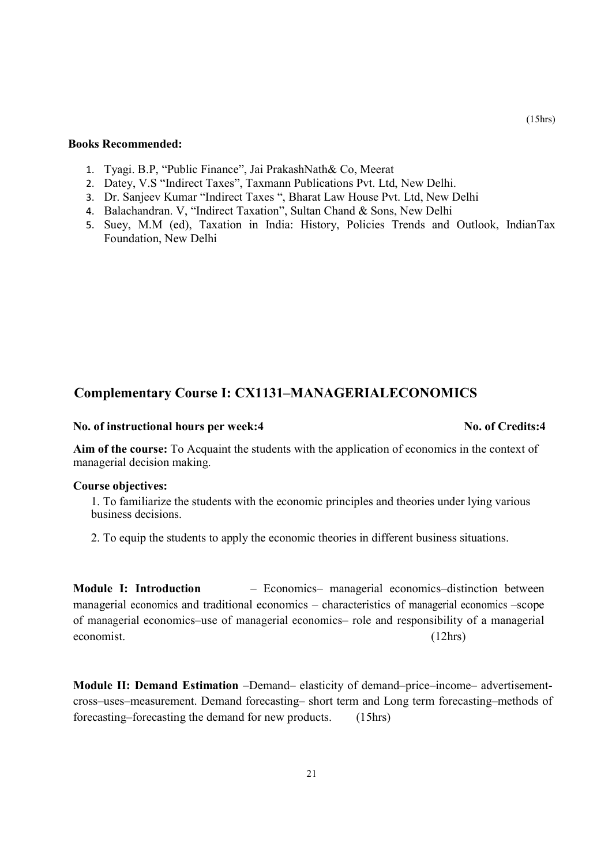#### Books Recommended:

- 1. Tyagi. B.P, "Public Finance", Jai PrakashNath& Co, Meerat
- 2. Datey, V.S "Indirect Taxes", Taxmann Publications Pvt. Ltd, New Delhi.
- 3. Dr. Sanjeev Kumar "Indirect Taxes ", Bharat Law House Pvt. Ltd, New Delhi
- 4. Balachandran. V, "Indirect Taxation", Sultan Chand & Sons, New Delhi
- 5. Suey, M.M (ed), Taxation in India: History, Policies Trends and Outlook, IndianTax Foundation, New Delhi

### Complementary Course I: CX1131–MANAGERIALECONOMICS

#### No. of instructional hours per week:4 No. of Credits:4

Aim of the course: To Acquaint the students with the application of economics in the context of managerial decision making.

#### Course objectives:

1. To familiarize the students with the economic principles and theories under lying various business decisions.

2. To equip the students to apply the economic theories in different business situations.

Module I: Introduction – Economics– managerial economics–distinction between managerial economics and traditional economics – characteristics of managerial economics –scope of managerial economics–use of managerial economics– role and responsibility of a managerial economist. (12hrs)

Module II: Demand Estimation –Demand– elasticity of demand–price–income– advertisementcross–uses–measurement. Demand forecasting– short term and Long term forecasting–methods of forecasting–forecasting the demand for new products. (15hrs)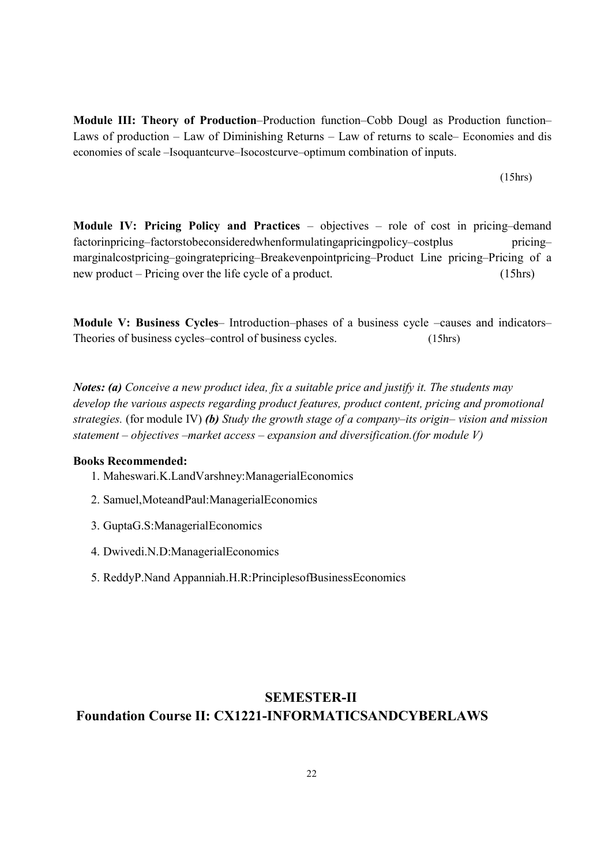Module III: Theory of Production–Production function–Cobb Dougl as Production function– Laws of production – Law of Diminishing Returns – Law of returns to scale– Economies and dis economies of scale –Isoquantcurve–Isocostcurve–optimum combination of inputs.

(15hrs)

Module IV: Pricing Policy and Practices – objectives – role of cost in pricing–demand factorinpricing–factorstobeconsideredwhenformulatingapricingpolicy–costplus pricing– marginalcostpricing–goingratepricing–Breakevenpointpricing–Product Line pricing–Pricing of a new product – Pricing over the life cycle of a product. (15hrs)

Module V: Business Cycles– Introduction–phases of a business cycle –causes and indicators– Theories of business cycles–control of business cycles. (15hrs)

Notes: (a) Conceive a new product idea, fix a suitable price and justify it. The students may develop the various aspects regarding product features, product content, pricing and promotional strategies. (for module IV) (b) Study the growth stage of a company–its origin– vision and mission statement – objectives –market access – expansion and diversification.(for module  $V$ )

#### Books Recommended:

- 1. Maheswari.K.LandVarshney:ManagerialEconomics
- 2. Samuel,MoteandPaul:ManagerialEconomics
- 3. GuptaG.S:ManagerialEconomics
- 4. Dwivedi.N.D:ManagerialEconomics
- 5. ReddyP.Nand Appanniah.H.R:PrinciplesofBusinessEconomics

# SEMESTER-II Foundation Course II: CX1221-INFORMATICSANDCYBERLAWS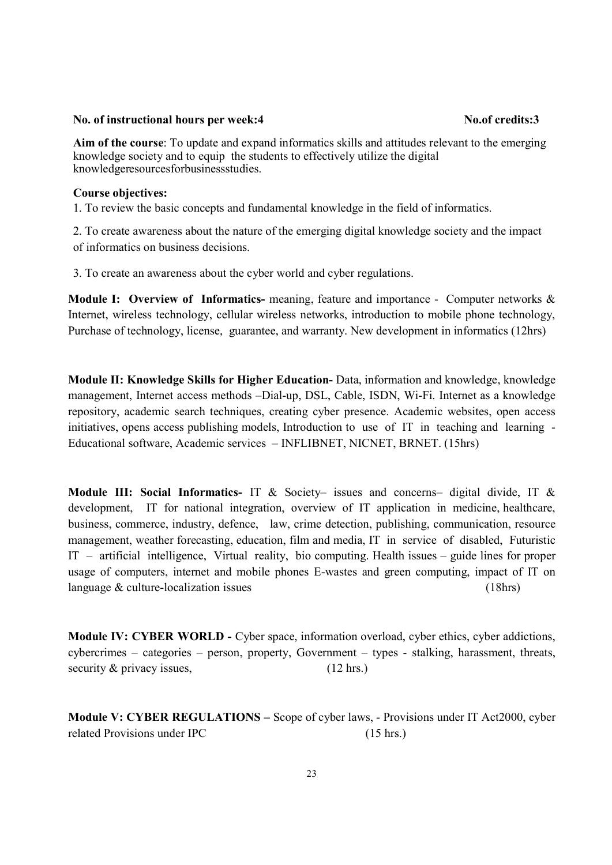#### No. of instructional hours per week:4 No. of credits:3

Aim of the course: To update and expand informatics skills and attitudes relevant to the emerging knowledge society and to equip the students to effectively utilize the digital knowledgeresourcesforbusinessstudies.

#### Course objectives:

1. To review the basic concepts and fundamental knowledge in the field of informatics.

2. To create awareness about the nature of the emerging digital knowledge society and the impact of informatics on business decisions.

3. To create an awareness about the cyber world and cyber regulations.

Module I: Overview of Informatics- meaning, feature and importance - Computer networks & Internet, wireless technology, cellular wireless networks, introduction to mobile phone technology, Purchase of technology, license, guarantee, and warranty. New development in informatics (12hrs)

Module II: Knowledge Skills for Higher Education- Data, information and knowledge, knowledge management, Internet access methods –Dial-up, DSL, Cable, ISDN, Wi-Fi. Internet as a knowledge repository, academic search techniques, creating cyber presence. Academic websites, open access initiatives, opens access publishing models, Introduction to use of IT in teaching and learning - Educational software, Academic services – INFLIBNET, NICNET, BRNET. (15hrs)

Module III: Social Informatics- IT & Society- issues and concerns- digital divide, IT & development, IT for national integration, overview of IT application in medicine, healthcare, business, commerce, industry, defence, law, crime detection, publishing, communication, resource management, weather forecasting, education, film and media, IT in service of disabled, Futuristic IT – artificial intelligence, Virtual reality, bio computing. Health issues – guide lines for proper usage of computers, internet and mobile phones E-wastes and green computing, impact of IT on language & culture-localization issues (18hrs)

Module IV: CYBER WORLD - Cyber space, information overload, cyber ethics, cyber addictions, cybercrimes – categories – person, property, Government – types - stalking, harassment, threats, security & privacy issues, (12 hrs.)

Module V: CYBER REGULATIONS – Scope of cyber laws, - Provisions under IT Act2000, cyber related Provisions under IPC (15 hrs.)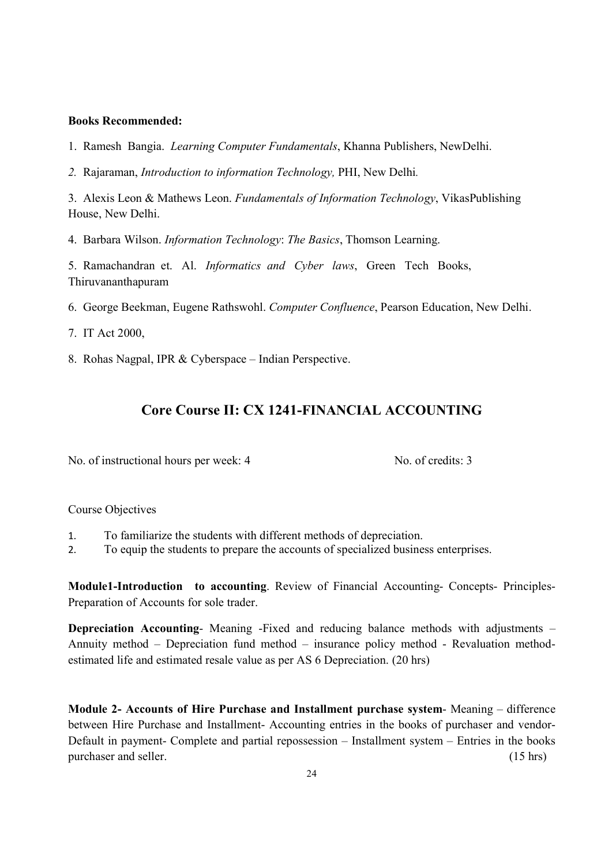#### Books Recommended:

- 1. Ramesh Bangia. Learning Computer Fundamentals, Khanna Publishers, NewDelhi.
- 2. Rajaraman, Introduction to information Technology, PHI, New Delhi.

3. Alexis Leon & Mathews Leon. Fundamentals of Information Technology, VikasPublishing House, New Delhi.

4. Barbara Wilson. Information Technology: The Basics, Thomson Learning.

5. Ramachandran et. Al. Informatics and Cyber laws, Green Tech Books, Thiruvananthapuram

- 6. George Beekman, Eugene Rathswohl. Computer Confluence, Pearson Education, New Delhi.
- 7. IT Act 2000,
- 8. Rohas Nagpal, IPR & Cyberspace Indian Perspective.

# Core Course II: CX 1241-FINANCIAL ACCOUNTING

No. of instructional hours per week: 4 No. of credits: 3

#### Course Objectives

- 1. To familiarize the students with different methods of depreciation.
- 2. To equip the students to prepare the accounts of specialized business enterprises.

Module1-Introduction to accounting. Review of Financial Accounting- Concepts- Principles-Preparation of Accounts for sole trader.

Depreciation Accounting- Meaning -Fixed and reducing balance methods with adjustments – Annuity method – Depreciation fund method – insurance policy method - Revaluation methodestimated life and estimated resale value as per AS 6 Depreciation. (20 hrs)

Module 2- Accounts of Hire Purchase and Installment purchase system- Meaning – difference between Hire Purchase and Installment- Accounting entries in the books of purchaser and vendor-Default in payment- Complete and partial repossession – Installment system – Entries in the books purchaser and seller. (15 hrs)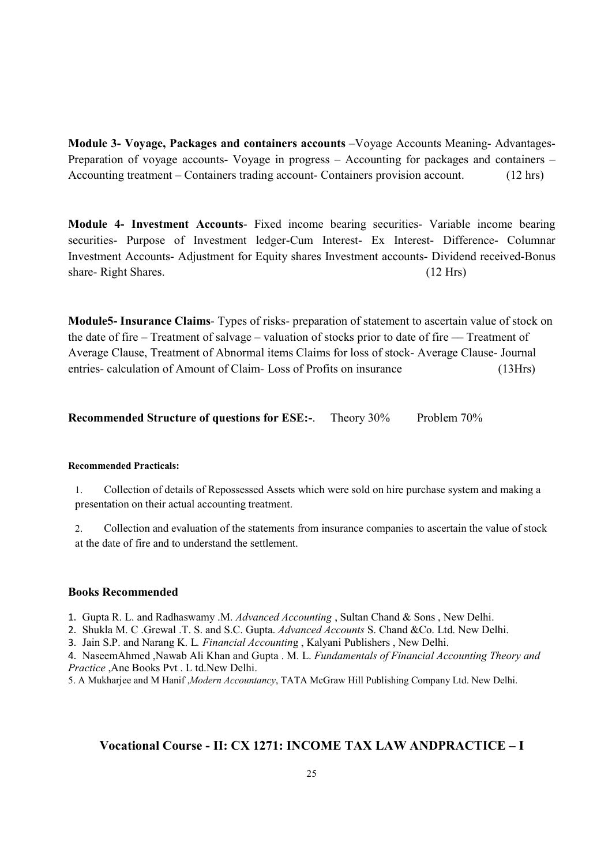Module 3- Voyage, Packages and containers accounts –Voyage Accounts Meaning- Advantages-Preparation of voyage accounts- Voyage in progress – Accounting for packages and containers – Accounting treatment – Containers trading account- Containers provision account. (12 hrs)

Module 4- Investment Accounts- Fixed income bearing securities- Variable income bearing securities- Purpose of Investment ledger-Cum Interest- Ex Interest- Difference- Columnar Investment Accounts- Adjustment for Equity shares Investment accounts- Dividend received-Bonus share- Right Shares. (12 Hrs)

Module5- Insurance Claims- Types of risks- preparation of statement to ascertain value of stock on the date of fire – Treatment of salvage – valuation of stocks prior to date of fire –– Treatment of Average Clause, Treatment of Abnormal items Claims for loss of stock- Average Clause- Journal entries- calculation of Amount of Claim- Loss of Profits on insurance (13Hrs)

Recommended Structure of questions for ESE:-. Theory 30% Problem 70%

#### Recommended Practicals:

1. Collection of details of Repossessed Assets which were sold on hire purchase system and making a presentation on their actual accounting treatment.

2. Collection and evaluation of the statements from insurance companies to ascertain the value of stock at the date of fire and to understand the settlement.

#### Books Recommended

1. Gupta R. L. and Radhaswamy .M. Advanced Accounting, Sultan Chand & Sons, New Delhi.

2. Shukla M. C .Grewal .T. S. and S.C. Gupta. Advanced Accounts S. Chand & Co. Ltd. New Delhi.

3. Jain S.P. and Narang K. L. Financial Accounting , Kalyani Publishers , New Delhi.

4. NaseemAhmed ,Nawab Ali Khan and Gupta . M. L. Fundamentals of Financial Accounting Theory and Practice ,Ane Books Pvt . L td.New Delhi.

5. A Mukharjee and M Hanif , Modern Accountancy, TATA McGraw Hill Publishing Company Ltd. New Delhi.

#### Vocational Course - II: CX 1271: INCOME TAX LAW ANDPRACTICE – I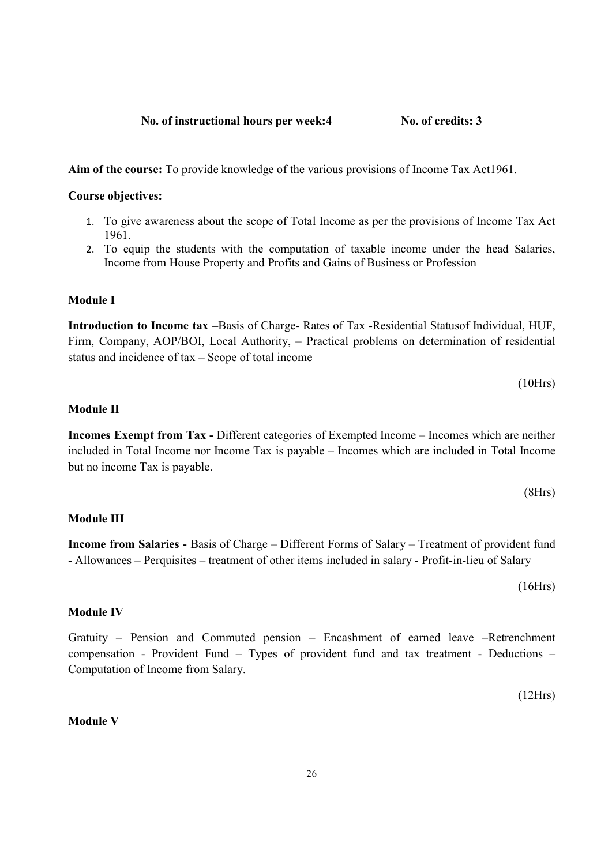No. of instructional hours per week:4 No. of credits: 3

Aim of the course: To provide knowledge of the various provisions of Income Tax Act1961.

#### Course objectives:

- 1. To give awareness about the scope of Total Income as per the provisions of Income Tax Act 1961.
- 2. To equip the students with the computation of taxable income under the head Salaries, Income from House Property and Profits and Gains of Business or Profession

#### Module I

Introduction to Income tax –Basis of Charge- Rates of Tax -Residential Statusof Individual, HUF, Firm, Company, AOP/BOI, Local Authority, – Practical problems on determination of residential status and incidence of tax – Scope of total income

$$
(10Hrs)
$$

#### Module II

Incomes Exempt from Tax - Different categories of Exempted Income – Incomes which are neither included in Total Income nor Income Tax is payable – Incomes which are included in Total Income but no income Tax is payable.

$$
(8Hrs)
$$

#### Module III

Income from Salaries - Basis of Charge – Different Forms of Salary – Treatment of provident fund - Allowances – Perquisites – treatment of other items included in salary - Profit-in-lieu of Salary

(16Hrs)

#### Module IV

Gratuity – Pension and Commuted pension – Encashment of earned leave –Retrenchment compensation - Provident Fund – Types of provident fund and tax treatment - Deductions – Computation of Income from Salary.

(12Hrs)

#### Module V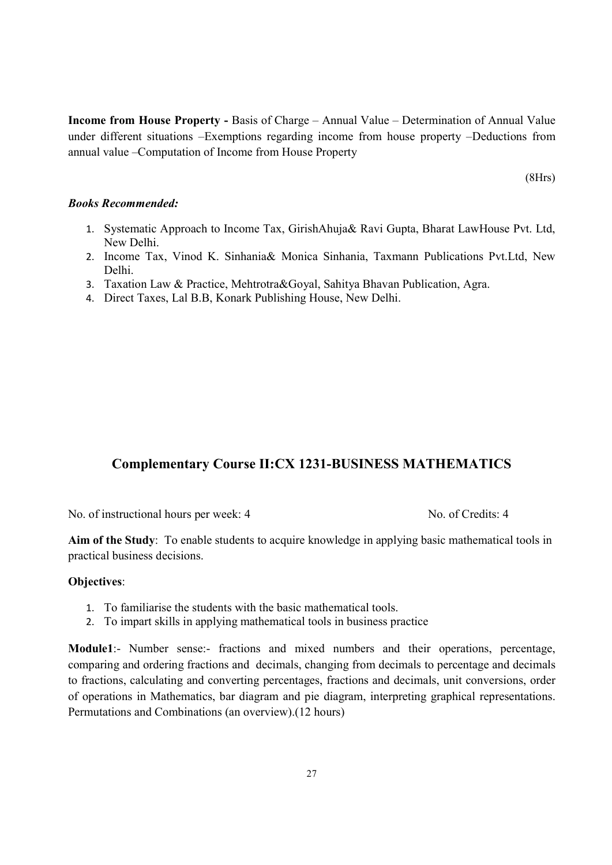Income from House Property - Basis of Charge – Annual Value – Determination of Annual Value under different situations –Exemptions regarding income from house property –Deductions from annual value –Computation of Income from House Property

(8Hrs)

#### Books Recommended:

- 1. Systematic Approach to Income Tax, GirishAhuja& Ravi Gupta, Bharat LawHouse Pvt. Ltd, New Delhi.
- 2. Income Tax, Vinod K. Sinhania& Monica Sinhania, Taxmann Publications Pvt.Ltd, New Delhi.
- 3. Taxation Law & Practice, Mehtrotra&Goyal, Sahitya Bhavan Publication, Agra.
- 4. Direct Taxes, Lal B.B, Konark Publishing House, New Delhi.

### Complementary Course II:CX 1231-BUSINESS MATHEMATICS

No. of instructional hours per week: 4 No. of Credits: 4

Aim of the Study: To enable students to acquire knowledge in applying basic mathematical tools in practical business decisions.

#### Objectives:

- 1. To familiarise the students with the basic mathematical tools.
- 2. To impart skills in applying mathematical tools in business practice

Module1:- Number sense:- fractions and mixed numbers and their operations, percentage, comparing and ordering fractions and decimals, changing from decimals to percentage and decimals to fractions, calculating and converting percentages, fractions and decimals, unit conversions, order of operations in Mathematics, bar diagram and pie diagram, interpreting graphical representations. Permutations and Combinations (an overview).(12 hours)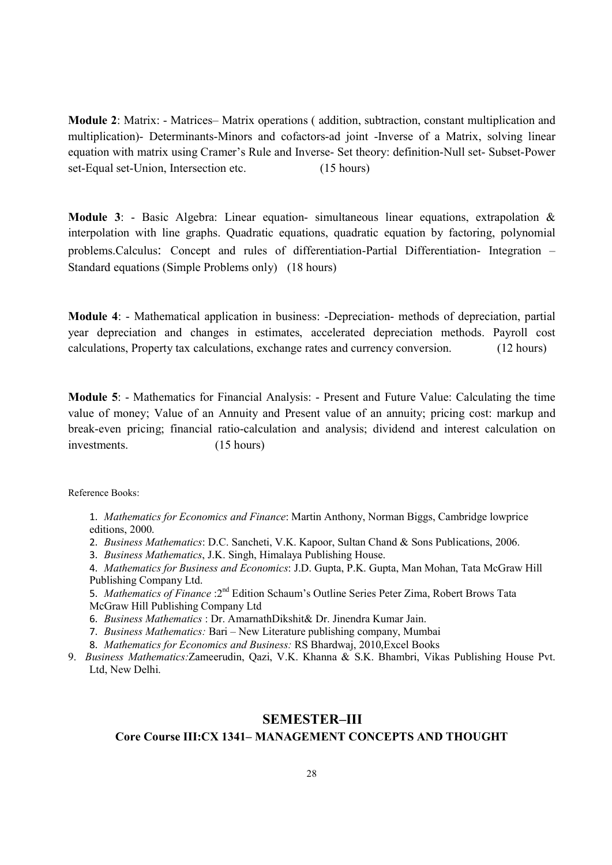Module 2: Matrix: - Matrices– Matrix operations ( addition, subtraction, constant multiplication and multiplication)- Determinants-Minors and cofactors-ad joint -Inverse of a Matrix, solving linear equation with matrix using Cramer's Rule and Inverse- Set theory: definition-Null set- Subset-Power set-Equal set-Union, Intersection etc. (15 hours)

Module 3: - Basic Algebra: Linear equation- simultaneous linear equations, extrapolation & interpolation with line graphs. Quadratic equations, quadratic equation by factoring, polynomial problems.Calculus: Concept and rules of differentiation-Partial Differentiation- Integration – Standard equations (Simple Problems only) (18 hours)

Module 4: - Mathematical application in business: -Depreciation- methods of depreciation, partial year depreciation and changes in estimates, accelerated depreciation methods. Payroll cost calculations, Property tax calculations, exchange rates and currency conversion. (12 hours)

Module 5: - Mathematics for Financial Analysis: - Present and Future Value: Calculating the time value of money; Value of an Annuity and Present value of an annuity; pricing cost: markup and break-even pricing; financial ratio-calculation and analysis; dividend and interest calculation on investments. (15 hours)

Reference Books:

1. Mathematics for Economics and Finance: Martin Anthony, Norman Biggs, Cambridge lowprice editions, 2000.

2. Business Mathematics: D.C. Sancheti, V.K. Kapoor, Sultan Chand & Sons Publications, 2006.

3. Business Mathematics, J.K. Singh, Himalaya Publishing House.

4. Mathematics for Business and Economics: J.D. Gupta, P.K. Gupta, Man Mohan, Tata McGraw Hill Publishing Company Ltd.

5. Mathematics of Finance : 2<sup>nd</sup> Edition Schaum's Outline Series Peter Zima, Robert Brows Tata McGraw Hill Publishing Company Ltd

6. Business Mathematics : Dr. AmarnathDikshit& Dr. Jinendra Kumar Jain.

7. Business Mathematics: Bari – New Literature publishing company, Mumbai

8. Mathematics for Economics and Business: RS Bhardwaj, 2010,Excel Books

9. Business Mathematics:Zameerudin, Qazi, V.K. Khanna & S.K. Bhambri, Vikas Publishing House Pvt. Ltd, New Delhi.

# SEMESTER–III

# Core Course III:CX 1341– MANAGEMENT CONCEPTS AND THOUGHT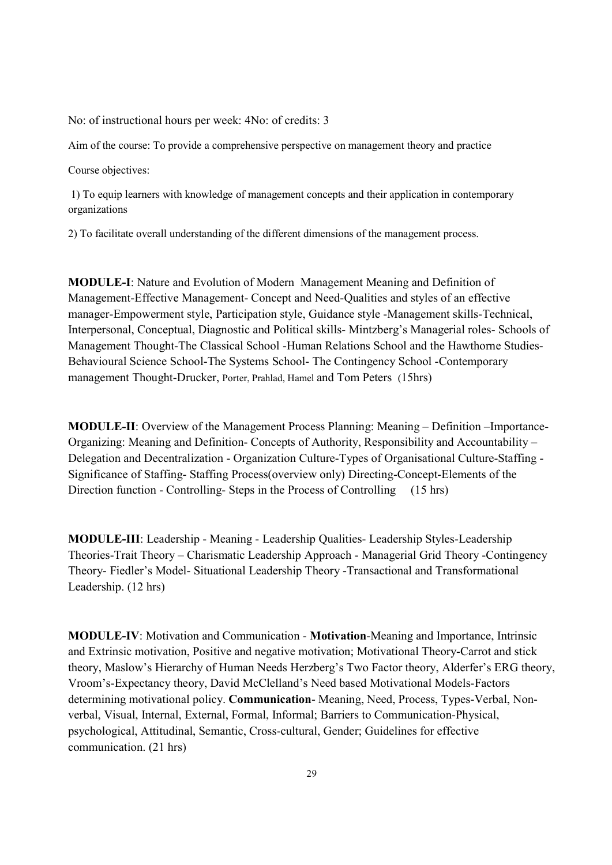No: of instructional hours per week: 4No: of credits: 3

Aim of the course: To provide a comprehensive perspective on management theory and practice

Course objectives:

 1) To equip learners with knowledge of management concepts and their application in contemporary organizations

2) To facilitate overall understanding of the different dimensions of the management process.

MODULE-I: Nature and Evolution of Modern Management Meaning and Definition of Management-Effective Management- Concept and Need-Qualities and styles of an effective manager-Empowerment style, Participation style, Guidance style -Management skills-Technical, Interpersonal, Conceptual, Diagnostic and Political skills- Mintzberg's Managerial roles- Schools of Management Thought-The Classical School -Human Relations School and the Hawthorne Studies-Behavioural Science School-The Systems School- The Contingency School -Contemporary management Thought-Drucker, Porter, Prahlad, Hamel and Tom Peters (15hrs)

MODULE-II: Overview of the Management Process Planning: Meaning – Definition –Importance-Organizing: Meaning and Definition- Concepts of Authority, Responsibility and Accountability – Delegation and Decentralization - Organization Culture-Types of Organisational Culture-Staffing - Significance of Staffing- Staffing Process(overview only) Directing-Concept-Elements of the Direction function - Controlling-Steps in the Process of Controlling (15 hrs)

MODULE-III: Leadership - Meaning - Leadership Qualities- Leadership Styles-Leadership Theories-Trait Theory – Charismatic Leadership Approach - Managerial Grid Theory -Contingency Theory- Fiedler's Model- Situational Leadership Theory -Transactional and Transformational Leadership. (12 hrs)

MODULE-IV: Motivation and Communication - Motivation-Meaning and Importance, Intrinsic and Extrinsic motivation, Positive and negative motivation; Motivational Theory-Carrot and stick theory, Maslow's Hierarchy of Human Needs Herzberg's Two Factor theory, Alderfer's ERG theory, Vroom's-Expectancy theory, David McClelland's Need based Motivational Models-Factors determining motivational policy. Communication- Meaning, Need, Process, Types-Verbal, Nonverbal, Visual, Internal, External, Formal, Informal; Barriers to Communication-Physical, psychological, Attitudinal, Semantic, Cross-cultural, Gender; Guidelines for effective communication. (21 hrs)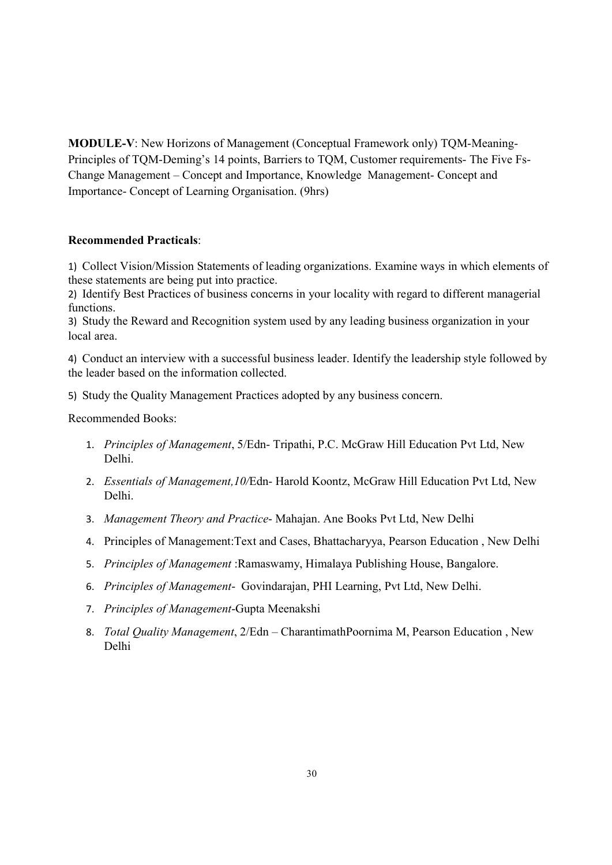MODULE-V: New Horizons of Management (Conceptual Framework only) TQM-Meaning-Principles of TQM-Deming's 14 points, Barriers to TQM, Customer requirements- The Five Fs-Change Management – Concept and Importance, Knowledge Management- Concept and Importance- Concept of Learning Organisation. (9hrs)

#### Recommended Practicals:

1) Collect Vision/Mission Statements of leading organizations. Examine ways in which elements of these statements are being put into practice.

2) Identify Best Practices of business concerns in your locality with regard to different managerial functions.

3) Study the Reward and Recognition system used by any leading business organization in your local area.

4) Conduct an interview with a successful business leader. Identify the leadership style followed by the leader based on the information collected.

5) Study the Quality Management Practices adopted by any business concern.

Recommended Books:

- 1. Principles of Management, 5/Edn- Tripathi, P.C. McGraw Hill Education Pvt Ltd, New Delhi.
- 2. Essentials of Management, 10/Edn- Harold Koontz, McGraw Hill Education Pvt Ltd, New Delhi.
- 3. Management Theory and Practice- Mahajan. Ane Books Pvt Ltd, New Delhi
- 4. Principles of Management:Text and Cases, Bhattacharyya, Pearson Education , New Delhi
- 5. Principles of Management :Ramaswamy, Himalaya Publishing House, Bangalore.
- 6. Principles of Management- Govindarajan, PHI Learning, Pvt Ltd, New Delhi.
- 7. Principles of Management-Gupta Meenakshi
- 8. Total Quality Management, 2/Edn CharantimathPoornima M, Pearson Education, New Delhi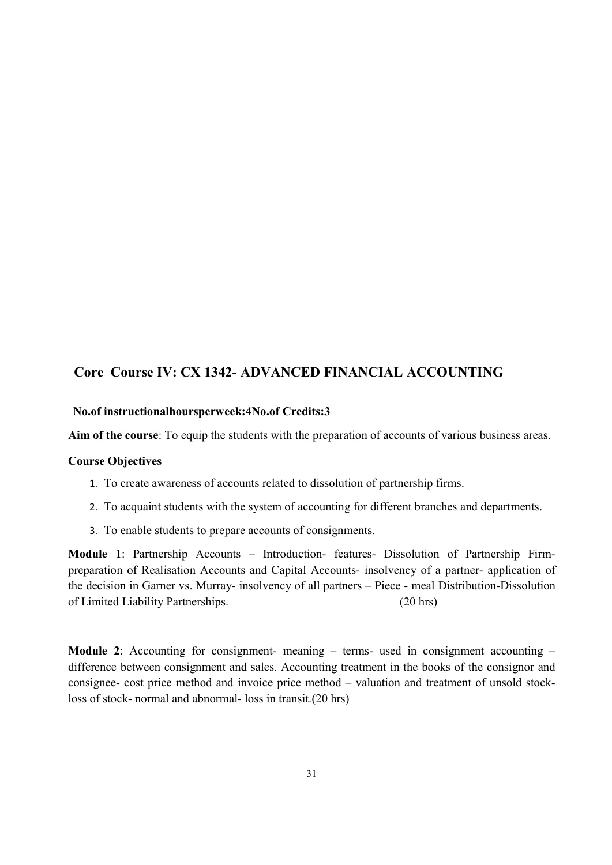# Core Course IV: CX 1342- ADVANCED FINANCIAL ACCOUNTING

#### No.of instructionalhoursperweek:4No.of Credits:3

Aim of the course: To equip the students with the preparation of accounts of various business areas.

#### Course Objectives

- 1. To create awareness of accounts related to dissolution of partnership firms.
- 2. To acquaint students with the system of accounting for different branches and departments.
- 3. To enable students to prepare accounts of consignments.

Module 1: Partnership Accounts – Introduction- features- Dissolution of Partnership Firmpreparation of Realisation Accounts and Capital Accounts- insolvency of a partner- application of the decision in Garner vs. Murray- insolvency of all partners – Piece - meal Distribution-Dissolution of Limited Liability Partnerships. (20 hrs)

Module 2: Accounting for consignment- meaning – terms- used in consignment accounting – difference between consignment and sales. Accounting treatment in the books of the consignor and consignee- cost price method and invoice price method – valuation and treatment of unsold stockloss of stock- normal and abnormal- loss in transit.(20 hrs)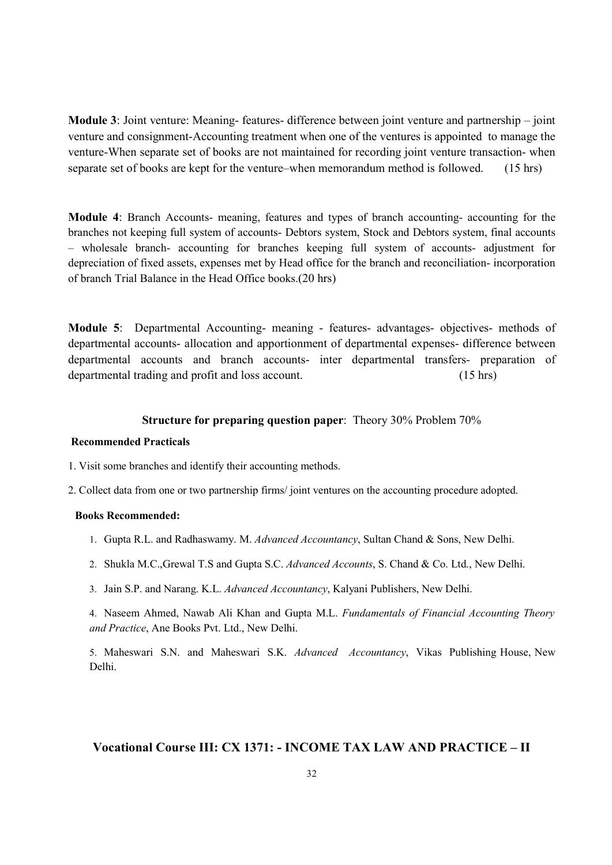Module 3: Joint venture: Meaning- features- difference between joint venture and partnership – joint venture and consignment-Accounting treatment when one of the ventures is appointed to manage the venture-When separate set of books are not maintained for recording joint venture transaction- when separate set of books are kept for the venture–when memorandum method is followed. (15 hrs)

Module 4: Branch Accounts- meaning, features and types of branch accounting- accounting for the branches not keeping full system of accounts- Debtors system, Stock and Debtors system, final accounts – wholesale branch- accounting for branches keeping full system of accounts- adjustment for depreciation of fixed assets, expenses met by Head office for the branch and reconciliation- incorporation of branch Trial Balance in the Head Office books.(20 hrs)

Module 5: Departmental Accounting- meaning - features- advantages- objectives- methods of departmental accounts- allocation and apportionment of departmental expenses- difference between departmental accounts and branch accounts- inter departmental transfers- preparation of departmental trading and profit and loss account. (15 hrs)

#### Structure for preparing question paper: Theory 30% Problem 70%

#### Recommended Practicals

- 1. Visit some branches and identify their accounting methods.
- 2. Collect data from one or two partnership firms/ joint ventures on the accounting procedure adopted.

#### Books Recommended:

- 1. Gupta R.L. and Radhaswamy. M. Advanced Accountancy, Sultan Chand & Sons, New Delhi.
- 2. Shukla M.C.,Grewal T.S and Gupta S.C. Advanced Accounts, S. Chand & Co. Ltd., New Delhi.
- 3. Jain S.P. and Narang. K.L. Advanced Accountancy, Kalyani Publishers, New Delhi.

4. Naseem Ahmed, Nawab Ali Khan and Gupta M.L. Fundamentals of Financial Accounting Theory and Practice, Ane Books Pvt. Ltd., New Delhi.

5. Maheswari S.N. and Maheswari S.K. Advanced Accountancy, Vikas Publishing House, New Delhi.

#### Vocational Course III: CX 1371: - INCOME TAX LAW AND PRACTICE – II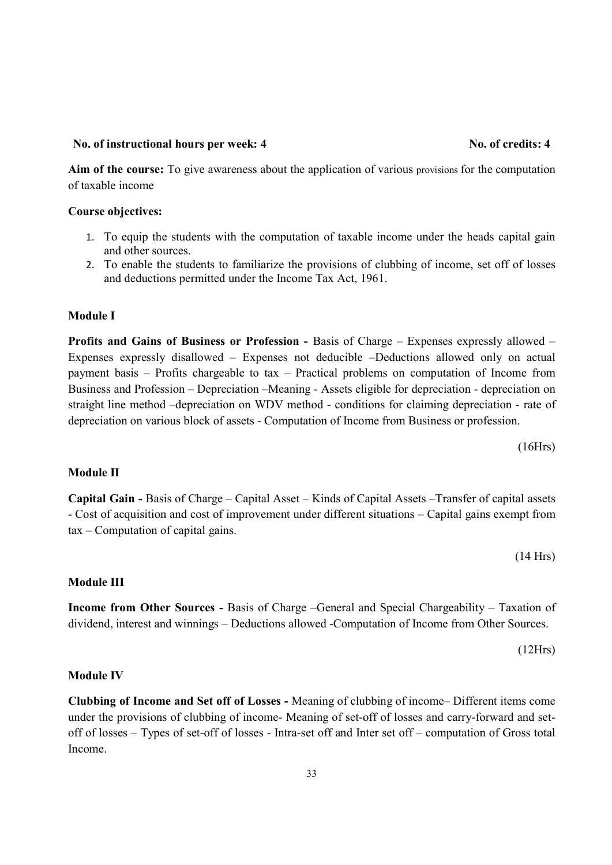#### 33

# No. of instructional hours per week: 4 No. of credits: 4

Aim of the course: To give awareness about the application of various provisions for the computation of taxable income

### Course objectives:

- 1. To equip the students with the computation of taxable income under the heads capital gain and other sources.
- 2. To enable the students to familiarize the provisions of clubbing of income, set off of losses and deductions permitted under the Income Tax Act, 1961.

### Module I

Profits and Gains of Business or Profession - Basis of Charge – Expenses expressly allowed – Expenses expressly disallowed – Expenses not deducible –Deductions allowed only on actual payment basis – Profits chargeable to tax – Practical problems on computation of Income from Business and Profession – Depreciation –Meaning - Assets eligible for depreciation - depreciation on straight line method –depreciation on WDV method - conditions for claiming depreciation - rate of depreciation on various block of assets - Computation of Income from Business or profession.

(16Hrs)

### Module II

Capital Gain - Basis of Charge – Capital Asset – Kinds of Capital Assets –Transfer of capital assets - Cost of acquisition and cost of improvement under different situations – Capital gains exempt from tax – Computation of capital gains.

### Module III

Income from Other Sources - Basis of Charge –General and Special Chargeability – Taxation of dividend, interest and winnings – Deductions allowed -Computation of Income from Other Sources.

Module IV

Clubbing of Income and Set off of Losses - Meaning of clubbing of income– Different items come under the provisions of clubbing of income- Meaning of set-off of losses and carry-forward and setoff of losses – Types of set-off of losses - Intra-set off and Inter set off – computation of Gross total Income.

(14 Hrs)

(12Hrs)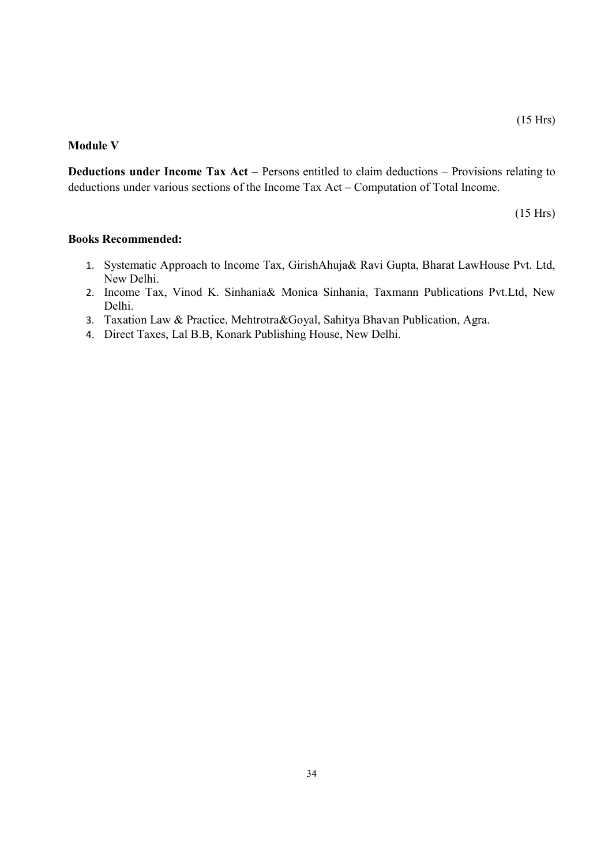#### Module V

Deductions under Income Tax Act – Persons entitled to claim deductions – Provisions relating to deductions under various sections of the Income Tax Act – Computation of Total Income.

(15 Hrs)

#### Books Recommended:

- 1. Systematic Approach to Income Tax, GirishAhuja& Ravi Gupta, Bharat LawHouse Pvt. Ltd, New Delhi.
- 2. Income Tax, Vinod K. Sinhania& Monica Sinhania, Taxmann Publications Pvt.Ltd, New Delhi.
- 3. Taxation Law & Practice, Mehtrotra&Goyal, Sahitya Bhavan Publication, Agra.
- 4. Direct Taxes, Lal B.B, Konark Publishing House, New Delhi.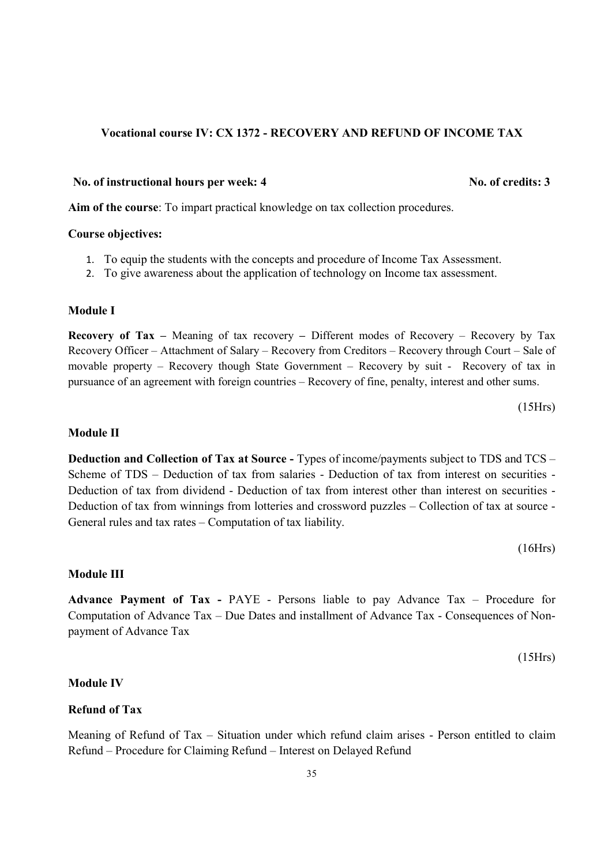#### Vocational course IV: CX 1372 - RECOVERY AND REFUND OF INCOME TAX

#### No. of instructional hours per week: 4 No. of credits: 3

Aim of the course: To impart practical knowledge on tax collection procedures.

#### Course objectives:

- 1. To equip the students with the concepts and procedure of Income Tax Assessment.
- 2. To give awareness about the application of technology on Income tax assessment.

#### Module I

**Recovery of Tax** – Meaning of tax recovery – Different modes of Recovery – Recovery by Tax Recovery Officer – Attachment of Salary – Recovery from Creditors – Recovery through Court – Sale of movable property – Recovery though State Government – Recovery by suit - Recovery of tax in pursuance of an agreement with foreign countries – Recovery of fine, penalty, interest and other sums.

(15Hrs)

#### Module II

Deduction and Collection of Tax at Source - Types of income/payments subject to TDS and TCS – Scheme of TDS – Deduction of tax from salaries - Deduction of tax from interest on securities - Deduction of tax from dividend - Deduction of tax from interest other than interest on securities - Deduction of tax from winnings from lotteries and crossword puzzles – Collection of tax at source - General rules and tax rates – Computation of tax liability.

(16Hrs)

#### Module III

Advance Payment of Tax - PAYE - Persons liable to pay Advance Tax – Procedure for Computation of Advance Tax – Due Dates and installment of Advance Tax - Consequences of Nonpayment of Advance Tax

(15Hrs)

#### Module IV

#### Refund of Tax

Meaning of Refund of Tax – Situation under which refund claim arises - Person entitled to claim Refund – Procedure for Claiming Refund – Interest on Delayed Refund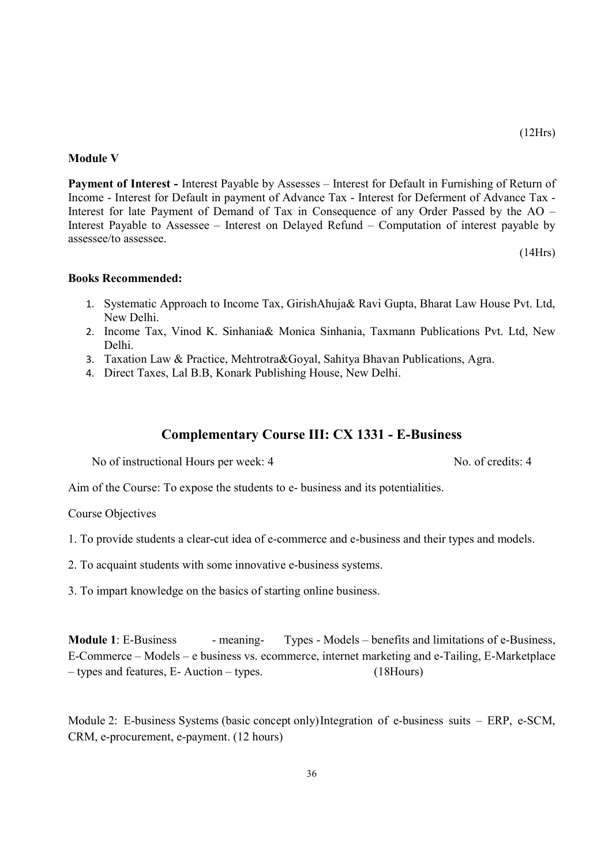#### Module V

Payment of Interest - Interest Payable by Assesses – Interest for Default in Furnishing of Return of Income - Interest for Default in payment of Advance Tax - Interest for Deferment of Advance Tax - Interest for late Payment of Demand of Tax in Consequence of any Order Passed by the AO – Interest Payable to Assessee – Interest on Delayed Refund – Computation of interest payable by assessee/to assessee.

(14Hrs)

#### Books Recommended:

- 1. Systematic Approach to Income Tax, GirishAhuja& Ravi Gupta, Bharat Law House Pvt. Ltd, New Delhi.
- 2. Income Tax, Vinod K. Sinhania& Monica Sinhania, Taxmann Publications Pvt. Ltd, New Delhi.
- 3. Taxation Law & Practice, Mehtrotra&Goyal, Sahitya Bhavan Publications, Agra.
- 4. Direct Taxes, Lal B.B, Konark Publishing House, New Delhi.

### Complementary Course III: CX 1331 - E-Business

No of instructional Hours per week: 4 No. of credits: 4

Aim of the Course: To expose the students to e- business and its potentialities.

Course Objectives

- 1. To provide students a clear-cut idea of e-commerce and e-business and their types and models.
- 2. To acquaint students with some innovative e-business systems.
- 3. To impart knowledge on the basics of starting online business.

Module 1: E-Business - meaning- Types - Models – benefits and limitations of e-Business, E-Commerce – Models – e business vs. ecommerce, internet marketing and e-Tailing, E-Marketplace – types and features, E- Auction – types. (18Hours)

Module 2: E-business Systems (basic concept only) Integration of e-business suits – ERP, e-SCM, CRM, e-procurement, e-payment. (12 hours)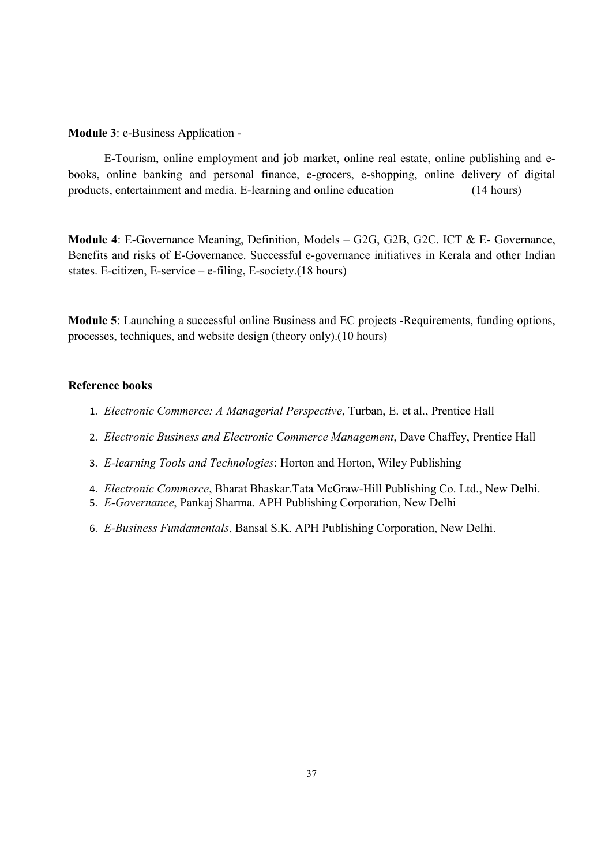Module 3: e-Business Application -

 E-Tourism, online employment and job market, online real estate, online publishing and ebooks, online banking and personal finance, e-grocers, e-shopping, online delivery of digital products, entertainment and media. E-learning and online education (14 hours)

Module 4: E-Governance Meaning, Definition, Models – G2G, G2B, G2C. ICT & E- Governance, Benefits and risks of E-Governance. Successful e-governance initiatives in Kerala and other Indian states. E-citizen, E-service – e-filing, E-society.(18 hours)

Module 5: Launching a successful online Business and EC projects -Requirements, funding options, processes, techniques, and website design (theory only).(10 hours)

#### Reference books

- 1. Electronic Commerce: A Managerial Perspective, Turban, E. et al., Prentice Hall
- 2. Electronic Business and Electronic Commerce Management, Dave Chaffey, Prentice Hall
- 3. E-learning Tools and Technologies: Horton and Horton, Wiley Publishing
- 4. Electronic Commerce, Bharat Bhaskar.Tata McGraw-Hill Publishing Co. Ltd., New Delhi.
- 5. E-Governance, Pankaj Sharma. APH Publishing Corporation, New Delhi
- 6. E-Business Fundamentals, Bansal S.K. APH Publishing Corporation, New Delhi.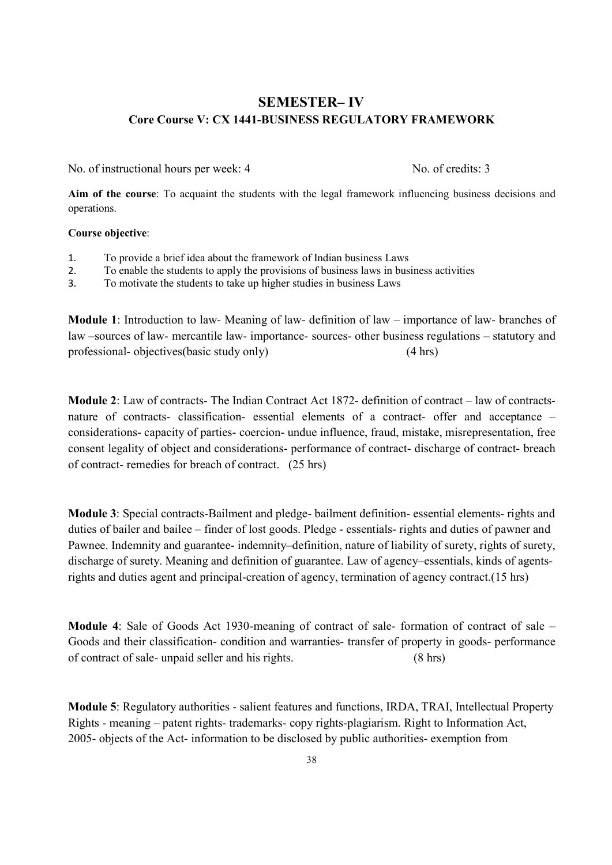# SEMESTER– IV Core Course V: CX 1441-BUSINESS REGULATORY FRAMEWORK

No. of instructional hours per week: 4 No. of credits: 3

Aim of the course: To acquaint the students with the legal framework influencing business decisions and operations.

#### Course objective:

- 1. To provide a brief idea about the framework of Indian business Laws
- 2. To enable the students to apply the provisions of business laws in business activities
- 3. To motivate the students to take up higher studies in business Laws

Module 1: Introduction to law- Meaning of law- definition of law – importance of law- branches of law –sources of law- mercantile law- importance- sources- other business regulations – statutory and professional- objectives(basic study only) (4 hrs)

Module 2: Law of contracts- The Indian Contract Act 1872- definition of contract – law of contractsnature of contracts- classification- essential elements of a contract- offer and acceptance – considerations- capacity of parties- coercion- undue influence, fraud, mistake, misrepresentation, free consent legality of object and considerations- performance of contract- discharge of contract- breach of contract- remedies for breach of contract. (25 hrs)

Module 3: Special contracts-Bailment and pledge- bailment definition- essential elements- rights and duties of bailer and bailee – finder of lost goods. Pledge - essentials- rights and duties of pawner and Pawnee. Indemnity and guarantee- indemnity–definition, nature of liability of surety, rights of surety, discharge of surety. Meaning and definition of guarantee. Law of agency–essentials, kinds of agentsrights and duties agent and principal-creation of agency, termination of agency contract.(15 hrs)

Module 4: Sale of Goods Act 1930-meaning of contract of sale- formation of contract of sale – Goods and their classification- condition and warranties- transfer of property in goods- performance of contract of sale- unpaid seller and his rights. (8 hrs)

Module 5: Regulatory authorities - salient features and functions, IRDA, TRAI, Intellectual Property Rights - meaning – patent rights- trademarks- copy rights-plagiarism. Right to Information Act, 2005- objects of the Act- information to be disclosed by public authorities- exemption from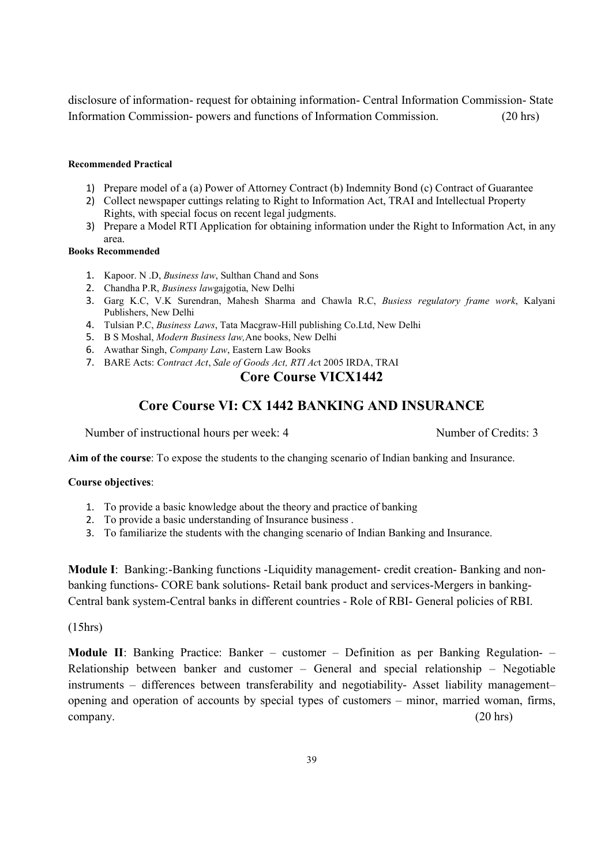disclosure of information- request for obtaining information- Central Information Commission- State Information Commission- powers and functions of Information Commission. (20 hrs)

#### Recommended Practical

- 1) Prepare model of a (a) Power of Attorney Contract (b) Indemnity Bond (c) Contract of Guarantee
- 2) Collect newspaper cuttings relating to Right to Information Act, TRAI and Intellectual Property Rights, with special focus on recent legal judgments.
- 3) Prepare a Model RTI Application for obtaining information under the Right to Information Act, in any area.

#### Books Recommended

- 1. Kapoor. N .D, Business law, Sulthan Chand and Sons
- 2. Chandha P.R, Business lawgajgotia, New Delhi
- 3. Garg K.C, V.K Surendran, Mahesh Sharma and Chawla R.C, Busiess regulatory frame work, Kalyani Publishers, New Delhi
- 4. Tulsian P.C, Business Laws, Tata Macgraw-Hill publishing Co.Ltd, New Delhi
- 5. B S Moshal, Modern Business law,Ane books, New Delhi
- 6. Awathar Singh, Company Law, Eastern Law Books
- 7. BARE Acts: Contract Act, Sale of Goods Act, RTI Act 2005 IRDA, TRAI

# Core Course VICX1442

# Core Course VI: CX 1442 BANKING AND INSURANCE

Number of instructional hours per week: 4 Number of Credits: 3

Aim of the course: To expose the students to the changing scenario of Indian banking and Insurance.

#### Course objectives:

- 1. To provide a basic knowledge about the theory and practice of banking
- 2. To provide a basic understanding of Insurance business .
- 3. To familiarize the students with the changing scenario of Indian Banking and Insurance.

Module I: Banking:-Banking functions -Liquidity management- credit creation- Banking and nonbanking functions- CORE bank solutions- Retail bank product and services-Mergers in banking-Central bank system-Central banks in different countries - Role of RBI- General policies of RBI.

#### (15hrs)

Module II: Banking Practice: Banker – customer – Definition as per Banking Regulation- – Relationship between banker and customer – General and special relationship – Negotiable instruments – differences between transferability and negotiability- Asset liability management– opening and operation of accounts by special types of customers – minor, married woman, firms, company. (20 hrs)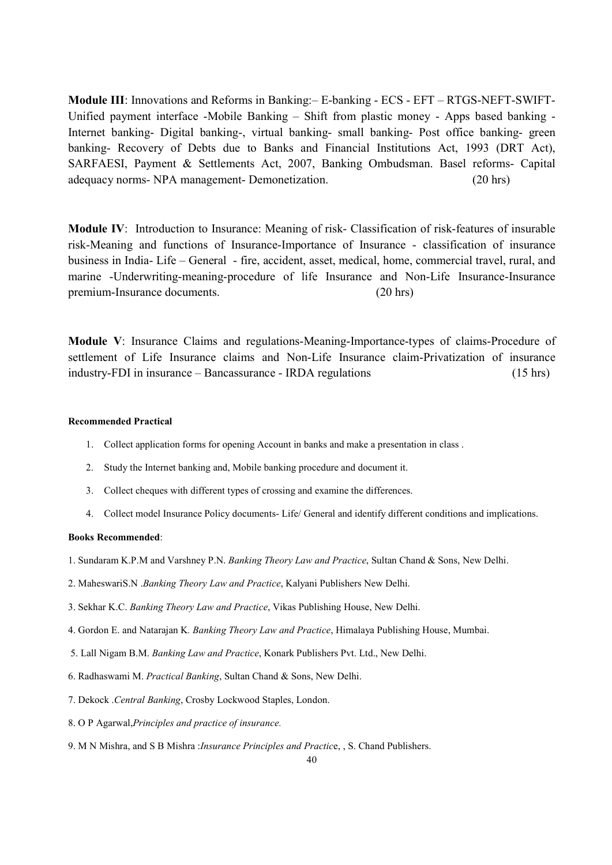Module III: Innovations and Reforms in Banking:– E-banking - ECS - EFT – RTGS-NEFT-SWIFT-Unified payment interface -Mobile Banking – Shift from plastic money - Apps based banking - Internet banking- Digital banking-, virtual banking- small banking- Post office banking- green banking- Recovery of Debts due to Banks and Financial Institutions Act, 1993 (DRT Act), SARFAESI, Payment & Settlements Act, 2007, Banking Ombudsman. Basel reforms- Capital adequacy norms- NPA management- Demonetization. (20 hrs)

Module IV: Introduction to Insurance: Meaning of risk- Classification of risk-features of insurable risk-Meaning and functions of Insurance-Importance of Insurance - classification of insurance business in India- Life – General - fire, accident, asset, medical, home, commercial travel, rural, and marine -Underwriting-meaning-procedure of life Insurance and Non-Life Insurance-Insurance premium-Insurance documents. (20 hrs)

Module V: Insurance Claims and regulations-Meaning-Importance-types of claims-Procedure of settlement of Life Insurance claims and Non-Life Insurance claim-Privatization of insurance industry-FDI in insurance – Bancassurance - IRDA regulations (15 hrs)

#### Recommended Practical

- 1. Collect application forms for opening Account in banks and make a presentation in class .
- 2. Study the Internet banking and, Mobile banking procedure and document it.
- 3. Collect cheques with different types of crossing and examine the differences.
- 4. Collect model Insurance Policy documents- Life/ General and identify different conditions and implications.

#### Books Recommended:

- 1. Sundaram K.P.M and Varshney P.N. Banking Theory Law and Practice, Sultan Chand & Sons, New Delhi.
- 2. MaheswariS.N .Banking Theory Law and Practice, Kalyani Publishers New Delhi.
- 3. Sekhar K.C. Banking Theory Law and Practice, Vikas Publishing House, New Delhi.
- 4. Gordon E. and Natarajan K. Banking Theory Law and Practice, Himalaya Publishing House, Mumbai.
- 5. Lall Nigam B.M. Banking Law and Practice, Konark Publishers Pvt. Ltd., New Delhi.
- 6. Radhaswami M. Practical Banking, Sultan Chand & Sons, New Delhi.
- 7. Dekock .Central Banking, Crosby Lockwood Staples, London.
- 8. O P Agarwal,Principles and practice of insurance.
- 9. M N Mishra, and S B Mishra :Insurance Principles and Practice, , S. Chand Publishers.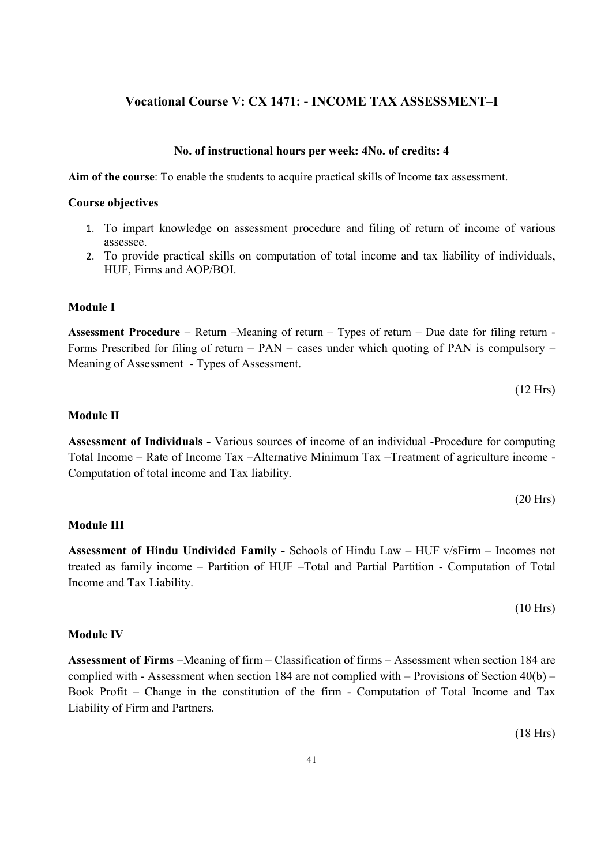## Vocational Course V: CX 1471: - INCOME TAX ASSESSMENT–I

#### No. of instructional hours per week: 4No. of credits: 4

Aim of the course: To enable the students to acquire practical skills of Income tax assessment.

#### Course objectives

- 1. To impart knowledge on assessment procedure and filing of return of income of various assessee.
- 2. To provide practical skills on computation of total income and tax liability of individuals, HUF, Firms and AOP/BOI.

#### Module I

Assessment Procedure – Return –Meaning of return – Types of return – Due date for filing return - Forms Prescribed for filing of return – PAN – cases under which quoting of PAN is compulsory – Meaning of Assessment - Types of Assessment.

$$
(12 \text{ Hrs})
$$

#### Module II

Assessment of Individuals - Various sources of income of an individual -Procedure for computing Total Income – Rate of Income Tax –Alternative Minimum Tax –Treatment of agriculture income - Computation of total income and Tax liability.

$$
(20 \text{ Hrs})
$$

#### Module III

Assessment of Hindu Undivided Family - Schools of Hindu Law – HUF v/sFirm – Incomes not treated as family income – Partition of HUF –Total and Partial Partition - Computation of Total Income and Tax Liability.

(10 Hrs)

#### Module IV

Assessment of Firms –Meaning of firm – Classification of firms – Assessment when section 184 are complied with - Assessment when section 184 are not complied with – Provisions of Section 40(b) – Book Profit – Change in the constitution of the firm - Computation of Total Income and Tax Liability of Firm and Partners.

(18 Hrs)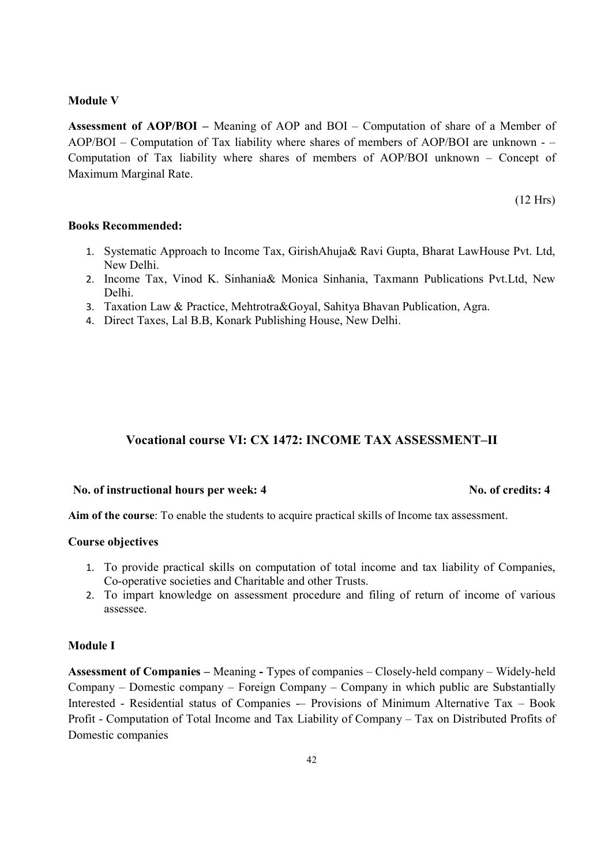#### Module V

Assessment of AOP/BOI – Meaning of AOP and BOI – Computation of share of a Member of AOP/BOI – Computation of Tax liability where shares of members of AOP/BOI are unknown - – Computation of Tax liability where shares of members of AOP/BOI unknown – Concept of Maximum Marginal Rate.

(12 Hrs)

#### Books Recommended:

- 1. Systematic Approach to Income Tax, GirishAhuja& Ravi Gupta, Bharat LawHouse Pvt. Ltd, New Delhi.
- 2. Income Tax, Vinod K. Sinhania& Monica Sinhania, Taxmann Publications Pvt.Ltd, New Delhi.
- 3. Taxation Law & Practice, Mehtrotra&Goyal, Sahitya Bhavan Publication, Agra.
- 4. Direct Taxes, Lal B.B, Konark Publishing House, New Delhi.

#### Vocational course VI: CX 1472: INCOME TAX ASSESSMENT–II

#### No. of instructional hours per week: 4 No. of credits: 4

Aim of the course: To enable the students to acquire practical skills of Income tax assessment.

#### Course objectives

- 1. To provide practical skills on computation of total income and tax liability of Companies, Co-operative societies and Charitable and other Trusts.
- 2. To impart knowledge on assessment procedure and filing of return of income of various assessee.

#### Module I

Assessment of Companies – Meaning - Types of companies – Closely-held company – Widely-held Company – Domestic company – Foreign Company – Company in which public are Substantially Interested - Residential status of Companies -– Provisions of Minimum Alternative Tax – Book Profit - Computation of Total Income and Tax Liability of Company – Tax on Distributed Profits of Domestic companies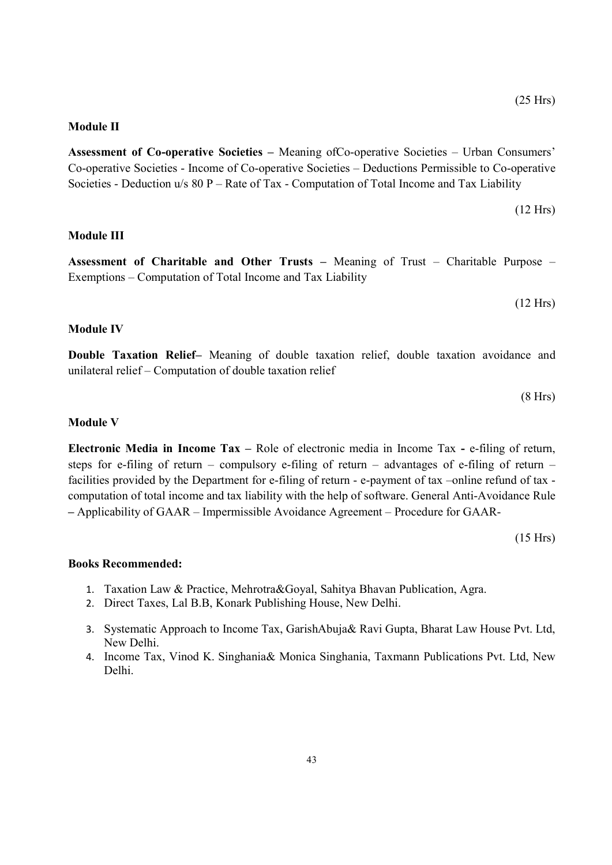#### Module II

Assessment of Co-operative Societies – Meaning ofCo-operative Societies – Urban Consumers' Co-operative Societies - Income of Co-operative Societies – Deductions Permissible to Co-operative Societies - Deduction u/s 80 P – Rate of Tax - Computation of Total Income and Tax Liability

$$
(12 \text{ Hrs})
$$

#### Module III

Assessment of Charitable and Other Trusts – Meaning of Trust – Charitable Purpose – Exemptions – Computation of Total Income and Tax Liability

(12 Hrs)

#### Module IV

Double Taxation Relief– Meaning of double taxation relief, double taxation avoidance and unilateral relief – Computation of double taxation relief

(8 Hrs)

#### Module V

Electronic Media in Income Tax – Role of electronic media in Income Tax - e-filing of return, steps for e-filing of return – compulsory e-filing of return – advantages of e-filing of return – facilities provided by the Department for e-filing of return - e-payment of tax –online refund of tax computation of total income and tax liability with the help of software. General Anti-Avoidance Rule – Applicability of GAAR – Impermissible Avoidance Agreement – Procedure for GAAR-

(15 Hrs)

#### Books Recommended:

- 1. Taxation Law & Practice, Mehrotra&Goyal, Sahitya Bhavan Publication, Agra.
- 2. Direct Taxes, Lal B.B, Konark Publishing House, New Delhi.
- 3. Systematic Approach to Income Tax, GarishAbuja& Ravi Gupta, Bharat Law House Pvt. Ltd, New Delhi.
- 4. Income Tax, Vinod K. Singhania& Monica Singhania, Taxmann Publications Pvt. Ltd, New Delhi.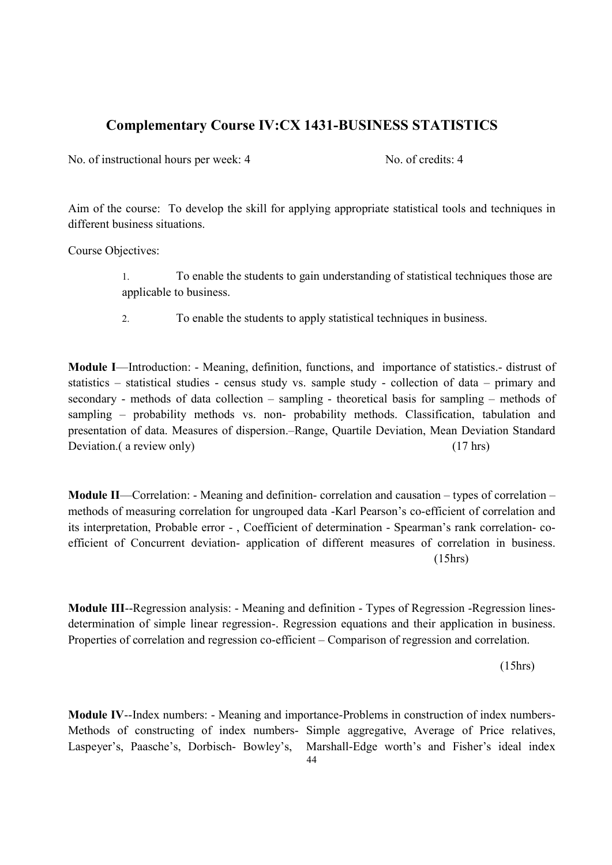# Complementary Course IV:CX 1431-BUSINESS STATISTICS

No. of instructional hours per week: 4 No. of credits: 4

Aim of the course: To develop the skill for applying appropriate statistical tools and techniques in different business situations.

Course Objectives:

- 1. To enable the students to gain understanding of statistical techniques those are applicable to business.
- 2. To enable the students to apply statistical techniques in business.

Module I—Introduction: - Meaning, definition, functions, and importance of statistics.- distrust of statistics – statistical studies - census study vs. sample study - collection of data – primary and secondary - methods of data collection – sampling - theoretical basis for sampling – methods of sampling – probability methods vs. non- probability methods. Classification, tabulation and presentation of data. Measures of dispersion.–Range, Quartile Deviation, Mean Deviation Standard Deviation. (a review only) (17 hrs)

Module II—Correlation: - Meaning and definition- correlation and causation – types of correlation – methods of measuring correlation for ungrouped data -Karl Pearson's co-efficient of correlation and its interpretation, Probable error - , Coefficient of determination - Spearman's rank correlation- coefficient of Concurrent deviation- application of different measures of correlation in business. (15hrs)

Module III--Regression analysis: - Meaning and definition - Types of Regression -Regression linesdetermination of simple linear regression-. Regression equations and their application in business. Properties of correlation and regression co-efficient – Comparison of regression and correlation.

(15hrs)

Module IV--Index numbers: - Meaning and importance-Problems in construction of index numbers-Methods of constructing of index numbers- Simple aggregative, Average of Price relatives, Laspeyer's, Paasche's, Dorbisch- Bowley's, Marshall-Edge worth's and Fisher's ideal index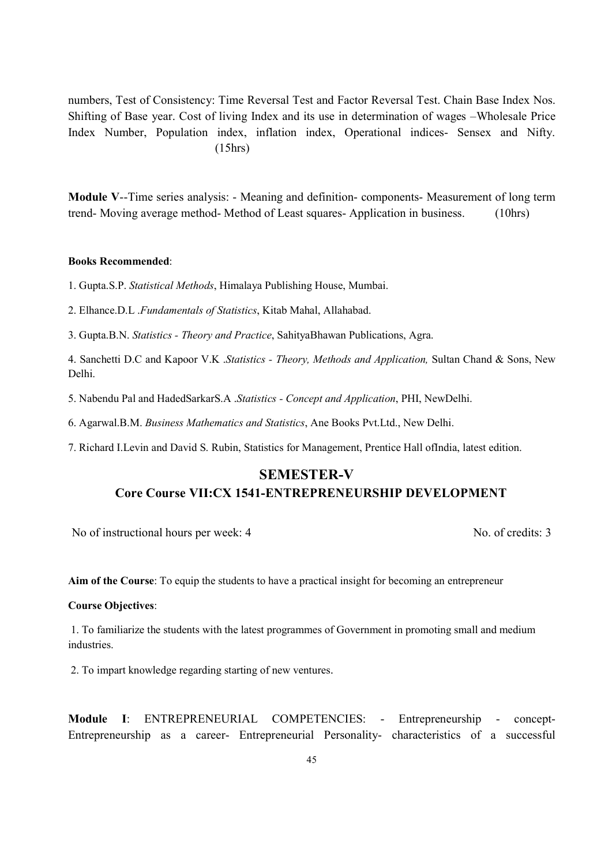numbers, Test of Consistency: Time Reversal Test and Factor Reversal Test. Chain Base Index Nos. Shifting of Base year. Cost of living Index and its use in determination of wages –Wholesale Price Index Number, Population index, inflation index, Operational indices- Sensex and Nifty. (15hrs)

Module V--Time series analysis: - Meaning and definition- components- Measurement of long term trend- Moving average method- Method of Least squares- Application in business. (10hrs)

#### Books Recommended:

1. Gupta.S.P. Statistical Methods, Himalaya Publishing House, Mumbai.

2. Elhance.D.L .Fundamentals of Statistics, Kitab Mahal, Allahabad.

3. Gupta.B.N. Statistics - Theory and Practice, SahityaBhawan Publications, Agra.

4. Sanchetti D.C and Kapoor V.K .Statistics - Theory, Methods and Application, Sultan Chand & Sons, New Delhi.

5. Nabendu Pal and HadedSarkarS.A .Statistics - Concept and Application, PHI, NewDelhi.

6. Agarwal.B.M. Business Mathematics and Statistics, Ane Books Pvt.Ltd., New Delhi.

7. Richard I.Levin and David S. Rubin, Statistics for Management, Prentice Hall ofIndia, latest edition.

# SEMESTER-V Core Course VII:CX 1541-ENTREPRENEURSHIP DEVELOPMENT

No of instructional hours per week: 4 No. of credits: 3

Aim of the Course: To equip the students to have a practical insight for becoming an entrepreneur

#### Course Objectives:

 1. To familiarize the students with the latest programmes of Government in promoting small and medium industries.

2. To impart knowledge regarding starting of new ventures.

Module I: ENTREPRENEURIAL COMPETENCIES: - Entrepreneurship - concept-Entrepreneurship as a career- Entrepreneurial Personality- characteristics of a successful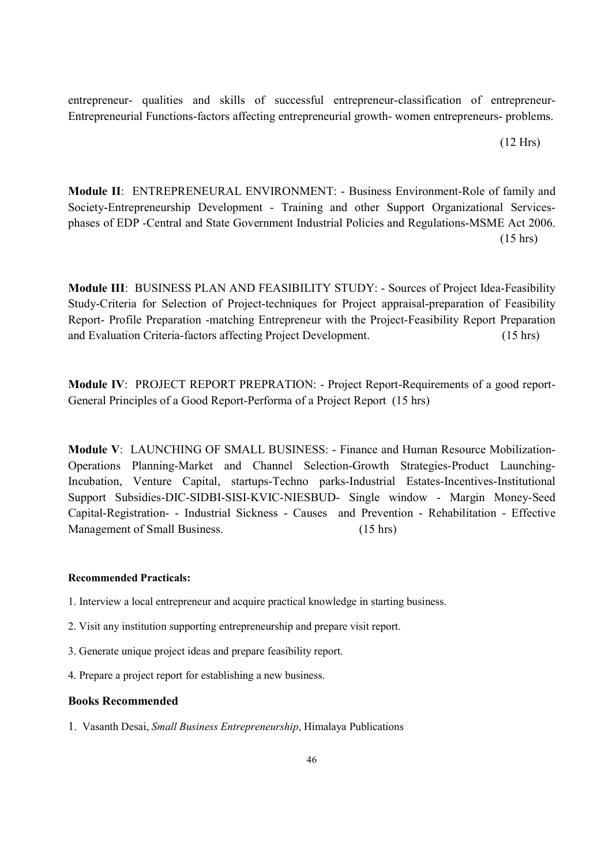entrepreneur- qualities and skills of successful entrepreneur-classification of entrepreneur-Entrepreneurial Functions-factors affecting entrepreneurial growth- women entrepreneurs- problems.

(12 Hrs)

Module II: ENTREPRENEURAL ENVIRONMENT: - Business Environment-Role of family and Society-Entrepreneurship Development - Training and other Support Organizational Servicesphases of EDP -Central and State Government Industrial Policies and Regulations-MSME Act 2006. (15 hrs)

Module III: BUSINESS PLAN AND FEASIBILITY STUDY: - Sources of Project Idea-Feasibility Study-Criteria for Selection of Project-techniques for Project appraisal-preparation of Feasibility Report- Profile Preparation -matching Entrepreneur with the Project-Feasibility Report Preparation and Evaluation Criteria-factors affecting Project Development. (15 hrs)

Module IV: PROJECT REPORT PREPRATION: - Project Report-Requirements of a good report-General Principles of a Good Report-Performa of a Project Report (15 hrs)

Module V: LAUNCHING OF SMALL BUSINESS: - Finance and Human Resource Mobilization-Operations Planning-Market and Channel Selection-Growth Strategies-Product Launching-Incubation, Venture Capital, startups-Techno parks-Industrial Estates-Incentives-Institutional Support Subsidies-DIC-SIDBI-SISI-KVIC-NIESBUD- Single window - Margin Money-Seed Capital-Registration- - Industrial Sickness - Causes and Prevention - Rehabilitation - Effective Management of Small Business. (15 hrs)

#### Recommended Practicals:

- 1. Interview a local entrepreneur and acquire practical knowledge in starting business.
- 2. Visit any institution supporting entrepreneurship and prepare visit report.
- 3. Generate unique project ideas and prepare feasibility report.
- 4. Prepare a project report for establishing a new business.

#### Books Recommended

1. Vasanth Desai, Small Business Entrepreneurship, Himalaya Publications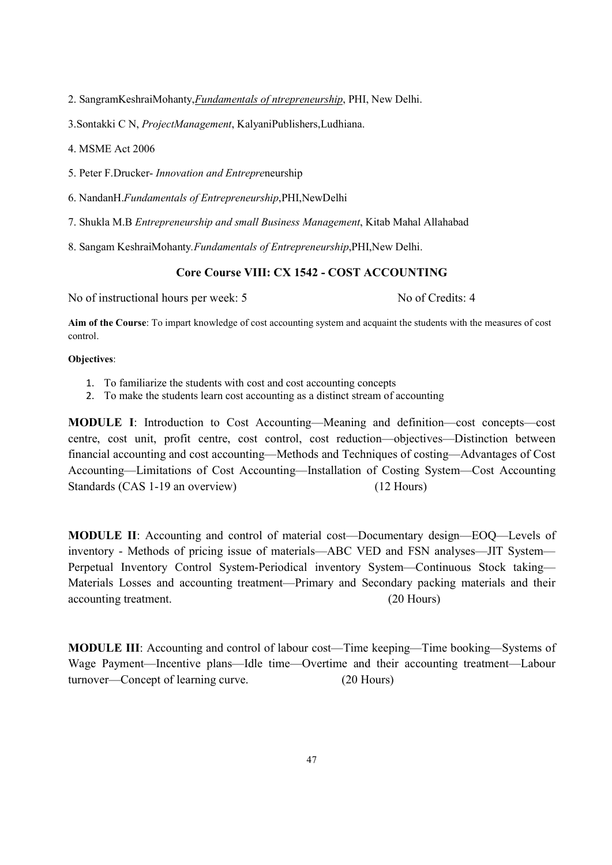2. SangramKeshraiMohanty,Fundamentals of ntrepreneurship, PHI, New Delhi.

3.Sontakki C N, ProjectManagement, KalyaniPublishers,Ludhiana.

4. MSME Act 2006

5. Peter F.Drucker- Innovation and Entrepreneurship

6. NandanH.Fundamentals of Entrepreneurship,PHI,NewDelhi

7. Shukla M.B Entrepreneurship and small Business Management, Kitab Mahal Allahabad

8. Sangam KeshraiMohanty.Fundamentals of Entrepreneurship,PHI,New Delhi.

#### Core Course VIII: CX 1542 - COST ACCOUNTING

No of instructional hours per week: 5 No of Credits: 4

Aim of the Course: To impart knowledge of cost accounting system and acquaint the students with the measures of cost control.

#### Objectives:

- 1. To familiarize the students with cost and cost accounting concepts
- 2. To make the students learn cost accounting as a distinct stream of accounting

MODULE I: Introduction to Cost Accounting—Meaning and definition—cost concepts—cost centre, cost unit, profit centre, cost control, cost reduction—objectives—Distinction between financial accounting and cost accounting—Methods and Techniques of costing—Advantages of Cost Accounting—Limitations of Cost Accounting—Installation of Costing System—Cost Accounting Standards (CAS 1-19 an overview) (12 Hours)

MODULE II: Accounting and control of material cost—Documentary design—EOQ—Levels of inventory - Methods of pricing issue of materials—ABC VED and FSN analyses—JIT System— Perpetual Inventory Control System-Periodical inventory System—Continuous Stock taking— Materials Losses and accounting treatment—Primary and Secondary packing materials and their accounting treatment. (20 Hours)

MODULE III: Accounting and control of labour cost—Time keeping—Time booking—Systems of Wage Payment—Incentive plans—Idle time—Overtime and their accounting treatment—Labour turnover—Concept of learning curve. (20 Hours)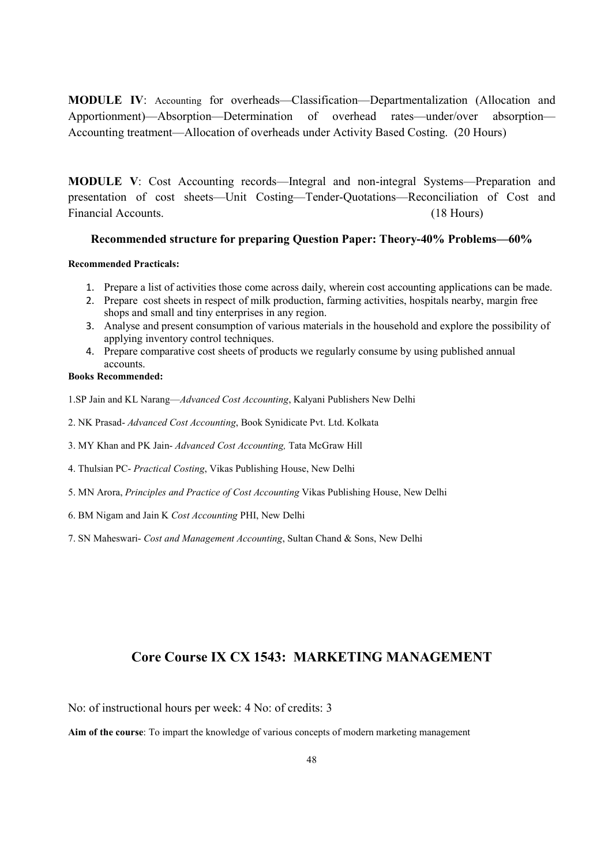MODULE IV: Accounting for overheads—Classification—Departmentalization (Allocation and Apportionment)—Absorption—Determination of overhead rates—under/over absorption— Accounting treatment—Allocation of overheads under Activity Based Costing. (20 Hours)

MODULE V: Cost Accounting records—Integral and non-integral Systems—Preparation and presentation of cost sheets—Unit Costing—Tender-Quotations—Reconciliation of Cost and Financial Accounts. (18 Hours)

#### Recommended structure for preparing Question Paper: Theory-40% Problems—60%

#### Recommended Practicals:

- 1. Prepare a list of activities those come across daily, wherein cost accounting applications can be made.
- 2. Prepare cost sheets in respect of milk production, farming activities, hospitals nearby, margin free shops and small and tiny enterprises in any region.
- 3. Analyse and present consumption of various materials in the household and explore the possibility of applying inventory control techniques.
- 4. Prepare comparative cost sheets of products we regularly consume by using published annual accounts.

#### Books Recommended:

- 1.SP Jain and KL Narang—Advanced Cost Accounting, Kalyani Publishers New Delhi
- 2. NK Prasad- Advanced Cost Accounting, Book Synidicate Pvt. Ltd. Kolkata
- 3. MY Khan and PK Jain- Advanced Cost Accounting, Tata McGraw Hill
- 4. Thulsian PC- Practical Costing, Vikas Publishing House, New Delhi
- 5. MN Arora, Principles and Practice of Cost Accounting Vikas Publishing House, New Delhi
- 6. BM Nigam and Jain K Cost Accounting PHI, New Delhi
- 7. SN Maheswari- Cost and Management Accounting, Sultan Chand & Sons, New Delhi

# Core Course IX CX 1543: MARKETING MANAGEMENT

No: of instructional hours per week: 4 No: of credits: 3

Aim of the course: To impart the knowledge of various concepts of modern marketing management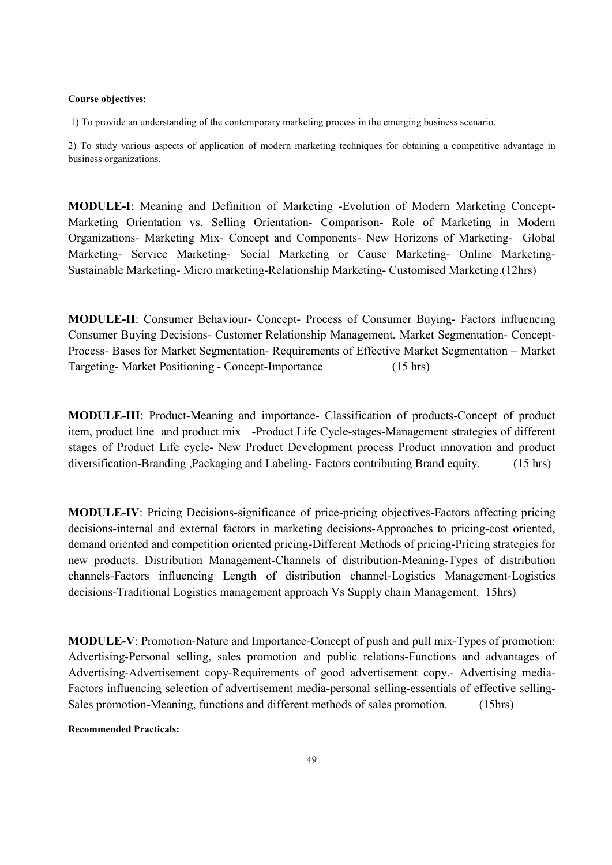#### Course objectives:

1) To provide an understanding of the contemporary marketing process in the emerging business scenario.

2) To study various aspects of application of modern marketing techniques for obtaining a competitive advantage in business organizations.

MODULE-I: Meaning and Definition of Marketing -Evolution of Modern Marketing Concept-Marketing Orientation vs. Selling Orientation- Comparison- Role of Marketing in Modern Organizations- Marketing Mix- Concept and Components- New Horizons of Marketing- Global Marketing- Service Marketing- Social Marketing or Cause Marketing- Online Marketing-Sustainable Marketing- Micro marketing-Relationship Marketing- Customised Marketing.(12hrs)

MODULE-II: Consumer Behaviour- Concept- Process of Consumer Buying- Factors influencing Consumer Buying Decisions- Customer Relationship Management. Market Segmentation- Concept-Process- Bases for Market Segmentation- Requirements of Effective Market Segmentation – Market Targeting- Market Positioning - Concept-Importance (15 hrs)

MODULE-III: Product-Meaning and importance- Classification of products-Concept of product item, product line and product mix -Product Life Cycle-stages-Management strategies of different stages of Product Life cycle- New Product Development process Product innovation and product diversification-Branding ,Packaging and Labeling- Factors contributing Brand equity. (15 hrs)

MODULE-IV: Pricing Decisions-significance of price-pricing objectives-Factors affecting pricing decisions-internal and external factors in marketing decisions-Approaches to pricing-cost oriented, demand oriented and competition oriented pricing-Different Methods of pricing-Pricing strategies for new products. Distribution Management-Channels of distribution-Meaning-Types of distribution channels-Factors influencing Length of distribution channel-Logistics Management-Logistics decisions-Traditional Logistics management approach Vs Supply chain Management. 15hrs)

MODULE-V: Promotion-Nature and Importance-Concept of push and pull mix-Types of promotion: Advertising-Personal selling, sales promotion and public relations-Functions and advantages of Advertising-Advertisement copy-Requirements of good advertisement copy.- Advertising media-Factors influencing selection of advertisement media-personal selling-essentials of effective selling-Sales promotion-Meaning, functions and different methods of sales promotion. (15hrs)

#### Recommended Practicals: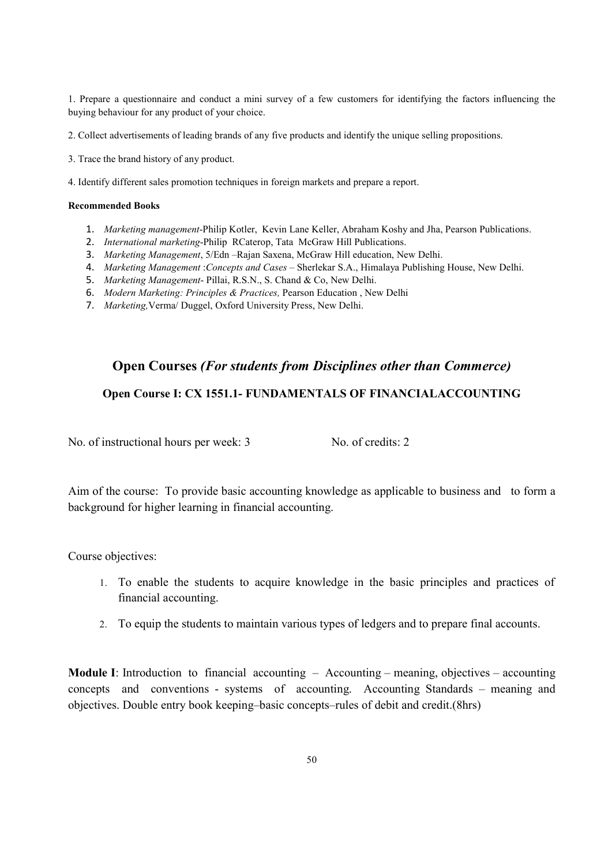1. Prepare a questionnaire and conduct a mini survey of a few customers for identifying the factors influencing the buying behaviour for any product of your choice.

2. Collect advertisements of leading brands of any five products and identify the unique selling propositions.

3. Trace the brand history of any product.

4. Identify different sales promotion techniques in foreign markets and prepare a report.

#### Recommended Books

- 1. Marketing management-Philip Kotler, Kevin Lane Keller, Abraham Koshy and Jha, Pearson Publications.
- 2. *International marketing-Philip RCaterop*, Tata McGraw Hill Publications.
- 3. Marketing Management, 5/Edn –Rajan Saxena, McGraw Hill education, New Delhi.
- 4. Marketing Management :Concepts and Cases Sherlekar S.A., Himalaya Publishing House, New Delhi.
- 5. Marketing Management- Pillai, R.S.N., S. Chand & Co, New Delhi.
- 6. Modern Marketing: Principles & Practices, Pearson Education , New Delhi
- 7. Marketing,Verma/ Duggel, Oxford University Press, New Delhi.

# Open Courses (For students from Disciplines other than Commerce) Open Course I: CX 1551.1- FUNDAMENTALS OF FINANCIALACCOUNTING

No. of instructional hours per week: 3 No. of credits: 2

Aim of the course: To provide basic accounting knowledge as applicable to business and to form a background for higher learning in financial accounting.

Course objectives:

- 1. To enable the students to acquire knowledge in the basic principles and practices of financial accounting.
- 2. To equip the students to maintain various types of ledgers and to prepare final accounts.

**Module I:** Introduction to financial accounting  $-$  Accounting – meaning, objectives – accounting concepts and conventions - systems of accounting. Accounting Standards – meaning and objectives. Double entry book keeping–basic concepts–rules of debit and credit.(8hrs)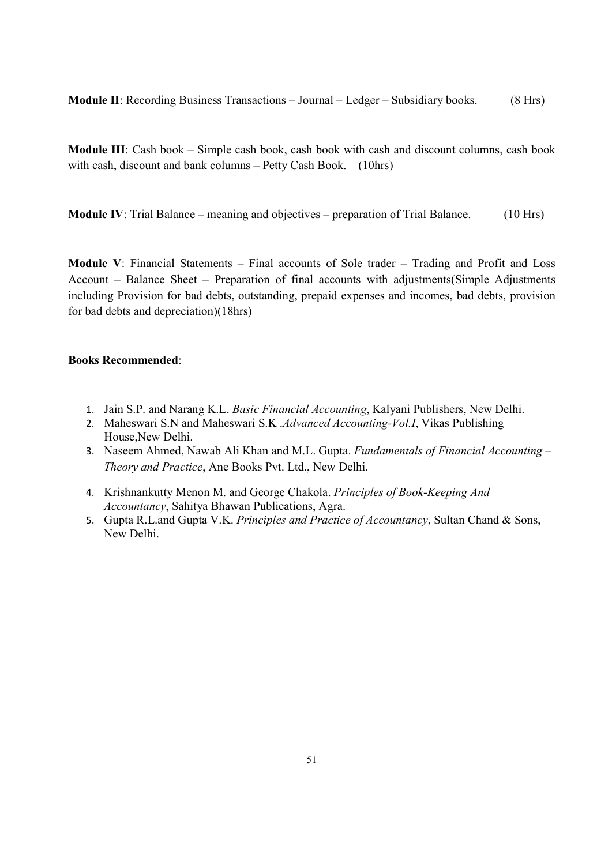Module II: Recording Business Transactions – Journal – Ledger – Subsidiary books. (8 Hrs)

Module III: Cash book – Simple cash book, cash book with cash and discount columns, cash book with cash, discount and bank columns – Petty Cash Book. (10hrs)

Module IV: Trial Balance – meaning and objectives – preparation of Trial Balance. (10 Hrs)

Module V: Financial Statements – Final accounts of Sole trader – Trading and Profit and Loss Account – Balance Sheet – Preparation of final accounts with adjustments(Simple Adjustments including Provision for bad debts, outstanding, prepaid expenses and incomes, bad debts, provision for bad debts and depreciation)(18hrs)

#### Books Recommended:

- 1. Jain S.P. and Narang K.L. Basic Financial Accounting, Kalyani Publishers, New Delhi.
- 2. Maheswari S.N and Maheswari S.K *.Advanced Accounting-Vol.I*, Vikas Publishing House,New Delhi.
- 3. Naseem Ahmed, Nawab Ali Khan and M.L. Gupta. Fundamentals of Financial Accounting -Theory and Practice, Ane Books Pvt. Ltd., New Delhi.
- 4. Krishnankutty Menon M. and George Chakola. Principles of Book-Keeping And Accountancy, Sahitya Bhawan Publications, Agra.
- 5. Gupta R.L.and Gupta V.K. Principles and Practice of Accountancy, Sultan Chand & Sons, New Delhi.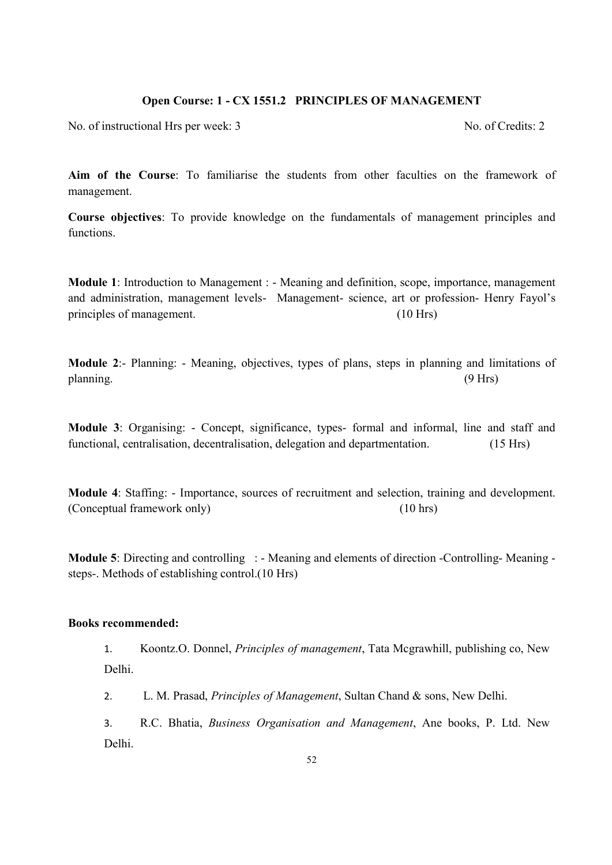#### Open Course: 1 - CX 1551.2 PRINCIPLES OF MANAGEMENT

No. of instructional Hrs per week: 3 No. of Credits: 2

Aim of the Course: To familiarise the students from other faculties on the framework of management.

Course objectives: To provide knowledge on the fundamentals of management principles and functions.

Module 1: Introduction to Management : - Meaning and definition, scope, importance, management and administration, management levels- Management- science, art or profession- Henry Fayol's principles of management. (10 Hrs)

Module 2:- Planning: - Meaning, objectives, types of plans, steps in planning and limitations of planning. (9 Hrs)

Module 3: Organising: - Concept, significance, types- formal and informal, line and staff and functional, centralisation, decentralisation, delegation and departmentation. (15 Hrs)

Module 4: Staffing: - Importance, sources of recruitment and selection, training and development. (Conceptual framework only) (10 hrs)

Module 5: Directing and controlling : - Meaning and elements of direction -Controlling- Meaning steps-. Methods of establishing control.(10 Hrs)

#### Books recommended:

1. Koontz.O. Donnel, Principles of management, Tata Mcgrawhill, publishing co, New Delhi.

2. L. M. Prasad, *Principles of Management*, Sultan Chand & sons, New Delhi.

3. R.C. Bhatia, Business Organisation and Management, Ane books, P. Ltd. New Delhi.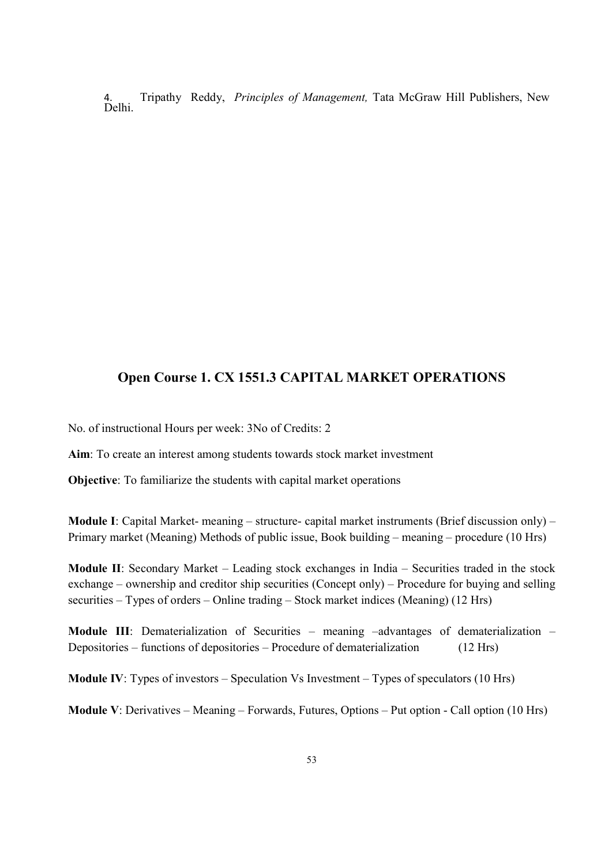Tripathy Reddy, Principles of Management, Tata McGraw Hill Publishers, New 4.<br>Delhi.

# Open Course 1. CX 1551.3 CAPITAL MARKET OPERATIONS

No. of instructional Hours per week: 3No of Credits: 2

Aim: To create an interest among students towards stock market investment

Objective: To familiarize the students with capital market operations

Module I: Capital Market- meaning – structure- capital market instruments (Brief discussion only) – Primary market (Meaning) Methods of public issue, Book building – meaning – procedure (10 Hrs)

Module II: Secondary Market – Leading stock exchanges in India – Securities traded in the stock exchange – ownership and creditor ship securities (Concept only) – Procedure for buying and selling securities – Types of orders – Online trading – Stock market indices (Meaning) (12 Hrs)

Module III: Dematerialization of Securities – meaning –advantages of dematerialization – Depositories – functions of depositories – Procedure of dematerialization (12 Hrs)

Module IV: Types of investors – Speculation Vs Investment – Types of speculators (10 Hrs)

Module V: Derivatives – Meaning – Forwards, Futures, Options – Put option - Call option (10 Hrs)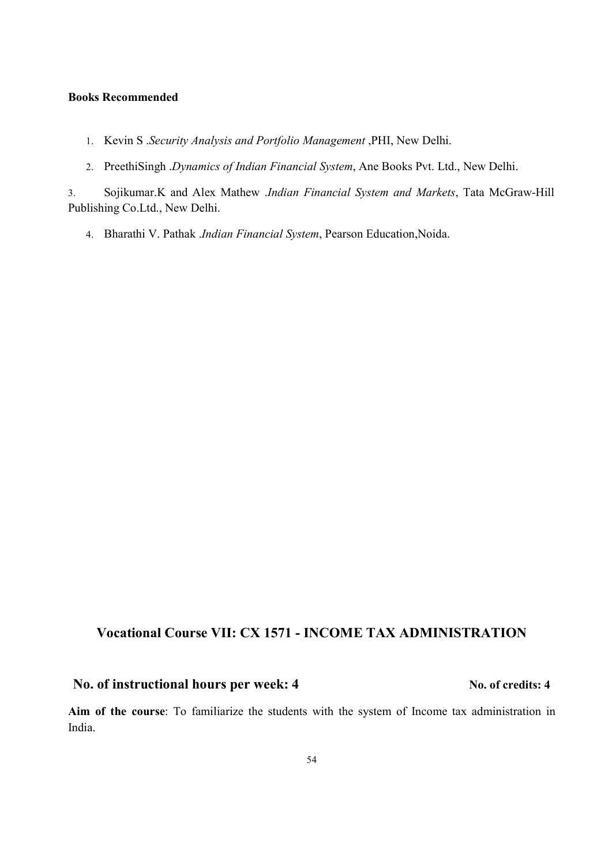#### Books Recommended

- 1. Kevin S .Security Analysis and Portfolio Management ,PHI, New Delhi.
- 2. PreethiSingh .Dynamics of Indian Financial System, Ane Books Pvt. Ltd., New Delhi.

3. Sojikumar.K and Alex Mathew .Indian Financial System and Markets, Tata McGraw-Hill Publishing Co.Ltd., New Delhi.

4. Bharathi V. Pathak .Indian Financial System, Pearson Education, Noida.

## Vocational Course VII: CX 1571 - INCOME TAX ADMINISTRATION

# No. of instructional hours per week: 4 No. of credits: 4

Aim of the course: To familiarize the students with the system of Income tax administration in India.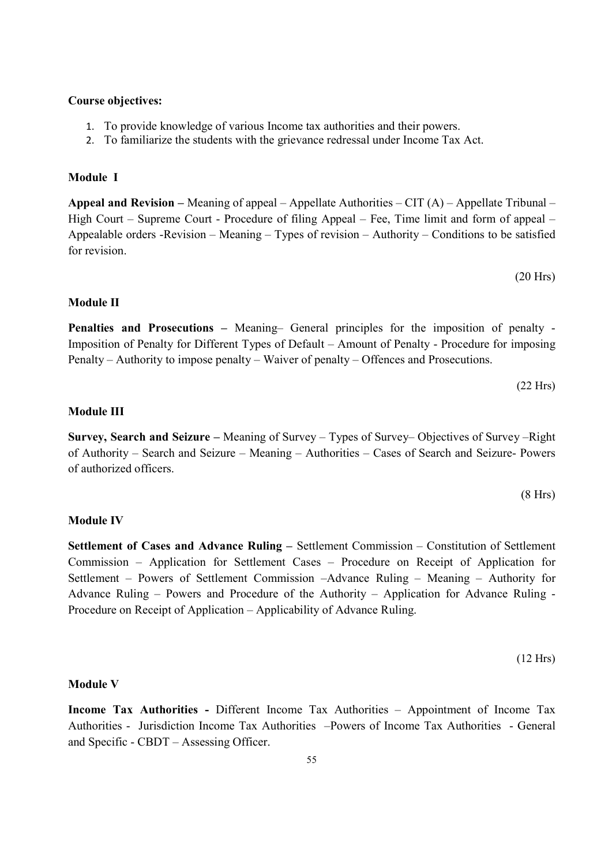#### Course objectives:

- 1. To provide knowledge of various Income tax authorities and their powers.
- 2. To familiarize the students with the grievance redressal under Income Tax Act.

#### Module I

Appeal and Revision – Meaning of appeal – Appellate Authorities – CIT (A) – Appellate Tribunal – High Court – Supreme Court - Procedure of filing Appeal – Fee, Time limit and form of appeal – Appealable orders -Revision – Meaning – Types of revision – Authority – Conditions to be satisfied for revision.

(20 Hrs)

#### Module II

Penalties and Prosecutions – Meaning– General principles for the imposition of penalty - Imposition of Penalty for Different Types of Default – Amount of Penalty - Procedure for imposing Penalty – Authority to impose penalty – Waiver of penalty – Offences and Prosecutions.

$$
(22 \text{ Hrs})
$$

#### Module III

Survey, Search and Seizure – Meaning of Survey – Types of Survey– Objectives of Survey –Right of Authority – Search and Seizure – Meaning – Authorities – Cases of Search and Seizure- Powers of authorized officers.

$$
(8 \text{ Hrs})
$$

#### Module IV

Settlement of Cases and Advance Ruling – Settlement Commission – Constitution of Settlement Commission – Application for Settlement Cases – Procedure on Receipt of Application for Settlement – Powers of Settlement Commission –Advance Ruling – Meaning – Authority for Advance Ruling – Powers and Procedure of the Authority – Application for Advance Ruling - Procedure on Receipt of Application – Applicability of Advance Ruling.

$$
(12 \text{ Hrs})
$$

#### Module V

Income Tax Authorities - Different Income Tax Authorities – Appointment of Income Tax Authorities - Jurisdiction Income Tax Authorities –Powers of Income Tax Authorities - General and Specific - CBDT – Assessing Officer.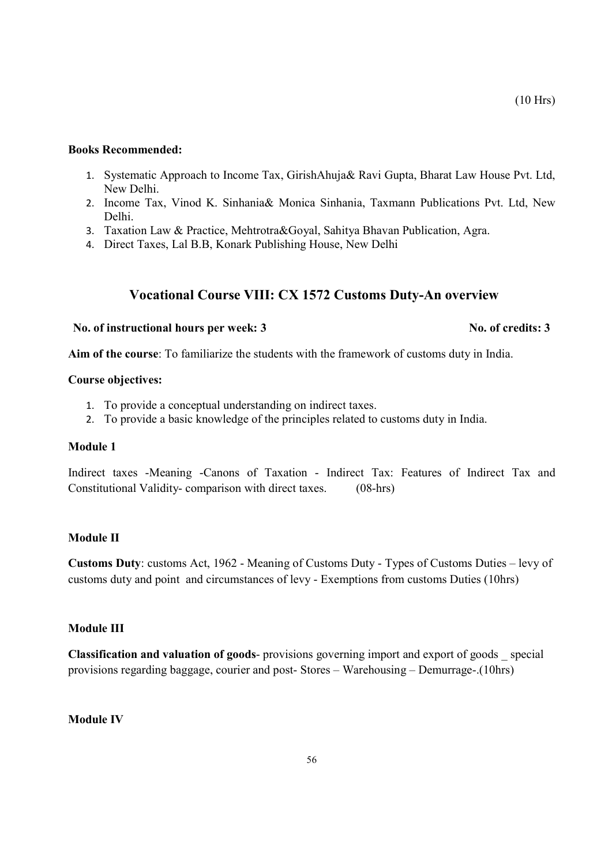#### Books Recommended:

- 1. Systematic Approach to Income Tax, GirishAhuja& Ravi Gupta, Bharat Law House Pvt. Ltd, New Delhi.
- 2. Income Tax, Vinod K. Sinhania& Monica Sinhania, Taxmann Publications Pvt. Ltd, New Delhi.
- 3. Taxation Law & Practice, Mehtrotra&Goyal, Sahitya Bhavan Publication, Agra.
- 4. Direct Taxes, Lal B.B, Konark Publishing House, New Delhi

### Vocational Course VIII: CX 1572 Customs Duty-An overview

# No. of instructional hours per week: 3 No. of credits: 3

(10 Hrs)

Aim of the course: To familiarize the students with the framework of customs duty in India.

#### Course objectives:

- 1. To provide a conceptual understanding on indirect taxes.
- 2. To provide a basic knowledge of the principles related to customs duty in India.

#### Module 1

Indirect taxes -Meaning -Canons of Taxation - Indirect Tax: Features of Indirect Tax and Constitutional Validity- comparison with direct taxes. (08-hrs)

#### Module II

Customs Duty: customs Act, 1962 - Meaning of Customs Duty - Types of Customs Duties – levy of customs duty and point and circumstances of levy - Exemptions from customs Duties (10hrs)

#### Module III

Classification and valuation of goods- provisions governing import and export of goods \_ special provisions regarding baggage, courier and post- Stores – Warehousing – Demurrage-.(10hrs)

#### Module IV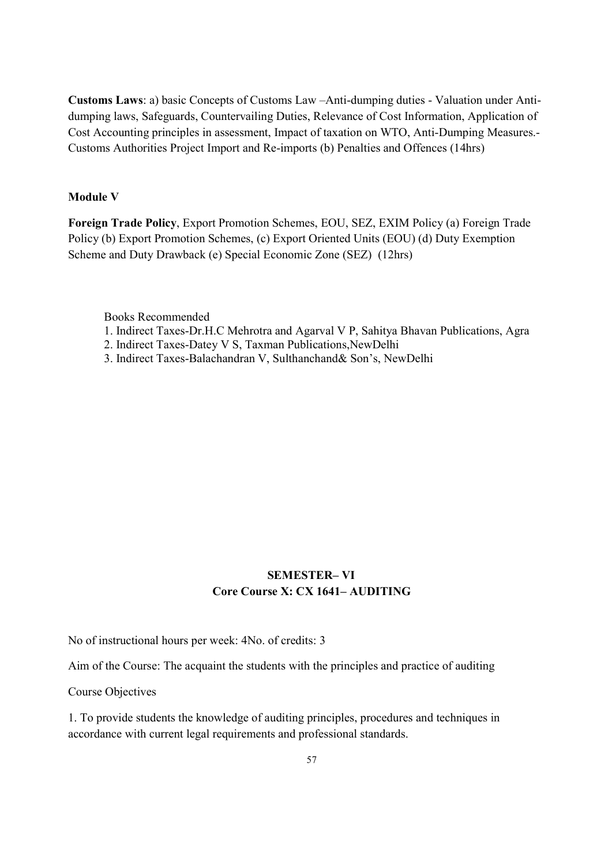Customs Laws: a) basic Concepts of Customs Law –Anti-dumping duties - Valuation under Antidumping laws, Safeguards, Countervailing Duties, Relevance of Cost Information, Application of Cost Accounting principles in assessment, Impact of taxation on WTO, Anti-Dumping Measures.- Customs Authorities Project Import and Re-imports (b) Penalties and Offences (14hrs)

#### Module V

Foreign Trade Policy, Export Promotion Schemes, EOU, SEZ, EXIM Policy (a) Foreign Trade Policy (b) Export Promotion Schemes, (c) Export Oriented Units (EOU) (d) Duty Exemption Scheme and Duty Drawback (e) Special Economic Zone (SEZ) (12hrs)

Books Recommended

- 1. Indirect Taxes-Dr.H.C Mehrotra and Agarval V P, Sahitya Bhavan Publications, Agra
- 2. Indirect Taxes-Datey V S, Taxman Publications,NewDelhi
- 3. Indirect Taxes-Balachandran V, Sulthanchand& Son's, NewDelhi

# SEMESTER– VI Core Course X: CX 1641– AUDITING

No of instructional hours per week: 4No. of credits: 3

Aim of the Course: The acquaint the students with the principles and practice of auditing

Course Objectives

1. To provide students the knowledge of auditing principles, procedures and techniques in accordance with current legal requirements and professional standards.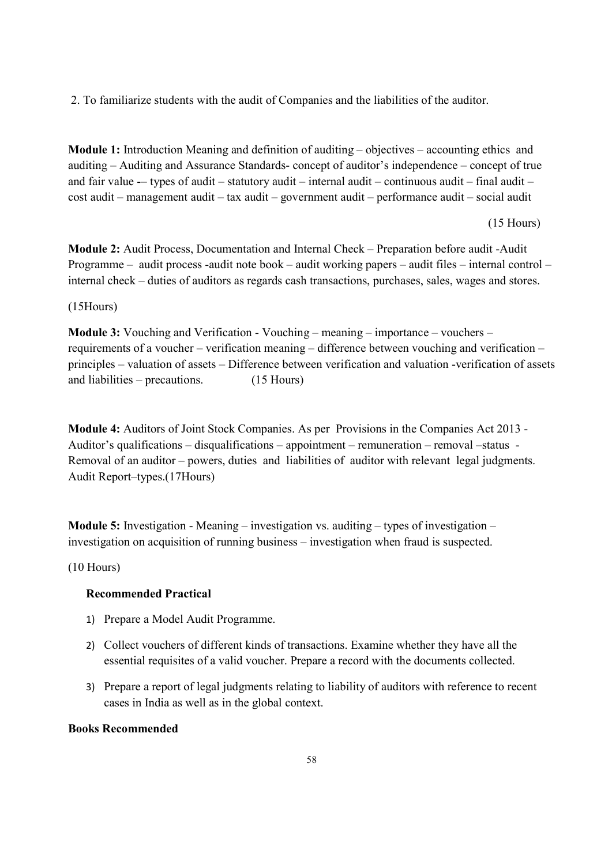2. To familiarize students with the audit of Companies and the liabilities of the auditor.

Module 1: Introduction Meaning and definition of auditing – objectives – accounting ethics and auditing – Auditing and Assurance Standards- concept of auditor's independence – concept of true and fair value -- types of audit - statutory audit - internal audit - continuous audit - final audit cost audit – management audit – tax audit – government audit – performance audit – social audit

#### (15 Hours)

Module 2: Audit Process, Documentation and Internal Check – Preparation before audit -Audit Programme – audit process -audit note book – audit working papers – audit files – internal control – internal check – duties of auditors as regards cash transactions, purchases, sales, wages and stores.

(15Hours)

Module 3: Vouching and Verification - Vouching – meaning – importance – vouchers – requirements of a voucher – verification meaning – difference between vouching and verification – principles – valuation of assets – Difference between verification and valuation -verification of assets and liabilities – precautions. (15 Hours)

Module 4: Auditors of Joint Stock Companies. As per Provisions in the Companies Act 2013 - Auditor's qualifications – disqualifications – appointment – remuneration – removal –status - Removal of an auditor – powers, duties and liabilities of auditor with relevant legal judgments. Audit Report–types.(17Hours)

**Module 5:** Investigation - Meaning – investigation vs. auditing – types of investigation – investigation on acquisition of running business – investigation when fraud is suspected.

(10 Hours)

#### Recommended Practical

- 1) Prepare a Model Audit Programme.
- 2) Collect vouchers of different kinds of transactions. Examine whether they have all the essential requisites of a valid voucher. Prepare a record with the documents collected.
- 3) Prepare a report of legal judgments relating to liability of auditors with reference to recent cases in India as well as in the global context.

#### Books Recommended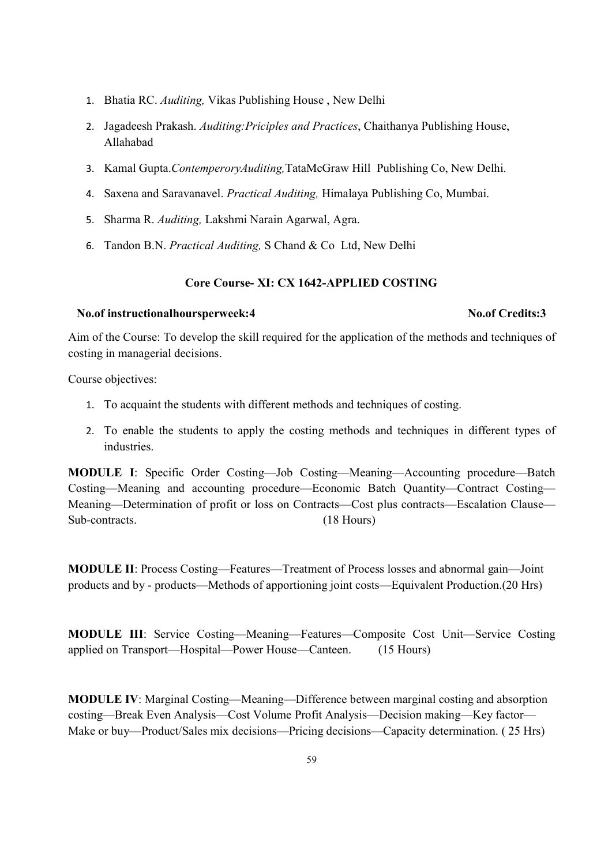- 1. Bhatia RC. Auditing, Vikas Publishing House , New Delhi
- 2. Jagadeesh Prakash. Auditing:Priciples and Practices, Chaithanya Publishing House, Allahabad
- 3. Kamal Gupta.ContemperoryAuditing,TataMcGraw Hill Publishing Co, New Delhi.
- 4. Saxena and Saravanavel. Practical Auditing, Himalaya Publishing Co, Mumbai.
- 5. Sharma R. Auditing, Lakshmi Narain Agarwal, Agra.
- 6. Tandon B.N. Practical Auditing, S Chand & Co Ltd, New Delhi

### Core Course- XI: CX 1642-APPLIED COSTING

#### No.of instructionalhoursperweek:4 No.of Credits:3

Aim of the Course: To develop the skill required for the application of the methods and techniques of costing in managerial decisions.

Course objectives:

- 1. To acquaint the students with different methods and techniques of costing.
- 2. To enable the students to apply the costing methods and techniques in different types of industries.

MODULE I: Specific Order Costing—Job Costing—Meaning—Accounting procedure—Batch Costing—Meaning and accounting procedure—Economic Batch Quantity—Contract Costing— Meaning—Determination of profit or loss on Contracts—Cost plus contracts—Escalation Clause— Sub-contracts. (18 Hours)

MODULE II: Process Costing—Features—Treatment of Process losses and abnormal gain—Joint products and by - products—Methods of apportioning joint costs—Equivalent Production.(20 Hrs)

MODULE III: Service Costing—Meaning—Features—Composite Cost Unit—Service Costing applied on Transport—Hospital—Power House—Canteen. (15 Hours)

MODULE IV: Marginal Costing—Meaning—Difference between marginal costing and absorption costing—Break Even Analysis—Cost Volume Profit Analysis—Decision making—Key factor— Make or buy—Product/Sales mix decisions—Pricing decisions—Capacity determination. ( 25 Hrs)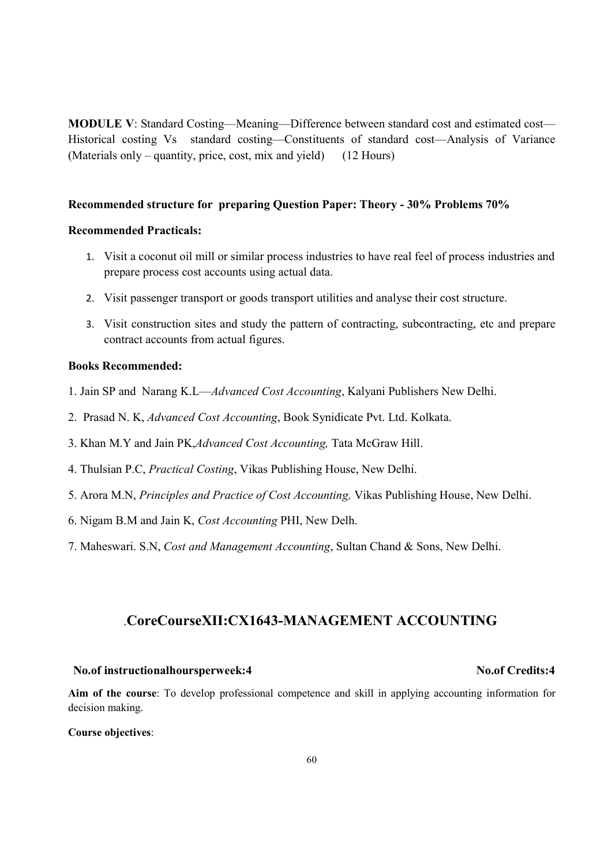MODULE V: Standard Costing—Meaning—Difference between standard cost and estimated cost— Historical costing Vs standard costing—Constituents of standard cost—Analysis of Variance (Materials only – quantity, price, cost, mix and yield) (12 Hours)

#### Recommended structure for preparing Question Paper: Theory - 30% Problems 70%

#### Recommended Practicals:

- 1. Visit a coconut oil mill or similar process industries to have real feel of process industries and prepare process cost accounts using actual data.
- 2. Visit passenger transport or goods transport utilities and analyse their cost structure.
- 3. Visit construction sites and study the pattern of contracting, subcontracting, etc and prepare contract accounts from actual figures.

#### Books Recommended:

- 1. Jain SP and Narang K.L—Advanced Cost Accounting, Kalyani Publishers New Delhi.
- 2. Prasad N. K, Advanced Cost Accounting, Book Synidicate Pvt. Ltd. Kolkata.
- 3. Khan M.Y and Jain PK,Advanced Cost Accounting, Tata McGraw Hill.
- 4. Thulsian P.C, Practical Costing, Vikas Publishing House, New Delhi.
- 5. Arora M.N, Principles and Practice of Cost Accounting, Vikas Publishing House, New Delhi.
- 6. Nigam B.M and Jain K, Cost Accounting PHI, New Delh.
- 7. Maheswari. S.N, Cost and Management Accounting, Sultan Chand & Sons, New Delhi.

### .CoreCourseXII:CX1643-MANAGEMENT ACCOUNTING

#### No.of instructionalhoursperweek:4 No.of Credits:4

Aim of the course: To develop professional competence and skill in applying accounting information for decision making.

#### Course objectives: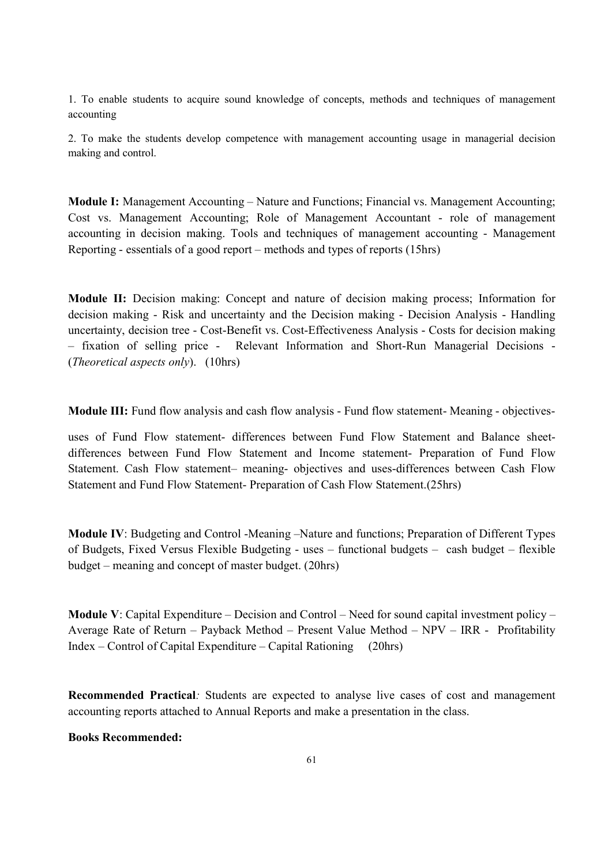1. To enable students to acquire sound knowledge of concepts, methods and techniques of management accounting

2. To make the students develop competence with management accounting usage in managerial decision making and control.

Module I: Management Accounting – Nature and Functions; Financial vs. Management Accounting; Cost vs. Management Accounting; Role of Management Accountant - role of management accounting in decision making. Tools and techniques of management accounting - Management Reporting - essentials of a good report – methods and types of reports (15hrs)

Module II: Decision making: Concept and nature of decision making process; Information for decision making - Risk and uncertainty and the Decision making - Decision Analysis - Handling uncertainty, decision tree - Cost-Benefit vs. Cost-Effectiveness Analysis - Costs for decision making – fixation of selling price - Relevant Information and Short-Run Managerial Decisions - (Theoretical aspects only). (10hrs)

Module III: Fund flow analysis and cash flow analysis - Fund flow statement- Meaning - objectives-

uses of Fund Flow statement- differences between Fund Flow Statement and Balance sheetdifferences between Fund Flow Statement and Income statement- Preparation of Fund Flow Statement. Cash Flow statement– meaning- objectives and uses-differences between Cash Flow Statement and Fund Flow Statement- Preparation of Cash Flow Statement.(25hrs)

Module IV: Budgeting and Control -Meaning –Nature and functions; Preparation of Different Types of Budgets, Fixed Versus Flexible Budgeting - uses – functional budgets – cash budget – flexible budget – meaning and concept of master budget. (20hrs)

Module V: Capital Expenditure – Decision and Control – Need for sound capital investment policy – Average Rate of Return – Payback Method – Present Value Method – NPV – IRR - Profitability Index – Control of Capital Expenditure – Capital Rationing (20hrs)

Recommended Practical: Students are expected to analyse live cases of cost and management accounting reports attached to Annual Reports and make a presentation in the class.

### Books Recommended: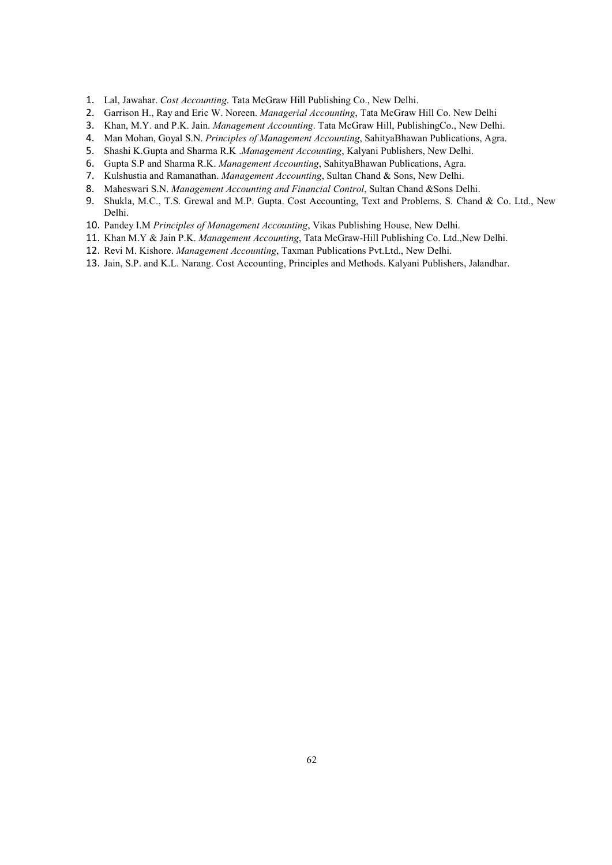- 1. Lal, Jawahar. Cost Accounting. Tata McGraw Hill Publishing Co., New Delhi.
- 2. Garrison H., Ray and Eric W. Noreen. Managerial Accounting, Tata McGraw Hill Co. New Delhi
- 3. Khan, M.Y. and P.K. Jain. Management Accounting. Tata McGraw Hill, PublishingCo., New Delhi.
- 4. Man Mohan, Goyal S.N. Principles of Management Accounting, SahityaBhawan Publications, Agra.
- 5. Shashi K.Gupta and Sharma R.K .Management Accounting, Kalyani Publishers, New Delhi.
- 6. Gupta S.P and Sharma R.K. Management Accounting, SahityaBhawan Publications, Agra.
- 7. Kulshustia and Ramanathan. Management Accounting, Sultan Chand & Sons, New Delhi.
- 8. Maheswari S.N. Management Accounting and Financial Control, Sultan Chand & Sons Delhi.
- 9. Shukla, M.C., T.S. Grewal and M.P. Gupta. Cost Accounting, Text and Problems. S. Chand & Co. Ltd., New Delhi.
- 10. Pandey I.M Principles of Management Accounting, Vikas Publishing House, New Delhi.
- 11. Khan M.Y & Jain P.K. Management Accounting, Tata McGraw-Hill Publishing Co. Ltd., New Delhi.
- 12. Revi M. Kishore. Management Accounting, Taxman Publications Pvt.Ltd., New Delhi.
- 13. Jain, S.P. and K.L. Narang. Cost Accounting, Principles and Methods. Kalyani Publishers, Jalandhar.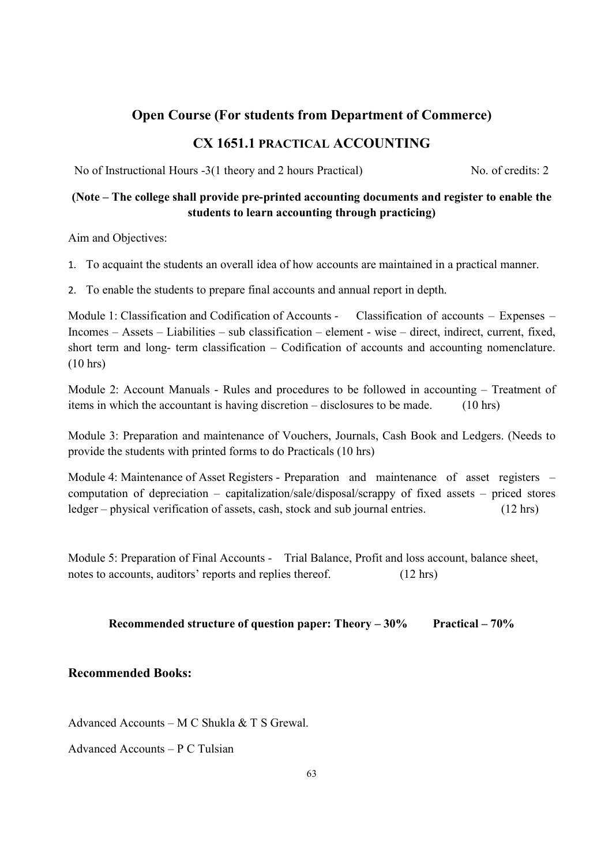# Open Course (For students from Department of Commerce)

# CX 1651.1 PRACTICAL ACCOUNTING

No of Instructional Hours -3(1 theory and 2 hours Practical) No. of credits: 2

# (Note – The college shall provide pre-printed accounting documents and register to enable the students to learn accounting through practicing)

Aim and Objectives:

1. To acquaint the students an overall idea of how accounts are maintained in a practical manner.

2. To enable the students to prepare final accounts and annual report in depth.

Module 1: Classification and Codification of Accounts - Classification of accounts – Expenses – Incomes – Assets – Liabilities – sub classification – element - wise – direct, indirect, current, fixed, short term and long- term classification – Codification of accounts and accounting nomenclature. (10 hrs)

Module 2: Account Manuals - Rules and procedures to be followed in accounting – Treatment of items in which the accountant is having discretion – disclosures to be made. (10 hrs)

Module 3: Preparation and maintenance of Vouchers, Journals, Cash Book and Ledgers. (Needs to provide the students with printed forms to do Practicals (10 hrs)

Module 4: Maintenance of Asset Registers - Preparation and maintenance of asset registers – computation of depreciation – capitalization/sale/disposal/scrappy of fixed assets – priced stores ledger – physical verification of assets, cash, stock and sub journal entries. (12 hrs)

Module 5: Preparation of Final Accounts - Trial Balance, Profit and loss account, balance sheet, notes to accounts, auditors' reports and replies thereof. (12 hrs)

## Recommended structure of question paper: Theory  $-30\%$  Practical  $-70\%$

### Recommended Books:

Advanced Accounts – M C Shukla & T S Grewal.

Advanced Accounts – P C Tulsian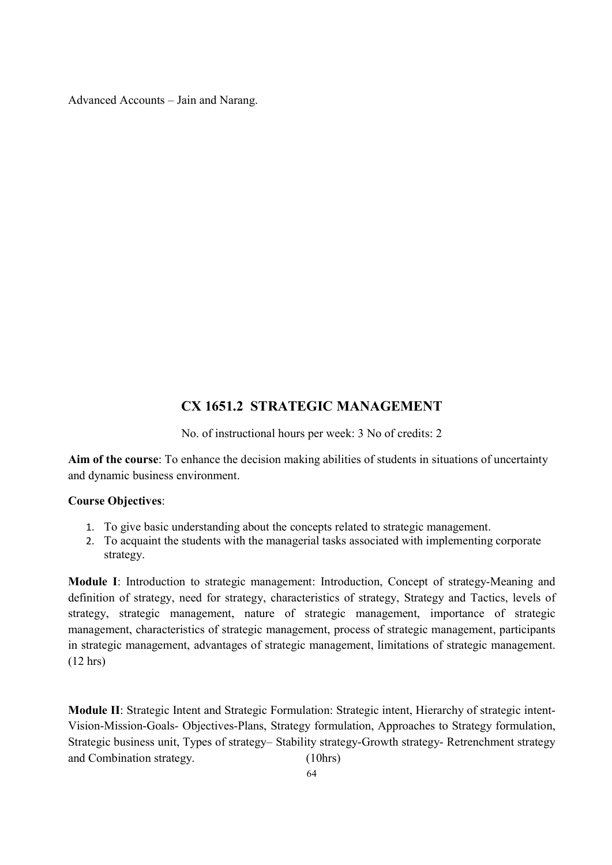Advanced Accounts – Jain and Narang.

# CX 1651.2 STRATEGIC MANAGEMENT

No. of instructional hours per week: 3 No of credits: 2

Aim of the course: To enhance the decision making abilities of students in situations of uncertainty and dynamic business environment.

#### Course Objectives:

- 1. To give basic understanding about the concepts related to strategic management.
- 2. To acquaint the students with the managerial tasks associated with implementing corporate strategy.

Module I: Introduction to strategic management: Introduction, Concept of strategy-Meaning and definition of strategy, need for strategy, characteristics of strategy, Strategy and Tactics, levels of strategy, strategic management, nature of strategic management, importance of strategic management, characteristics of strategic management, process of strategic management, participants in strategic management, advantages of strategic management, limitations of strategic management. (12 hrs)

Module II: Strategic Intent and Strategic Formulation: Strategic intent, Hierarchy of strategic intent-Vision-Mission-Goals- Objectives-Plans, Strategy formulation, Approaches to Strategy formulation, Strategic business unit, Types of strategy– Stability strategy-Growth strategy- Retrenchment strategy and Combination strategy. (10hrs)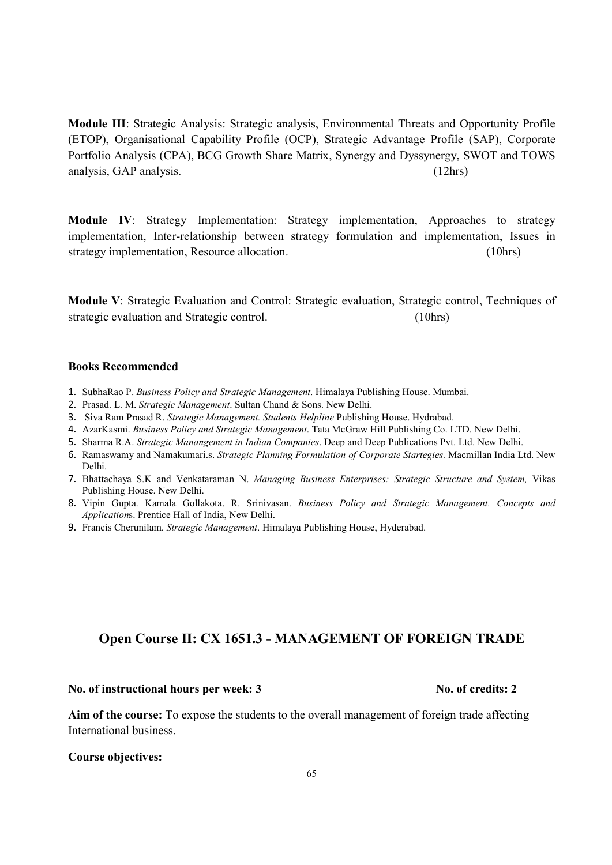Module III: Strategic Analysis: Strategic analysis, Environmental Threats and Opportunity Profile (ETOP), Organisational Capability Profile (OCP), Strategic Advantage Profile (SAP), Corporate Portfolio Analysis (CPA), BCG Growth Share Matrix, Synergy and Dyssynergy, SWOT and TOWS analysis, GAP analysis. (12hrs) (12hrs)

Module IV: Strategy Implementation: Strategy implementation, Approaches to strategy implementation, Inter-relationship between strategy formulation and implementation, Issues in strategy implementation, Resource allocation. (10hrs)

Module V: Strategic Evaluation and Control: Strategic evaluation, Strategic control, Techniques of strategic evaluation and Strategic control. (10hrs)

#### Books Recommended

- 1. SubhaRao P. Business Policy and Strategic Management. Himalaya Publishing House. Mumbai.
- 2. Prasad. L. M. Strategic Management. Sultan Chand & Sons. New Delhi.
- 3. Siva Ram Prasad R. Strategic Management. Students Helpline Publishing House. Hydrabad.
- 4. AzarKasmi. Business Policy and Strategic Management. Tata McGraw Hill Publishing Co. LTD. New Delhi.
- 5. Sharma R.A. Strategic Manangement in Indian Companies. Deep and Deep Publications Pvt. Ltd. New Delhi.
- 6. Ramaswamy and Namakumari.s. Strategic Planning Formulation of Corporate Startegies. Macmillan India Ltd. New Delhi.
- 7. Bhattachaya S.K and Venkataraman N. Managing Business Enterprises: Strategic Structure and System, Vikas Publishing House. New Delhi.
- 8. Vipin Gupta. Kamala Gollakota. R. Srinivasan. Business Policy and Strategic Management. Concepts and Applications. Prentice Hall of India, New Delhi.
- 9. Francis Cherunilam. Strategic Management. Himalaya Publishing House, Hyderabad.

# Open Course II: CX 1651.3 - MANAGEMENT OF FOREIGN TRADE

#### No. of instructional hours per week: 3 No. of credits: 2

Aim of the course: To expose the students to the overall management of foreign trade affecting International business.

#### Course objectives: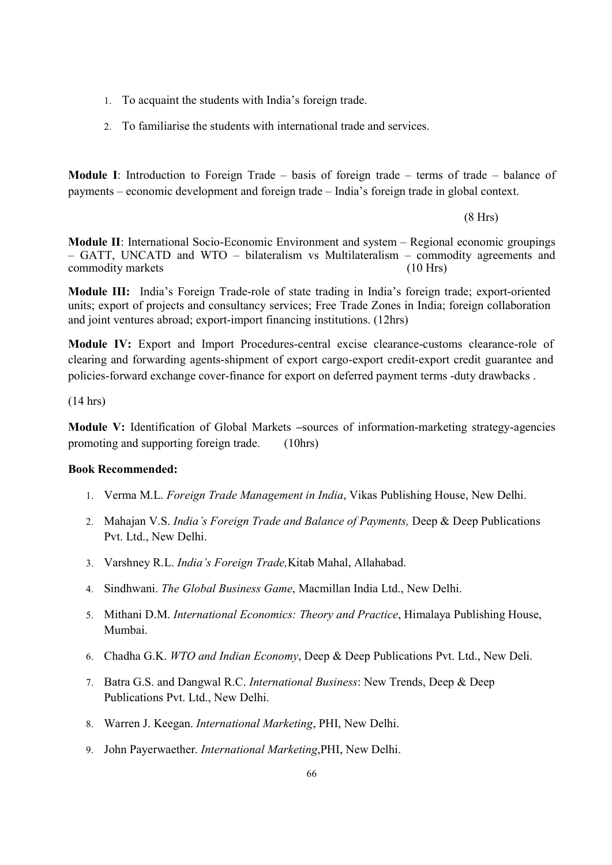- 1. To acquaint the students with India's foreign trade.
- 2. To familiarise the students with international trade and services.

Module I: Introduction to Foreign Trade – basis of foreign trade – terms of trade – balance of payments – economic development and foreign trade – India's foreign trade in global context.

(8 Hrs)

Module II: International Socio-Economic Environment and system – Regional economic groupings – GATT, UNCATD and WTO – bilateralism vs Multilateralism – commodity agreements and commodity markets (10 Hrs)

Module III: India's Foreign Trade-role of state trading in India's foreign trade; export-oriented units; export of projects and consultancy services; Free Trade Zones in India; foreign collaboration and joint ventures abroad; export-import financing institutions. (12hrs)

Module IV: Export and Import Procedures-central excise clearance-customs clearance-role of clearing and forwarding agents-shipment of export cargo-export credit-export credit guarantee and policies-forward exchange cover-finance for export on deferred payment terms -duty drawbacks .

(14 hrs)

Module V: Identification of Global Markets –sources of information-marketing strategy-agencies promoting and supporting foreign trade. (10hrs)

#### Book Recommended:

- 1. Verma M.L. Foreign Trade Management in India, Vikas Publishing House, New Delhi.
- 2. Mahajan V.S. *India's Foreign Trade and Balance of Payments*, Deep & Deep Publications Pvt. Ltd., New Delhi.
- 3. Varshney R.L. India's Foreign Trade,Kitab Mahal, Allahabad.
- 4. Sindhwani. The Global Business Game, Macmillan India Ltd., New Delhi.
- 5. Mithani D.M. International Economics: Theory and Practice, Himalaya Publishing House, Mumbai.
- 6. Chadha G.K. WTO and Indian Economy, Deep & Deep Publications Pvt. Ltd., New Deli.
- 7. Batra G.S. and Dangwal R.C. International Business: New Trends, Deep & Deep Publications Pvt. Ltd., New Delhi.
- 8. Warren J. Keegan. International Marketing, PHI, New Delhi.
- 9. John Payerwaether. International Marketing,PHI, New Delhi.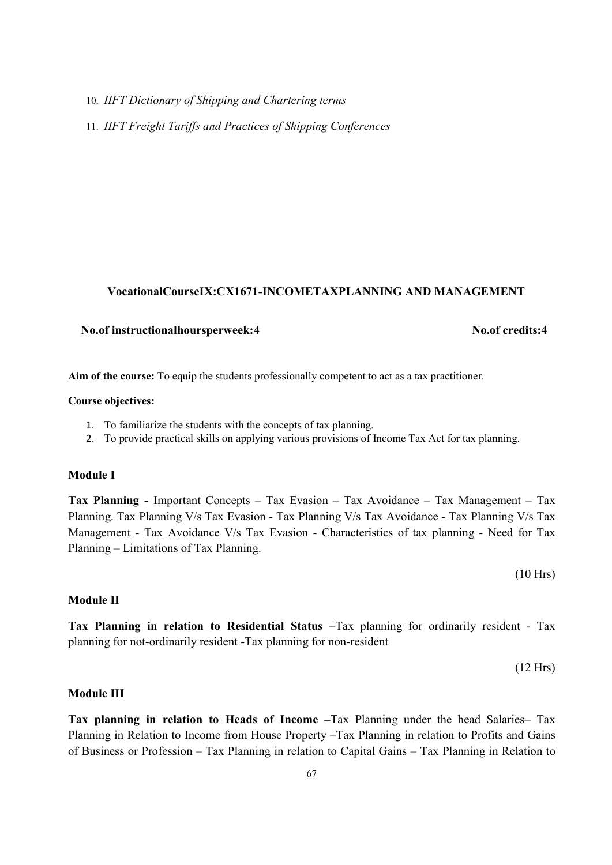10. IIFT Dictionary of Shipping and Chartering terms

11. IIFT Freight Tariffs and Practices of Shipping Conferences

#### VocationalCourseIX:CX1671-INCOMETAXPLANNING AND MANAGEMENT

# No.of instructionalhoursperweek:4 No.of credits:4

Aim of the course: To equip the students professionally competent to act as a tax practitioner.

#### Course objectives:

- 1. To familiarize the students with the concepts of tax planning.
- 2. To provide practical skills on applying various provisions of Income Tax Act for tax planning.

#### Module I

Tax Planning - Important Concepts – Tax Evasion – Tax Avoidance – Tax Management – Tax Planning. Tax Planning V/s Tax Evasion - Tax Planning V/s Tax Avoidance - Tax Planning V/s Tax Management - Tax Avoidance V/s Tax Evasion - Characteristics of tax planning - Need for Tax Planning – Limitations of Tax Planning.

(10 Hrs)

#### Module II

Tax Planning in relation to Residential Status –Tax planning for ordinarily resident - Tax planning for not-ordinarily resident -Tax planning for non-resident

(12 Hrs)

#### Module III

Tax planning in relation to Heads of Income –Tax Planning under the head Salaries– Tax Planning in Relation to Income from House Property –Tax Planning in relation to Profits and Gains of Business or Profession – Tax Planning in relation to Capital Gains – Tax Planning in Relation to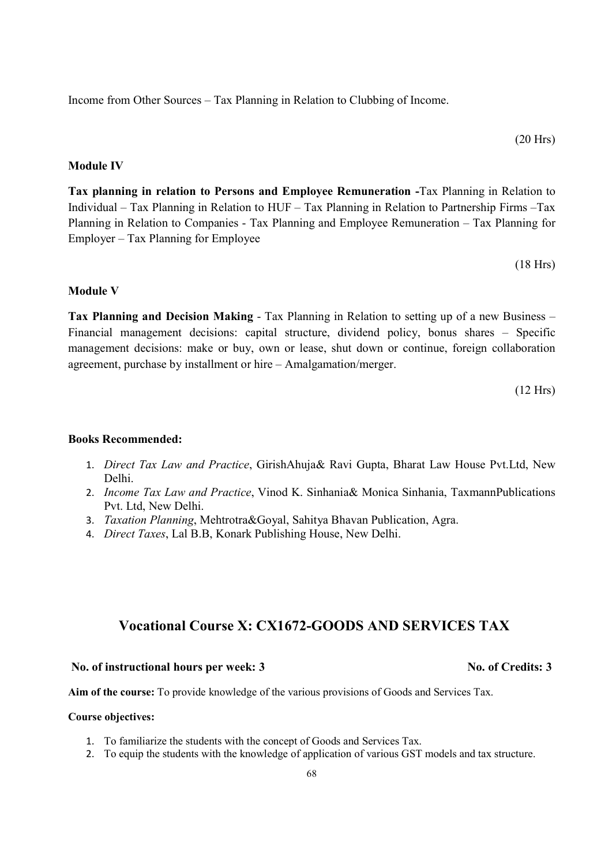Income from Other Sources – Tax Planning in Relation to Clubbing of Income.

$$
(20 \text{ Hrs})
$$

#### Module IV

Tax planning in relation to Persons and Employee Remuneration -Tax Planning in Relation to Individual – Tax Planning in Relation to HUF – Tax Planning in Relation to Partnership Firms –Tax Planning in Relation to Companies - Tax Planning and Employee Remuneration – Tax Planning for Employer – Tax Planning for Employee

(18 Hrs)

#### Module V

Tax Planning and Decision Making - Tax Planning in Relation to setting up of a new Business – Financial management decisions: capital structure, dividend policy, bonus shares – Specific management decisions: make or buy, own or lease, shut down or continue, foreign collaboration agreement, purchase by installment or hire – Amalgamation/merger.

(12 Hrs)

#### Books Recommended:

- 1. Direct Tax Law and Practice, GirishAhuja& Ravi Gupta, Bharat Law House Pvt.Ltd, New Delhi.
- 2. *Income Tax Law and Practice*, Vinod K. Sinhania& Monica Sinhania, TaxmannPublications Pvt. Ltd, New Delhi.
- 3. Taxation Planning, Mehtrotra&Goyal, Sahitya Bhavan Publication, Agra.
- 4. Direct Taxes, Lal B.B, Konark Publishing House, New Delhi.

# Vocational Course X: CX1672-GOODS AND SERVICES TAX

#### No. of instructional hours per week: 3 No. of Credits: 3

Aim of the course: To provide knowledge of the various provisions of Goods and Services Tax.

#### Course objectives:

- 1. To familiarize the students with the concept of Goods and Services Tax.
- 2. To equip the students with the knowledge of application of various GST models and tax structure.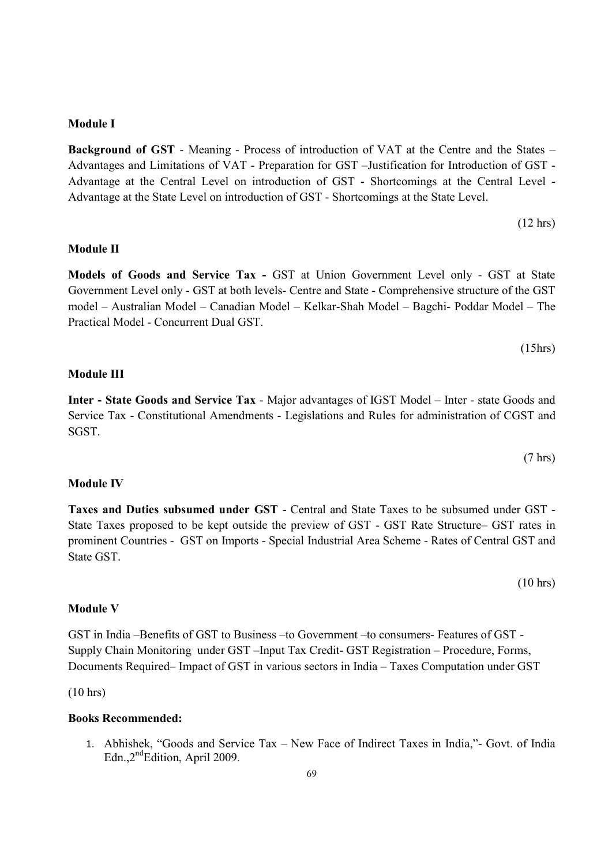# prominent Countries - GST on Imports - Special Industrial Area Scheme - Rates of Central GST and

Module V

GST in India –Benefits of GST to Business –to Government –to consumers- Features of GST - Supply Chain Monitoring under GST –Input Tax Credit- GST Registration – Procedure, Forms, Documents Required– Impact of GST in various sectors in India – Taxes Computation under GST

(10 hrs)

#### Books Recommended:

1. Abhishek, "Goods and Service Tax – New Face of Indirect Taxes in India,"- Govt. of India Edn., 2<sup>nd</sup>Edition, April 2009.

Advantage at the State Level on introduction of GST - Shortcomings at the State Level.

### Module II

Module I

Models of Goods and Service Tax - GST at Union Government Level only - GST at State Government Level only - GST at both levels- Centre and State - Comprehensive structure of the GST model – Australian Model – Canadian Model – Kelkar-Shah Model – Bagchi- Poddar Model – The Practical Model - Concurrent Dual GST.

Background of GST - Meaning - Process of introduction of VAT at the Centre and the States – Advantages and Limitations of VAT - Preparation for GST –Justification for Introduction of GST - Advantage at the Central Level on introduction of GST - Shortcomings at the Central Level -

#### Module III

Inter - State Goods and Service Tax - Major advantages of IGST Model – Inter - state Goods and Service Tax - Constitutional Amendments - Legislations and Rules for administration of CGST and SGST.

Module IV

State GST.

Taxes and Duties subsumed under GST - Central and State Taxes to be subsumed under GST - State Taxes proposed to be kept outside the preview of GST - GST Rate Structure– GST rates in

69

(10 hrs)

(12 hrs)

(7 hrs)

(15hrs)